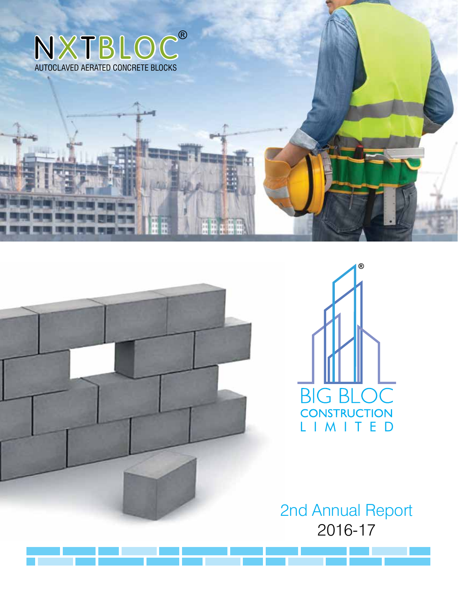



BIG BIGBLOCK CONSTRUCTION CONSTRUCTION

2nd Annual Report 2016-17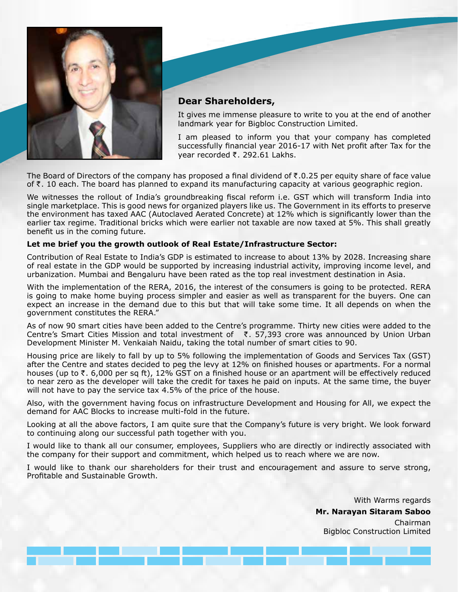



It gives me immense pleasure to write to you at the end of another landmark year for Bigbloc Construction Limited.

I am pleased to inform you that your company has completed successfully financial year 2016-17 with Net profit after Tax for the vear recorded  $\bar{\tau}$ . 292.61 Lakhs.

The Board of Directors of the company has proposed a final dividend of  $\bar{\tau}$ .0.25 per equity share of face value of  $\bar{\tau}$ . 10 each. The board has planned to expand its manufacturing capacity at various geographic region.

We witnesses the rollout of India's groundbreaking fiscal reform i.e. GST which will transform India into single marketplace. This is good news for organized players like us. The Government in its efforts to preserve the environment has taxed AAC (Autoclaved Aerated Concrete) at 12% which is significantly lower than the earlier tax regime. Traditional bricks which were earlier not taxable are now taxed at 5%. This shall greatly benefit us in the coming future.

# **Let me brief you the growth outlook of Real Estate/Infrastructure Sector:**

Contribution of Real Estate to India's GDP is estimated to increase to about 13% by 2028. Increasing share of real estate in the GDP would be supported by increasing industrial activity, improving income level, and urbanization. Mumbai and Bengaluru have been rated as the top real investment destination in Asia.

With the implementation of the RERA, 2016, the interest of the consumers is going to be protected. RERA is going to make home buying process simpler and easier as well as transparent for the buyers. One can expect an increase in the demand due to this but that will take some time. It all depends on when the government constitutes the RERA."

As of now 90 smart cities have been added to the Centre's programme. Thirty new cities were added to the Centre's Smart Cities Mission and total investment of  $\bar{\tau}$ . 57,393 crore was announced by Union Urban Development Minister M. Venkaiah Naidu, taking the total number of smart cities to 90.

Housing price are likely to fall by up to 5% following the implementation of Goods and Services Tax (GST) after the Centre and states decided to peg the levy at 12% on finished houses or apartments. For a normal houses (up to  $\bar{\tau}$ . 6,000 per sq ft), 12% GST on a finished house or an apartment will be effectively reduced to near zero as the developer will take the credit for taxes he paid on inputs. At the same time, the buyer will not have to pay the service tax 4.5% of the price of the house.

Also, with the government having focus on infrastructure Development and Housing for All, we expect the demand for AAC Blocks to increase multi-fold in the future.

Looking at all the above factors, I am quite sure that the Company's future is very bright. We look forward to continuing along our successful path together with you.

I would like to thank all our consumer, employees, Suppliers who are directly or indirectly associated with the company for their support and commitment, which helped us to reach where we are now.

I would like to thank our shareholders for their trust and encouragement and assure to serve strong, Profitable and Sustainable Growth.

> With Warms regards **Mr. Narayan Sitaram Saboo** Chairman Bigbloc Construction Limited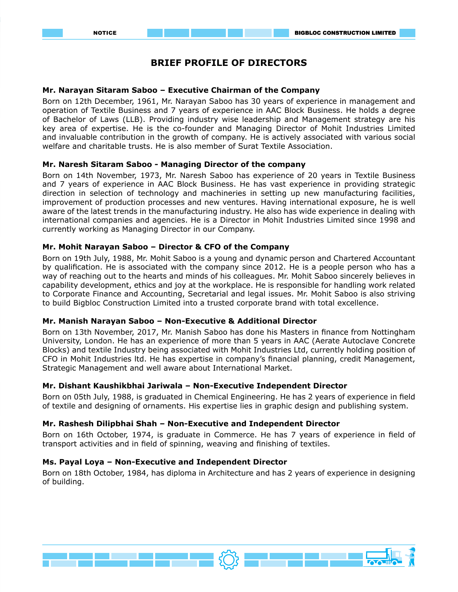# **BRIEF PROFILE OF DIRECTORS**

#### **Mr. Narayan Sitaram Saboo – Executive Chairman of the Company**

Born on 12th December, 1961, Mr. Narayan Saboo has 30 years of experience in management and operation of Textile Business and 7 years of experience in AAC Block Business. He holds a degree of Bachelor of Laws (LLB). Providing industry wise leadership and Management strategy are his key area of expertise. He is the co-founder and Managing Director of Mohit Industries Limited and invaluable contribution in the growth of company. He is actively associated with various social welfare and charitable trusts. He is also member of Surat Textile Association.

# **Mr. Naresh Sitaram Saboo - Managing Director of the company**

Born on 14th November, 1973, Mr. Naresh Saboo has experience of 20 years in Textile Business and 7 years of experience in AAC Block Business. He has vast experience in providing strategic direction in selection of technology and machineries in setting up new manufacturing facilities, improvement of production processes and new ventures. Having international exposure, he is well aware of the latest trends in the manufacturing industry. He also has wide experience in dealing with international companies and agencies. He is a Director in Mohit Industries Limited since 1998 and currently working as Managing Director in our Company.

# **Mr. Mohit Narayan Saboo – Director & CFO of the Company**

Born on 19th July, 1988, Mr. Mohit Saboo is a young and dynamic person and Chartered Accountant by qualification. He is associated with the company since 2012. He is a people person who has a way of reaching out to the hearts and minds of his colleagues. Mr. Mohit Saboo sincerely believes in capability development, ethics and joy at the workplace. He is responsible for handling work related to Corporate Finance and Accounting, Secretarial and legal issues. Mr. Mohit Saboo is also striving to build Bigbloc Construction Limited into a trusted corporate brand with total excellence.

#### **Mr. Manish Narayan Saboo – Non-Executive & Additional Director**

Born on 13th November, 2017, Mr. Manish Saboo has done his Masters in finance from Nottingham University, London. He has an experience of more than 5 years in AAC (Aerate Autoclave Concrete Blocks) and textile Industry being associated with Mohit Industries Ltd, currently holding position of CFO in Mohit Industries ltd. He has expertise in company's financial planning, credit Management, Strategic Management and well aware about International Market.

#### **Mr. Dishant Kaushikbhai Jariwala – Non-Executive Independent Director**

Born on 05th July, 1988, is graduated in Chemical Engineering. He has 2 years of experience in field of textile and designing of ornaments. His expertise lies in graphic design and publishing system.

# **Mr. Rashesh Dilipbhai Shah – Non-Executive and Independent Director**

Born on 16th October, 1974, is graduate in Commerce. He has 7 years of experience in field of transport activities and in field of spinning, weaving and finishing of textiles.

#### **Ms. Payal Loya – Non-Executive and Independent Director**

Born on 18th October, 1984, has diploma in Architecture and has 2 years of experience in designing of building.

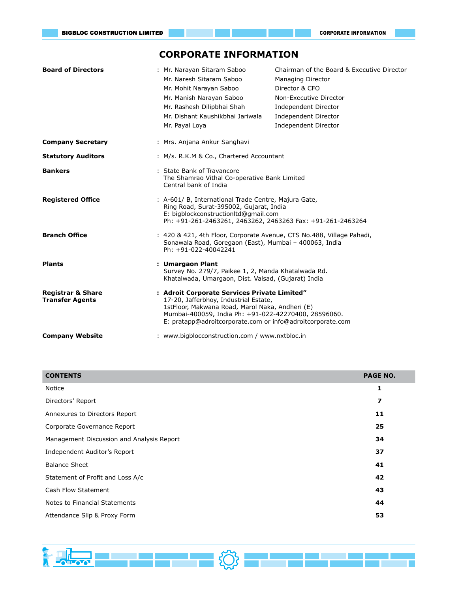# **CORPORATE INFORMATION**

| <b>Board of Directors</b>                              | : Mr. Narayan Sitaram Saboo<br>Mr. Naresh Sitaram Saboo<br>Mr. Mohit Narayan Saboo<br>Mr. Manish Narayan Saboo<br>Mr. Rashesh Dilipbhai Shah<br>Mr. Dishant Kaushikbhai Jariwala<br>Mr. Payal Loya                                                             | Chairman of the Board & Executive Director<br>Managing Director<br>Director & CFO<br>Non-Executive Director<br>Independent Director<br>Independent Director<br>Independent Director |  |  |  |  |
|--------------------------------------------------------|----------------------------------------------------------------------------------------------------------------------------------------------------------------------------------------------------------------------------------------------------------------|-------------------------------------------------------------------------------------------------------------------------------------------------------------------------------------|--|--|--|--|
| <b>Company Secretary</b>                               | : Mrs. Anjana Ankur Sanghavi                                                                                                                                                                                                                                   |                                                                                                                                                                                     |  |  |  |  |
| <b>Statutory Auditors</b>                              | : M/s. R.K.M & Co., Chartered Accountant                                                                                                                                                                                                                       |                                                                                                                                                                                     |  |  |  |  |
| <b>Bankers</b>                                         | : State Bank of Travancore<br>Central bank of India                                                                                                                                                                                                            | The Shamrao Vithal Co-operative Bank Limited                                                                                                                                        |  |  |  |  |
| <b>Registered Office</b>                               | : A-601/ B, International Trade Centre, Majura Gate,<br>Ring Road, Surat-395002, Gujarat, India<br>E: bigblockconstructionltd@gmail.com                                                                                                                        | Ph: +91-261-2463261, 2463262, 2463263 Fax: +91-261-2463264                                                                                                                          |  |  |  |  |
| <b>Branch Office</b>                                   | Ph: +91-022-40042241                                                                                                                                                                                                                                           | : 420 & 421, 4th Floor, Corporate Avenue, CTS No.488, Village Pahadi,<br>Sonawala Road, Goregaon (East), Mumbai - 400063, India                                                     |  |  |  |  |
| <b>Plants</b>                                          | : Umargaon Plant                                                                                                                                                                                                                                               | Survey No. 279/7, Paikee 1, 2, Manda Khatalwada Rd.<br>Khatalwada, Umargaon, Dist. Valsad, (Gujarat) India                                                                          |  |  |  |  |
| <b>Registrar &amp; Share</b><br><b>Transfer Agents</b> | : Adroit Corporate Services Private Limited"<br>17-20, Jafferbhoy, Industrial Estate,<br>1stFloor, Makwana Road, Marol Naka, Andheri (E)<br>Mumbai-400059, India Ph: +91-022-42270400, 28596060.<br>E: pratapp@adroitcorporate.com or info@adroitcorporate.com |                                                                                                                                                                                     |  |  |  |  |
| <b>Company Website</b>                                 | : www.bigblocconstruction.com / www.nxtbloc.in                                                                                                                                                                                                                 |                                                                                                                                                                                     |  |  |  |  |

| <b>CONTENTS</b>                           | <b>PAGE NO.</b> |
|-------------------------------------------|-----------------|
| Notice                                    | 1               |
| Directors' Report                         | 7               |
| Annexures to Directors Report             | 11              |
| Corporate Governance Report               | 25              |
| Management Discussion and Analysis Report | 34              |
| Independent Auditor's Report              | 37              |
| <b>Balance Sheet</b>                      | 41              |
| Statement of Profit and Loss A/c          | 42              |
| Cash Flow Statement                       | 43              |
| Notes to Financial Statements             | 44              |
| Attendance Slip & Proxy Form              | 53              |
|                                           |                 |

<u>i ska med er Ø</u>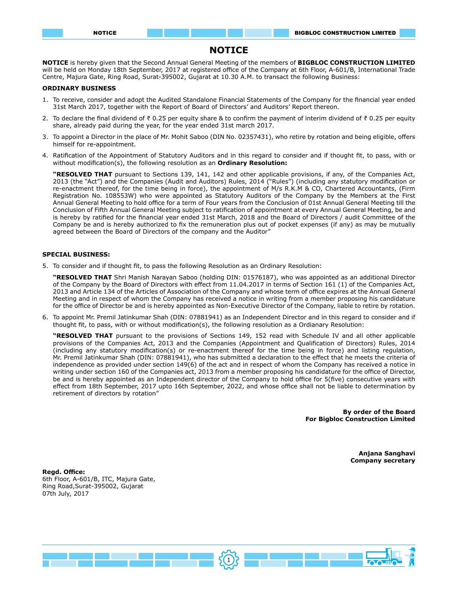# **NOTICE**

**NOTICE** is hereby given that the Second Annual General Meeting of the members of **BIGBLOC CONSTRUCTION LIMITED** will be held on Monday 18th September, 2017 at registered office of the Company at 6th Floor, A-601/B, International Trade Centre, Majura Gate, Ring Road, Surat-395002, Gujarat at 10.30 A.M. to transact the following Business:

#### **ORDINARY BUSINESS**

- 1. To receive, consider and adopt the Audited Standalone Financial Statements of the Company for the financial year ended 31st March 2017, together with the Report of Board of Directors' and Auditors' Report thereon.
- 2. To declare the final dividend of ₹ 0.25 per equity share & to confirm the payment of interim dividend of ₹ 0.25 per equity share, already paid during the year, for the year ended 31st march 2017.
- 3. To appoint a Director in the place of Mr. Mohit Saboo (DIN No. 02357431), who retire by rotation and being eligible, offers himself for re-appointment.
- 4. Ratification of the Appointment of Statutory Auditors and in this regard to consider and if thought fit, to pass, with or without modification(s), the following resolution as an **Ordinary Resolution:**

**"RESOLVED THAT** pursuant to Sections 139, 141, 142 and other applicable provisions, if any, of the Companies Act, 2013 (the "Act") and the Companies (Audit and Auditors) Rules, 2014 ("Rules") (including any statutory modification or re-enactment thereof, for the time being in force), the appointment of M/s R.K.M & CO, Chartered Accountants, (Firm Registration No. 108553W) who were appointed as Statutory Auditors of the Company by the Members at the First Annual General Meeting to hold office for a term of Four years from the Conclusion of 01st Annual General Meeting till the Conclusion of Fifth Annual General Meeting subject to ratification of appointment at every Annual General Meeting, be and is hereby by ratified for the financial year ended 31st March, 2018 and the Board of Directors / audit Committee of the Company be and is hereby authorized to fix the remuneration plus out of pocket expenses (if any) as may be mutually agreed between the Board of Directors of the company and the Auditor"

#### **SPECIAL BUSINESS:**

5. To consider and if thought fit, to pass the following Resolution as an Ordinary Resolution:

**"RESOLVED THAT** Shri Manish Narayan Saboo (holding DIN: 01576187), who was appointed as an additional Director of the Company by the Board of Directors with effect from 11.04.2017 in terms of Section 161 (1) of the Companies Act, 2013 and Article 134 of the Articles of Association of the Company and whose term of office expires at the Annual General Meeting and in respect of whom the Company has received a notice in writing from a member proposing his candidature for the office of Director be and is hereby appointed as Non-Executive Director of the Company, liable to retire by rotation.

6. To appoint Mr. Premil Jatinkumar Shah (DIN: 07881941) as an Independent Director and in this regard to consider and if thought fit, to pass, with or without modification(s), the following resolution as a Ordianary Resolution:

**"RESOLVED THAT** pursuant to the provisions of Sections 149, 152 read with Schedule IV and all other applicable provisions of the Companies Act, 2013 and the Companies (Appointment and Qualification of Directors) Rules, 2014 (including any statutory modification(s) or re-enactment thereof for the time being in force) and listing regulation, Mr. Premil Jatinkumar Shah (DIN: 07881941), who has submitted a declaration to the effect that he meets the criteria of independence as provided under section 149(6) of the act and in respect of whom the Company has received a notice in writing under section 160 of the Companies act, 2013 from a member proposing his candidature for the office of Director, be and is hereby appointed as an Independent director of the Company to hold office for 5(five) consecutive years with effect from 18th September, 2017 upto 16th September, 2022, and whose office shall not be liable to determination by retirement of directors by rotation"

> **By order of the Board For Bigbloc Construction Limited**

> > **Anjana Sanghavi Company secretary**

**Regd. Office:** 6th Floor, A-601/B, ITC, Majura Gate, Ring Road,Surat-395002, Gujarat 07th July, 2017

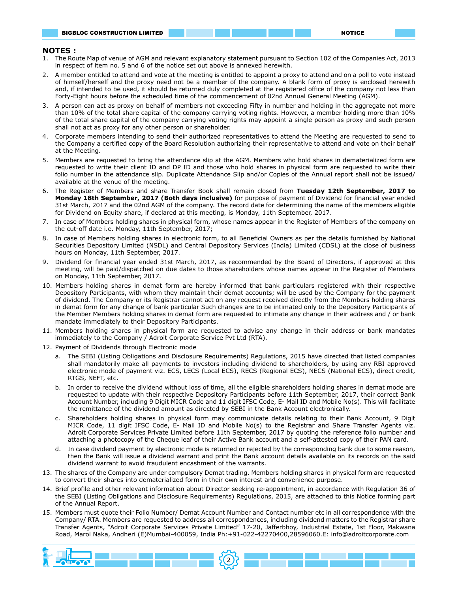#### **NOTES :**

- 1. The Route Map of venue of AGM and relevant explanatory statement pursuant to Section 102 of the Companies Act, 2013 in respect of item no. 5 and 6 of the notice set out above is annexed herewith.
- 2. A member entitled to attend and vote at the meeting is entitled to appoint a proxy to attend and on a poll to vote instead of himself/herself and the proxy need not be a member of the company. A blank form of proxy is enclosed herewith and, if intended to be used, it should be returned duly completed at the registered office of the company not less than Forty-Eight hours before the scheduled time of the commencement of 02nd Annual General Meeting (AGM).
- 3. A person can act as proxy on behalf of members not exceeding Fifty in number and holding in the aggregate not more than 10% of the total share capital of the company carrying voting rights. However, a member holding more than 10% of the total share capital of the company carrying voting rights may appoint a single person as proxy and such person shall not act as proxy for any other person or shareholder.
- 4. Corporate members intending to send their authorized representatives to attend the Meeting are requested to send to the Company a certified copy of the Board Resolution authorizing their representative to attend and vote on their behalf at the Meeting.
- 5. Members are requested to bring the attendance slip at the AGM. Members who hold shares in dematerialized form are requested to write their client ID and DP ID and those who hold shares in physical form are requested to write their folio number in the attendance slip. Duplicate Attendance Slip and/or Copies of the Annual report shall not be issued/ available at the venue of the meeting.
- 6. The Register of Members and share Transfer Book shall remain closed from **Tuesday 12th September, 2017 to Monday 18th September, 2017 (Both days inclusive)** for purpose of payment of Dividend for financial year ended 31st March, 2017 and the 02nd AGM of the company. The record date for determining the name of the members eligible for Dividend on Equity share, if declared at this meeting, is Monday, 11th September, 2017.
- 7. In case of Members holding shares in physical form, whose names appear in the Register of Members of the company on the cut-off date i.e. Monday, 11th September, 2017;
- 8. In case of Members holding shares in electronic form, to all Beneficial Owners as per the details furnished by National Securities Depository Limited (NSDL) and Central Depository Services (India) Limited (CDSL) at the close of business hours on Monday, 11th September, 2017.
- 9. Dividend for financial year ended 31st March, 2017, as recommended by the Board of Directors, if approved at this meeting, will be paid/dispatched on due dates to those shareholders whose names appear in the Register of Members on Monday, 11th September, 2017.
- 10. Members holding shares in demat form are hereby informed that bank particulars registered with their respective Depository Participants, with whom they maintain their demat accounts; will be used by the Company for the payment of dividend. The Company or its Registrar cannot act on any request received directly from the Members holding shares in demat form for any change of bank particular Such changes are to be intimated only to the Depository Participants of the Member Members holding shares in demat form are requested to intimate any change in their address and / or bank mandate immediately to their Depository Participants.
- 11. Members holding shares in physical form are requested to advise any change in their address or bank mandates immediately to the Company / Adroit Corporate Service Pvt Ltd (RTA).
- 12. Payment of Dividends through Electronic mode
	- a. The SEBI (Listing Obligations and Disclosure Requirements) Regulations, 2015 have directed that listed companies shall mandatorily make all payments to investors including dividend to shareholders, by using any RBI approved electronic mode of payment viz. ECS, LECS (Local ECS), RECS (Regional ECS), NECS (National ECS), direct credit, RTGS, NEFT, etc.
	- b. In order to receive the dividend without loss of time, all the eligible shareholders holding shares in demat mode are requested to update with their respective Depository Participants before 11th September, 2017, their correct Bank Account Number, including 9 Digit MICR Code and 11 digit IFSC Code, E- Mail ID and Mobile No(s). This will facilitate the remittance of the dividend amount as directed by SEBI in the Bank Account electronically.
	- c. Shareholders holding shares in physical form may communicate details relating to their Bank Account, 9 Digit MICR Code, 11 digit IFSC Code, E- Mail ID and Mobile No(s) to the Registrar and Share Transfer Agents viz. Adroit Corporate Services Private Limited before 11th September, 2017 by quoting the reference folio number and attaching a photocopy of the Cheque leaf of their Active Bank account and a self-attested copy of their PAN card.
	- d. In case dividend payment by electronic mode is returned or rejected by the corresponding bank due to some reason, then the Bank will issue a dividend warrant and print the Bank account details available on its records on the said dividend warrant to avoid fraudulent encashment of the warrants.
- 13. The shares of the Company are under compulsory Demat trading. Members holding shares in physical form are requested to convert their shares into dematerialized form in their own interest and convenience purpose.
- 14. Brief profile and other relevant information about Director seeking re-appointment, in accordance with Regulation 36 of the SEBI (Listing Obligations and Disclosure Requirements) Regulations, 2015, are attached to this Notice forming part of the Annual Report.
- 15. Members must quote their Folio Number/ Demat Account Number and Contact number etc in all correspondence with the Company/ RTA. Members are requested to address all correspondences, including dividend matters to the Registrar share Transfer Agents, "Adroit Corporate Services Private Limited" 17-20, Jafferbhoy, Industrial Estate, 1st Floor, Makwana Road, Marol Naka, Andheri (E)Mumbai-400059, India Ph:+91-022-42270400,28596060.E: info@adroitcorporate.com

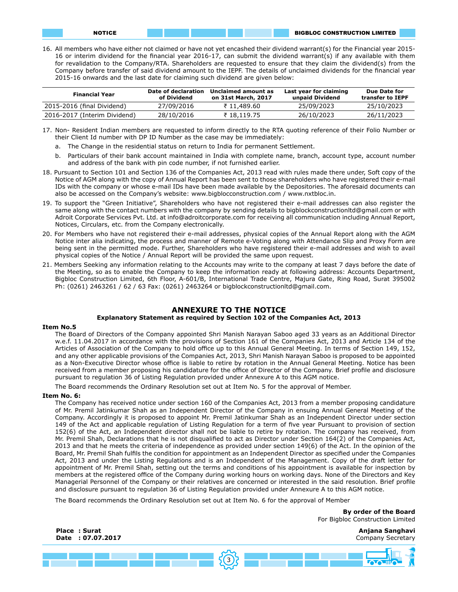16. All members who have either not claimed or have not yet encashed their dividend warrant(s) for the Financial year 2015- 16 or interim dividend for the financial year 2016-17, can submit the dividend warrant(s) if any available with them for revalidation to the Company/RTA. Shareholders are requested to ensure that they claim the dividend(s) from the Company before transfer of said dividend amount to the IEPF. The details of unclaimed dividends for the financial year 2015-16 onwards and the last date for claiming such dividend are given below:

| <b>Financial Year</b>        | Date of declaration<br>of Dividend | Unclaimed amount as<br>on 31st March, 2017 | Last year for claiming<br>unpaid Dividend | Due Date for<br>transfer to IEPF |
|------------------------------|------------------------------------|--------------------------------------------|-------------------------------------------|----------------------------------|
| 2015-2016 (final Dividend)   | 27/09/2016                         | ₹ 11.489.60                                | 25/09/2023                                | 25/10/2023                       |
| 2016-2017 (Interim Dividend) | 28/10/2016                         | ₹18.119.75                                 | 26/10/2023                                | 26/11/2023                       |

- 17. Non- Resident Indian members are requested to inform directly to the RTA quoting reference of their Folio Number or their Client Id number with DP ID Number as the case may be immediately:
	- a. The Change in the residential status on return to India for permanent Settlement.
	- b. Particulars of their bank account maintained in India with complete name, branch, account type, account number and address of the bank with pin code number, if not furnished earlier.
- 18. Pursuant to Section 101 and Section 136 of the Companies Act, 2013 read with rules made there under, Soft copy of the Notice of AGM along with the copy of Annual Report has been sent to those shareholders who have registered their e-mail IDs with the company or whose e-mail IDs have been made available by the Depositories. The aforesaid documents can also be accessed on the Company's website: www.bigblocconstruction.com / www.nxtbloc.in.
- 19. To support the "Green Initiative", Shareholders who have not registered their e-mail addresses can also register the same along with the contact numbers with the company by sending details to bigblockconstructionltd@gmail.com or with Adroit Corporate Services Pvt. Ltd. at info@adroitcorporate.com for receiving all communication including Annual Report, Notices, Circulars, etc. from the Company electronically.
- 20. For Members who have not registered their e-mail addresses, physical copies of the Annual Report along with the AGM Notice inter alia indicating, the process and manner of Remote e-Voting along with Attendance Slip and Proxy Form are being sent in the permitted mode. Further, Shareholders who have registered their e-mail addresses and wish to avail physical copies of the Notice / Annual Report will be provided the same upon request.
- 21. Members Seeking any information relating to the Accounts may write to the company at least 7 days before the date of the Meeting, so as to enable the Company to keep the information ready at following address: Accounts Department, Bigbloc Construction Limited, 6th Floor, A-601/B, International Trade Centre, Majura Gate, Ring Road, Surat 395002 Ph: (0261) 2463261 / 62 / 63 Fax: (0261) 2463264 or bigblockconstructionltd@gmail.com.

#### **ANNEXURE TO THE NOTICE**

# **Explanatory Statement as required by Section 102 of the Companies Act, 2013**

#### **Item No.5**

The Board of Directors of the Company appointed Shri Manish Narayan Saboo aged 33 years as an Additional Director w.e.f. 11.04.2017 in accordance with the provisions of Section 161 of the Companies Act, 2013 and Article 134 of the Articles of Association of the Company to hold office up to this Annual General Meeting. In terms of Section 149, 152, and any other applicable provisions of the Companies Act, 2013, Shri Manish Narayan Saboo is proposed to be appointed as a Non-Executive Director whose office is liable to retire by rotation in the Annual General Meeting. Notice has been received from a member proposing his candidature for the office of Director of the Company. Brief profile and disclosure pursuant to regulation 36 of Listing Regulation provided under Annexure A to this AGM notice.

The Board recommends the Ordinary Resolution set out at Item No. 5 for the approval of Member.

#### **Item No. 6:**

The Company has received notice under section 160 of the Companies Act, 2013 from a member proposing candidature of Mr. Premil Jatinkumar Shah as an Independent Director of the Company in ensuing Annual General Meeting of the Company. Accordingly it is proposed to appoint Mr. Premil Jatinkumar Shah as an Independent Director under section 149 of the Act and applicable regulation of Listing Regulation for a term of five year Pursuant to provision of section 152(6) of the Act, an Independent director shall not be liable to retire by rotation. The company has received, from Mr. Premil Shah, Declarations that he is not disqualified to act as Director under Section 164(2) of the Companies Act, 2013 and that he meets the criteria of independence as provided under section 149(6) of the Act. In the opinion of the Board, Mr. Premil Shah fulfils the condition for appointment as an Independent Director as specified under the Companies Act, 2013 and under the Listing Regulations and is an Independent of the Management. Copy of the draft letter for appointment of Mr. Premil Shah, setting out the terms and conditions of his appointment is available for inspection by members at the registered office of the Company during working hours on working days. None of the Directors and Key Managerial Personnel of the Company or their relatives are concerned or interested in the said resolution. Brief profile and disclosure pursuant to regulation 36 of Listing Regulation provided under Annexure A to this AGM notice.

The Board recommends the Ordinary Resolution set out at Item No. 6 for the approval of Member

**By order of the Board**  For Bigbloc Construction Limited

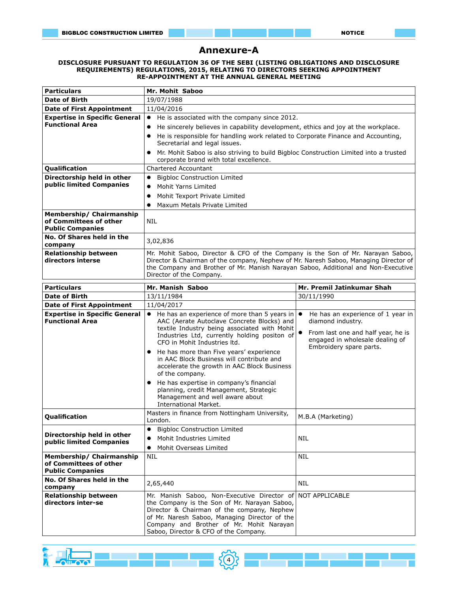# **Annexure-A**

#### **DISCLOSURE PURSUANT TO REGULATION 36 OF THE SEBI (LISTING OBLIGATIONS AND DISCLOSURE REQUIREMENTS) REGULATIONS, 2015, RELATING TO DIRECTORS SEEKING APPOINTMENT RE-APPOINTMENT AT THE ANNUAL GENERAL MEETING**

| <b>Particulars</b>                                                            | <b>Mr. Mohit Saboo</b>                                                                                                                                                  |                                    |  |  |  |  |  |
|-------------------------------------------------------------------------------|-------------------------------------------------------------------------------------------------------------------------------------------------------------------------|------------------------------------|--|--|--|--|--|
| <b>Date of Birth</b>                                                          | 19/07/1988                                                                                                                                                              |                                    |  |  |  |  |  |
| <b>Date of First Appointment</b>                                              | 11/04/2016                                                                                                                                                              |                                    |  |  |  |  |  |
| <b>Expertise in Specific General</b>                                          | He is associated with the company since 2012.<br>$\bullet$                                                                                                              |                                    |  |  |  |  |  |
| <b>Functional Area</b>                                                        | He sincerely believes in capability development, ethics and joy at the workplace.<br>$\bullet$                                                                          |                                    |  |  |  |  |  |
|                                                                               | He is responsible for handling work related to Corporate Finance and Accounting,                                                                                        |                                    |  |  |  |  |  |
|                                                                               | Secretarial and legal issues.                                                                                                                                           |                                    |  |  |  |  |  |
|                                                                               | Mr. Mohit Saboo is also striving to build Bigbloc Construction Limited into a trusted                                                                                   |                                    |  |  |  |  |  |
|                                                                               | corporate brand with total excellence.                                                                                                                                  |                                    |  |  |  |  |  |
| Qualification                                                                 | <b>Chartered Accountant</b>                                                                                                                                             |                                    |  |  |  |  |  |
| Directorship held in other                                                    | <b>Bigbloc Construction Limited</b><br>$\bullet$                                                                                                                        |                                    |  |  |  |  |  |
| public limited Companies                                                      | Mohit Yarns Limited<br>$\bullet$                                                                                                                                        |                                    |  |  |  |  |  |
|                                                                               | Mohit Texport Private Limited                                                                                                                                           |                                    |  |  |  |  |  |
|                                                                               | Maxum Metals Private Limited<br>٠                                                                                                                                       |                                    |  |  |  |  |  |
| Membership/ Chairmanship<br>of Committees of other<br><b>Public Companies</b> | <b>NIL</b>                                                                                                                                                              |                                    |  |  |  |  |  |
| No. Of Shares held in the                                                     | 3,02,836                                                                                                                                                                |                                    |  |  |  |  |  |
| company                                                                       |                                                                                                                                                                         |                                    |  |  |  |  |  |
| <b>Relationship between</b><br>directors interse                              | Mr. Mohit Saboo, Director & CFO of the Company is the Son of Mr. Narayan Saboo,<br>Director & Chairman of the company, Nephew of Mr. Naresh Saboo, Managing Director of |                                    |  |  |  |  |  |
|                                                                               | the Company and Brother of Mr. Manish Narayan Saboo, Additional and Non-Executive                                                                                       |                                    |  |  |  |  |  |
|                                                                               | Director of the Company.                                                                                                                                                |                                    |  |  |  |  |  |
| <b>Particulars</b>                                                            | Mr. Manish Saboo                                                                                                                                                        | Mr. Premil Jatinkumar Shah         |  |  |  |  |  |
| <b>Date of Birth</b>                                                          | 13/11/1984                                                                                                                                                              | 30/11/1990                         |  |  |  |  |  |
| <b>Date of First Appointment</b>                                              | 11/04/2017                                                                                                                                                              |                                    |  |  |  |  |  |
| <b>Expertise in Specific General</b>                                          | He has an experience of more than 5 years in $\bullet$<br>$\bullet$                                                                                                     | He has an experience of 1 year in  |  |  |  |  |  |
| <b>Functional Area</b>                                                        | AAC (Aerate Autoclave Concrete Blocks) and                                                                                                                              | diamond industry.                  |  |  |  |  |  |
|                                                                               | textile Industry being associated with Mohit                                                                                                                            | From last one and half year, he is |  |  |  |  |  |
|                                                                               | Industries Ltd, currently holding positon of<br>CFO in Mohit Industries Itd.                                                                                            | engaged in wholesale dealing of    |  |  |  |  |  |
|                                                                               | He has more than Five years' experience<br>$\bullet$                                                                                                                    | Embroidery spare parts.            |  |  |  |  |  |
|                                                                               | in AAC Block Business will contribute and                                                                                                                               |                                    |  |  |  |  |  |
|                                                                               | accelerate the growth in AAC Block Business                                                                                                                             |                                    |  |  |  |  |  |
|                                                                               | of the company.                                                                                                                                                         |                                    |  |  |  |  |  |
|                                                                               | He has expertise in company's financial<br>$\bullet$                                                                                                                    |                                    |  |  |  |  |  |
|                                                                               | planning, credit Management, Strategic<br>Management and well aware about                                                                                               |                                    |  |  |  |  |  |
|                                                                               | <b>International Market.</b>                                                                                                                                            |                                    |  |  |  |  |  |
| Qualification                                                                 | Masters in finance from Nottingham University,                                                                                                                          | M.B.A (Marketing)                  |  |  |  |  |  |
|                                                                               | London.                                                                                                                                                                 |                                    |  |  |  |  |  |
| Directorship held in other                                                    | <b>Bigbloc Construction Limited</b><br>$\bullet$                                                                                                                        |                                    |  |  |  |  |  |
| public limited Companies                                                      | Mohit Industries Limited<br>$\bullet$                                                                                                                                   | NIL                                |  |  |  |  |  |
|                                                                               | Mohit Overseas Limited<br>$\bullet$                                                                                                                                     |                                    |  |  |  |  |  |
| Membership/ Chairmanship<br>of Committees of other                            | <b>NIL</b>                                                                                                                                                              | <b>NIL</b>                         |  |  |  |  |  |
| <b>Public Companies</b>                                                       |                                                                                                                                                                         |                                    |  |  |  |  |  |
| No. Of Shares held in the                                                     |                                                                                                                                                                         |                                    |  |  |  |  |  |
| company                                                                       | <b>NIL</b><br>2,65,440                                                                                                                                                  |                                    |  |  |  |  |  |
| <b>Relationship between</b>                                                   | Mr. Manish Saboo, Non-Executive Director of                                                                                                                             | NOT APPLICABLE                     |  |  |  |  |  |
| directors inter-se                                                            | the Company is the Son of Mr. Narayan Saboo,                                                                                                                            |                                    |  |  |  |  |  |
|                                                                               | Director & Chairman of the company, Nephew<br>of Mr. Naresh Saboo, Managing Director of the                                                                             |                                    |  |  |  |  |  |
|                                                                               | Company and Brother of Mr. Mohit Narayan                                                                                                                                |                                    |  |  |  |  |  |
|                                                                               | Saboo, Director & CFO of the Company.                                                                                                                                   |                                    |  |  |  |  |  |

4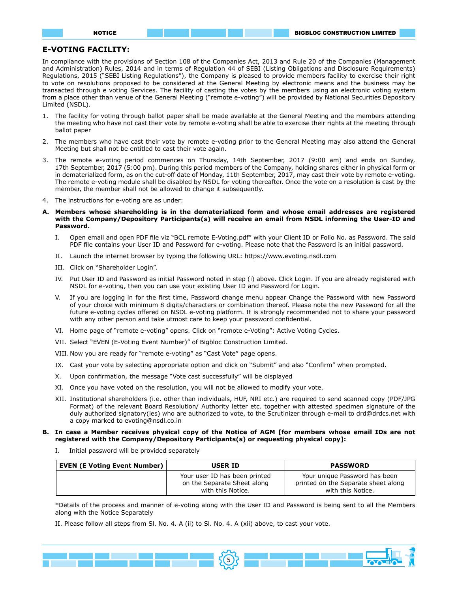#### **E-VOTING FACILITY:**

In compliance with the provisions of Section 108 of the Companies Act, 2013 and Rule 20 of the Companies (Management and Administration) Rules, 2014 and in terms of Regulation 44 of SEBI (Listing Obligations and Disclosure Requirements) Regulations, 2015 ("SEBI Listing Regulations"), the Company is pleased to provide members facility to exercise their right to vote on resolutions proposed to be considered at the General Meeting by electronic means and the business may be transacted through e voting Services. The facility of casting the votes by the members using an electronic voting system from a place other than venue of the General Meeting ("remote e-voting") will be provided by National Securities Depository Limited (NSDL).

- 1. The facility for voting through ballot paper shall be made available at the General Meeting and the members attending the meeting who have not cast their vote by remote e-voting shall be able to exercise their rights at the meeting through ballot paper
- 2. The members who have cast their vote by remote e-voting prior to the General Meeting may also attend the General Meeting but shall not be entitled to cast their vote again.
- 3. The remote e-voting period commences on Thursday, 14th September, 2017 (9:00 am) and ends on Sunday, 17th September, 2017 (5:00 pm). During this period members of the Company, holding shares either in physical form or in dematerialized form, as on the cut-off date of Monday, 11th September, 2017, may cast their vote by remote e-voting. The remote e-voting module shall be disabled by NSDL for voting thereafter. Once the vote on a resolution is cast by the member, the member shall not be allowed to change it subsequently.
- 4. The instructions for e-voting are as under:
- **A. Members whose shareholding is in the dematerialized form and whose email addresses are registered with the Company/Depository Participants(s) will receive an email from NSDL informing the User-ID and Password.**
	- I. Open email and open PDF file viz "BCL remote E-Voting.pdf" with your Client ID or Folio No. as Password. The said PDF file contains your User ID and Password for e-voting. Please note that the Password is an initial password.
	- II. Launch the internet browser by typing the following URL: https://www.evoting.nsdl.com
	- III. Click on "Shareholder Login".
	- IV. Put User ID and Password as initial Password noted in step (i) above. Click Login. If you are already registered with NSDL for e-voting, then you can use your existing User ID and Password for Login.
	- V. If you are logging in for the first time, Password change menu appear Change the Password with new Password of your choice with minimum 8 digits/characters or combination thereof. Please note the new Password for all the future e-voting cycles offered on NSDL e-voting platform. It is strongly recommended not to share your password with any other person and take utmost care to keep your password confidential.
	- VI. Home page of "remote e-voting" opens. Click on "remote e-Voting": Active Voting Cycles.
	- VII. Select "EVEN (E-Voting Event Number)" of Bigbloc Construction Limited.
	- VIII. Now you are ready for "remote e-voting" as "Cast Vote" page opens.
	- IX. Cast your vote by selecting appropriate option and click on "Submit" and also "Confirm" when prompted.
	- X. Upon confirmation, the message "Vote cast successfully" will be displayed
	- XI. Once you have voted on the resolution, you will not be allowed to modify your vote.
	- XII. Institutional shareholders (i.e. other than individuals, HUF, NRI etc.) are required to send scanned copy (PDF/JPG Format) of the relevant Board Resolution/ Authority letter etc. together with attested specimen signature of the duly authorized signatory(ies) who are authorized to vote, to the Scrutinizer through e-mail to drd@drdcs.net with a copy marked to evoting@nsdl.co.in

#### **B. In case a Member receives physical copy of the Notice of AGM [for members whose email IDs are not registered with the Company/Depository Participants(s) or requesting physical copy]:**

I. Initial password will be provided separately

|                                     | <b>USER ID</b>                                                                    | <b>PASSWORD</b>                                                                           |
|-------------------------------------|-----------------------------------------------------------------------------------|-------------------------------------------------------------------------------------------|
| <b>EVEN (E Voting Event Number)</b> | Your user ID has been printed<br>on the Separate Sheet along<br>with this Notice. | Your unique Password has been<br>printed on the Separate sheet along<br>with this Notice. |

\*Details of the process and manner of e-voting along with the User ID and Password is being sent to all the Members along with the Notice Separately

II. Please follow all steps from Sl. No. 4. A (ii) to Sl. No. 4. A (xii) above, to cast your vote.

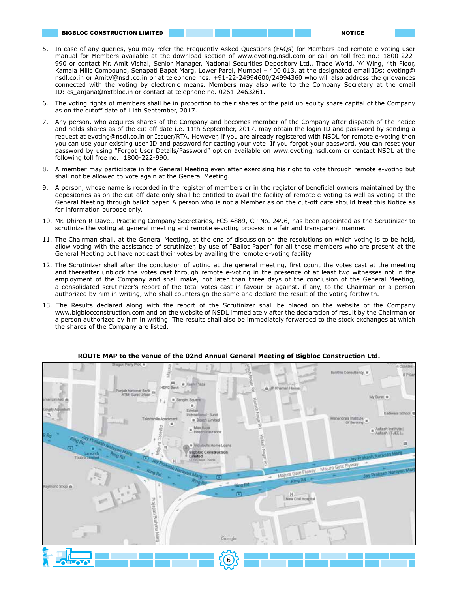- 5. In case of any queries, you may refer the Frequently Asked Questions (FAQs) for Members and remote e-voting user manual for Members available at the download section of www.evoting.nsdl.com or call on toll free no.: 1800-222- 990 or contact Mr. Amit Vishal, Senior Manager, National Securities Depository Ltd., Trade World, 'A' Wing, 4th Floor, Kamala Mills Compound, Senapati Bapat Marg, Lower Parel, Mumbai – 400 013, at the designated email IDs: evoting@ nsdl.co.in or AmitV@nsdl.co.in or at telephone nos. +91-22-24994600/24994360 who will also address the grievances connected with the voting by electronic means. Members may also write to the Company Secretary at the email ID: cs\_anjana@nxtbloc.in or contact at telephone no. 0261-2463261.
- 6. The voting rights of members shall be in proportion to their shares of the paid up equity share capital of the Company as on the cutoff date of 11th September, 2017.
- 7. Any person, who acquires shares of the Company and becomes member of the Company after dispatch of the notice and holds shares as of the cut-off date i.e. 11th September, 2017, may obtain the login ID and password by sending a request at evoting@nsdl.co.in or Issuer/RTA. However, if you are already registered with NSDL for remote e-voting then you can use your existing user ID and password for casting your vote. If you forgot your password, you can reset your password by using "Forgot User Details/Password" option available on www.evoting.nsdl.com or contact NSDL at the following toll free no.: 1800-222-990.
- 8. A member may participate in the General Meeting even after exercising his right to vote through remote e-voting but shall not be allowed to vote again at the General Meeting.
- 9. A person, whose name is recorded in the register of members or in the register of beneficial owners maintained by the depositories as on the cut-off date only shall be entitled to avail the facility of remote e-voting as well as voting at the General Meeting through ballot paper. A person who is not a Member as on the cut-off date should treat this Notice as for information purpose only.
- 10. Mr. Dhiren R Dave., Practicing Company Secretaries, FCS 4889, CP No. 2496, has been appointed as the Scrutinizer to scrutinize the voting at general meeting and remote e-voting process in a fair and transparent manner.
- 11. The Chairman shall, at the General Meeting, at the end of discussion on the resolutions on which voting is to be held, allow voting with the assistance of scrutinizer, by use of "Ballot Paper" for all those members who are present at the General Meeting but have not cast their votes by availing the remote e-voting facility.
- 12. The Scrutinizer shall after the conclusion of voting at the general meeting, first count the votes cast at the meeting and thereafter unblock the votes cast through remote e-voting in the presence of at least two witnesses not in the employment of the Company and shall make, not later than three days of the conclusion of the General Meeting, a consolidated scrutinizer's report of the total votes cast in favour or against, if any, to the Chairman or a person authorized by him in writing, who shall countersign the same and declare the result of the voting forthwith.
- 13. The Results declared along with the report of the Scrutinizer shall be placed on the website of the Company www.bigblocconstruction.com and on the website of NSDL immediately after the declaration of result by the Chairman or a person authorized by him in writing. The results shall also be immediately forwarded to the stock exchanges at which the shares of the Company are listed.



**ROUTE MAP to the venue of the 02nd Annual General Meeting of Bigbloc Construction Ltd.**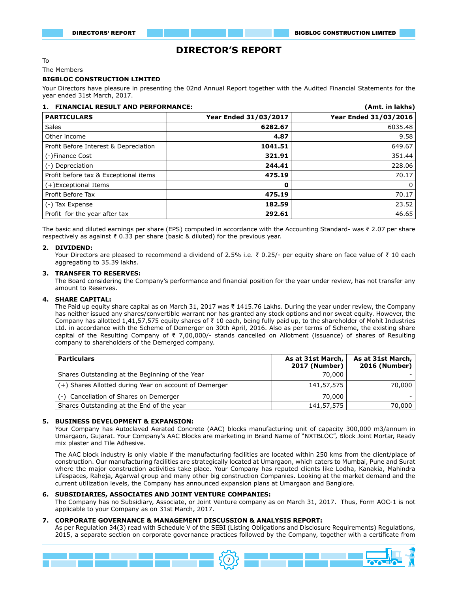# **DIRECTOR'S REPORT**

#### To

The Members

#### **BIGBLOC CONSTRUCTION LIMITED**

Your Directors have pleasure in presenting the 02nd Annual Report together with the Audited Financial Statements for the year ended 31st March, 2017.

| <b>FINANCIAL RESULT AND PERFORMANCE:</b><br>1. |                       | (Amt. in lakhs)       |
|------------------------------------------------|-----------------------|-----------------------|
| <b>PARTICULARS</b>                             | Year Ended 31/03/2017 | Year Ended 31/03/2016 |
| <b>Sales</b>                                   | 6282.67               | 6035.48               |
| Other income                                   | 4.87                  | 9.58                  |
| Profit Before Interest & Depreciation          | 1041.51               | 649.67                |
| (-)Finance Cost                                | 321.91                | 351.44                |
| (-) Depreciation                               | 244.41                | 228.06                |
| Profit before tax & Exceptional items          | 475.19                | 70.17                 |
| (+)Exceptional Items                           | 0                     | $\Omega$              |
| Profit Before Tax                              | 475.19                | 70.17                 |
| (-) Tax Expense                                | 182.59                | 23.52                 |
| Profit for the year after tax                  | 292.61                | 46.65                 |

The basic and diluted earnings per share (EPS) computed in accordance with the Accounting Standard- was ₹ 2.07 per share respectively as against ₹ 0.33 per share (basic & diluted) for the previous year.

#### **2. DIVIDEND:**

Your Directors are pleased to recommend a dividend of 2.5% i.e. ₹ 0.25/- per equity share on face value of ₹ 10 each aggregating to 35.39 lakhs.

#### **3. TRANSFER TO RESERVES:**

The Board considering the Company's performance and financial position for the year under review, has not transfer any amount to Reserves.

#### **4. SHARE CAPITAL:**

The Paid up equity share capital as on March 31, 2017 was ₹ 1415.76 Lakhs. During the year under review, the Company has neither issued any shares/convertible warrant nor has granted any stock options and nor sweat equity. However, the Company has allotted 1,41,57,575 equity shares of ₹ 10 each, being fully paid up, to the shareholder of Mohit Industries Ltd. in accordance with the Scheme of Demerger on 30th April, 2016. Also as per terms of Scheme, the existing share capital of the Resulting Company of ₹ 7,00,000/- stands cancelled on Allotment (issuance) of shares of Resulting company to shareholders of the Demerged company.

| <b>Particulars</b>                                     | As at 31st March,<br>2017 (Number) | As at 31st March,<br>2016 (Number) $ $ |
|--------------------------------------------------------|------------------------------------|----------------------------------------|
| Shares Outstanding at the Beginning of the Year        | 70,000                             |                                        |
| (+) Shares Allotted during Year on account of Demerger | 141,57,575                         | 70,000                                 |
| (-) Cancellation of Shares on Demerger                 | 70,000                             |                                        |
| Shares Outstanding at the End of the year              | 141,57,575                         | 70,000                                 |

#### **5. BUSINESS DEVELOPMENT & EXPANSION:**

Your Company has Autoclaved Aerated Concrete (AAC) blocks manufacturing unit of capacity 300,000 m3/annum in Umargaon, Gujarat. Your Company's AAC Blocks are marketing in Brand Name of "NXTBLOC", Block Joint Mortar, Ready mix plaster and Tile Adhesive.

The AAC block industry is only viable if the manufacturing facilities are located within 250 kms from the client/place of construction. Our manufacturing facilities are strategically located at Umargaon, which caters to Mumbai, Pune and Surat where the major construction activities take place. Your Company has reputed clients like Lodha, Kanakia, Mahindra Lifespaces, Raheja, Agarwal group and many other big construction Companies. Looking at the market demand and the current utilization levels, the Company has announced expansion plans at Umargaon and Banglore.

#### **6. SUBSIDIARIES, ASSOCIATES AND JOINT VENTURE COMPANIES:**

The Company has no Subsidiary, Associate, or Joint Venture company as on March 31, 2017. Thus, Form AOC-1 is not applicable to your Company as on 31st March, 2017.

#### **7. CORPORATE GOVERNANCE & MANAGEMENT DISCUSSION & ANALYSIS REPORT:**

As per Regulation 34(3) read with Schedule V of the SEBI (Listing Obligations and Disclosure Requirements) Regulations, 2015, a separate section on corporate governance practices followed by the Company, together with a certificate from

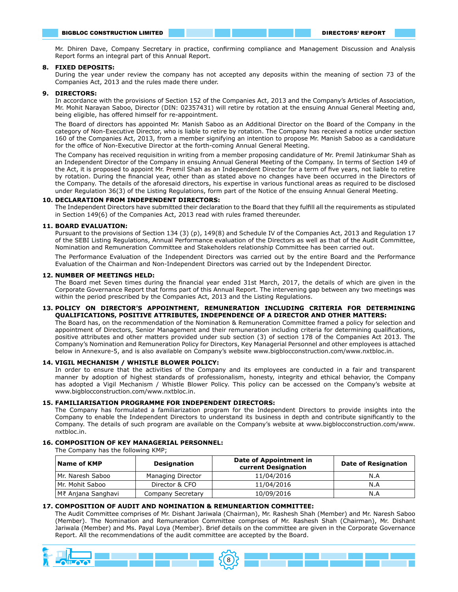Mr. Dhiren Dave, Company Secretary in practice, confirming compliance and Management Discussion and Analysis Report forms an integral part of this Annual Report.

#### **8. FIXED DEPOSITS:**

During the year under review the company has not accepted any deposits within the meaning of section 73 of the Companies Act, 2013 and the rules made there under.

#### **9. DIRECTORS:**

In accordance with the provisions of Section 152 of the Companies Act, 2013 and the Company's Articles of Association, Mr. Mohit Narayan Saboo, Director (DIN: 02357431) will retire by rotation at the ensuing Annual General Meeting and, being eligible, has offered himself for re-appointment.

The Board of directors has appointed Mr. Manish Saboo as an Additional Director on the Board of the Company in the category of Non-Executive Director, who is liable to retire by rotation. The Company has received a notice under section 160 of the Companies Act, 2013, from a member signifying an intention to propose Mr. Manish Saboo as a candidature for the office of Non-Executive Director at the forth-coming Annual General Meeting.

The Company has received requisition in writing from a member proposing candidature of Mr. Premil Jatinkumar Shah as an Independent Director of the Company in ensuing Annual General Meeting of the Company. In terms of Section 149 of the Act, it is proposed to appoint Mr. Premil Shah as an Independent Director for a term of five years, not liable to retire by rotation. During the financial year, other than as stated above no changes have been occurred in the Directors of the Company. The details of the aforesaid directors, his expertise in various functional areas as required to be disclosed under Regulation 36(3) of the Listing Regulations, form part of the Notice of the ensuing Annual General Meeting.

#### **10. DECLARATION FROM INDEPENDENT DIRECTORS:**

The Independent Directors have submitted their declaration to the Board that they fulfill all the requirements as stipulated in Section 149(6) of the Companies Act, 2013 read with rules framed thereunder.

#### **11. BOARD EVALUATION:**

Pursuant to the provisions of Section 134 (3) (p), 149(8) and Schedule IV of the Companies Act, 2013 and Regulation 17 of the SEBI Listing Regulations, Annual Performance evaluation of the Directors as well as that of the Audit Committee, Nomination and Remuneration Committee and Stakeholders relationship Committee has been carried out.

The Performance Evaluation of the Independent Directors was carried out by the entire Board and the Performance Evaluation of the Chairman and Non-Independent Directors was carried out by the Independent Director.

#### **12. NUMBER OF MEETINGS HELD:**

The Board met Seven times during the financial year ended 31st March, 2017, the details of which are given in the Corporate Governance Report that forms part of this Annual Report. The intervening gap between any two meetings was within the period prescribed by the Companies Act, 2013 and the Listing Regulations.

#### **13. POLICY ON DIRECTOR'S APPOINTMENT, REMUNERATION INCLUDING CRITERIA FOR DETERMINING QUALIFICATIONS, POSITIVE ATTRIBUTES, INDEPENDENCE OF A DIRECTOR AND OTHER MATTERS:**

The Board has, on the recommendation of the Nomination & Remuneration Committee framed a policy for selection and appointment of Directors, Senior Management and their remuneration including criteria for determining qualifications, positive attributes and other matters provided under sub section (3) of section 178 of the Companies Act 2013. The Company's Nomination and Remuneration Policy for Directors, Key Managerial Personnel and other employees is attached below in Annexure-5, and is also available on Company's website www.bigblocconstruction.com/www.nxtbloc.in.

#### **14. VIGIL MECHANISM / WHISTLE BLOWER POLICY:**

In order to ensure that the activities of the Company and its employees are conducted in a fair and transparent manner by adoption of highest standards of professionalism, honesty, integrity and ethical behavior, the Company has adopted a Vigil Mechanism / Whistle Blower Policy. This policy can be accessed on the Company's website at www.bigblocconstruction.com/www.nxtbloc.in.

#### **15. FAMILIARISATION PROGRAMME FOR INDEPENDENT DIRECTORS:**

The Company has formulated a familiarization program for the Independent Directors to provide insights into the Company to enable the Independent Directors to understand its business in depth and contribute significantly to the Company. The details of such program are available on the Company's website at www.bigblocconstruction.com/www. nxtbloc.in.

#### **16. COMPOSITION OF KEY MANAGERIAL PERSONNEL:**

The Company has the following KMP;

| Name of KMP                       | <b>Designation</b> | Date of Appointment in<br>current Designation | <b>Date of Resignation</b> |
|-----------------------------------|--------------------|-----------------------------------------------|----------------------------|
| Mr. Naresh Saboo                  | Managing Director  | 11/04/2016                                    | N.A                        |
| Mr. Mohit Saboo<br>Director & CFO |                    | 11/04/2016                                    | N.A                        |
| M₹ Anjana Sanghavi                | Company Secretary  | 10/09/2016                                    | N.A                        |

#### **17. COMPOSITION OF AUDIT AND NOMINATION & REMUNEARTION COMMITTEE:**

The Audit Committee comprises of Mr. Dishant Jariwala (Chairman), Mr. Rashesh Shah (Member) and Mr. Naresh Saboo (Member). The Nomination and Remuneration Committee comprises of Mr. Rashesh Shah (Chairman), Mr. Dishant Jariwala (Member) and Ms. Payal Loya (Member). Brief details on the committee are given in the Corporate Governance Report. All the recommendations of the audit committee are accepted by the Board.

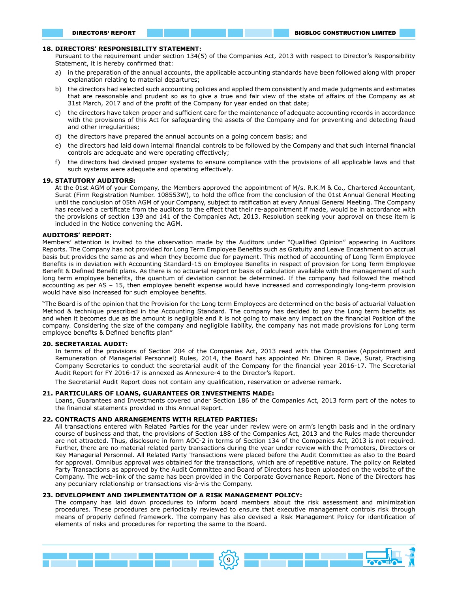#### **18. DIRECTORS' RESPONSIBILITY STATEMENT:**

Pursuant to the requirement under section 134(5) of the Companies Act, 2013 with respect to Director's Responsibility Statement, it is hereby confirmed that:

- a) in the preparation of the annual accounts, the applicable accounting standards have been followed along with proper explanation relating to material departures;
- b) the directors had selected such accounting policies and applied them consistently and made judgments and estimates that are reasonable and prudent so as to give a true and fair view of the state of affairs of the Company as at 31st March, 2017 and of the profit of the Company for year ended on that date;
- c) the directors have taken proper and sufficient care for the maintenance of adequate accounting records in accordance with the provisions of this Act for safeguarding the assets of the Company and for preventing and detecting fraud and other irregularities;
- d) the directors have prepared the annual accounts on a going concern basis; and
- e) the directors had laid down internal financial controls to be followed by the Company and that such internal financial controls are adequate and were operating effectively;
- f) the directors had devised proper systems to ensure compliance with the provisions of all applicable laws and that such systems were adequate and operating effectively.

#### **19. STATUTORY AUDITORS:**

At the 01st AGM of your Company, the Members approved the appointment of M/s. R.K.M & Co., Chartered Accountant, Surat (Firm Registration Number. 108553W), to hold the office from the conclusion of the 01st Annual General Meeting until the conclusion of 05th AGM of your Company, subject to ratification at every Annual General Meeting. The Company has received a certificate from the auditors to the effect that their re-appointment if made, would be in accordance with the provisions of section 139 and 141 of the Companies Act, 2013. Resolution seeking your approval on these item is included in the Notice convening the AGM.

#### **AUDITORS' REPORT:**

Members' attention is invited to the observation made by the Auditors under "Qualified Opinion" appearing in Auditors Reports. The Company has not provided for Long Term Employee Benefits such as Gratuity and Leave Encashment on accrual basis but provides the same as and when they become due for payment. This method of accounting of Long Term Employee Benefits is in deviation with Accounting Standard-15 on Employee Benefits in respect of provision for Long Term Employee Benefit & Defined Benefit plans. As there is no actuarial report or basis of calculation available with the management of such long term employee benefits, the quantum of deviation cannot be determined. If the company had followed the method accounting as per AS – 15, then employee benefit expense would have increased and correspondingly long-term provision would have also increased for such employee benefits.

"The Board is of the opinion that the Provision for the Long term Employees are determined on the basis of actuarial Valuation Method & technique prescribed in the Accounting Standard. The company has decided to pay the Long term benefits as and when it becomes due as the amount is negligible and it is not going to make any impact on the financial Position of the company. Considering the size of the company and negligible liability, the company has not made provisions for Long term employee benefits & Defined benefits plan"

#### **20. SECRETARIAL AUDIT:**

In terms of the provisions of Section 204 of the Companies Act, 2013 read with the Companies (Appointment and Remuneration of Managerial Personnel) Rules, 2014, the Board has appointed Mr. Dhiren R Dave, Surat, Practising Company Secretaries to conduct the secretarial audit of the Company for the financial year 2016-17. The Secretarial Audit Report for FY 2016-17 is annexed as Annexure-4 to the Director's Report.

The Secretarial Audit Report does not contain any qualification, reservation or adverse remark.

#### **21. PARTICULARS OF LOANS, GUARANTEES OR INVESTMENTS MADE:**

Loans, Guarantees and Investments covered under Section 186 of the Companies Act, 2013 form part of the notes to the financial statements provided in this Annual Report.

#### **22. CONTRACTS AND ARRANGEMENTS WITH RELATED PARTIES:**

All transactions entered with Related Parties for the year under review were on arm's length basis and in the ordinary course of business and that, the provisions of Section 188 of the Companies Act, 2013 and the Rules made thereunder are not attracted. Thus, disclosure in form AOC-2 in terms of Section 134 of the Companies Act, 2013 is not required. Further, there are no material related party transactions during the year under review with the Promoters, Directors or Key Managerial Personnel. All Related Party Transactions were placed before the Audit Committee as also to the Board for approval. Omnibus approval was obtained for the transactions, which are of repetitive nature. The policy on Related Party Transactions as approved by the Audit Committee and Board of Directors has been uploaded on the website of the Company. The web-link of the same has been provided in the Corporate Governance Report. None of the Directors has any pecuniary relationship or transactions vis-à-vis the Company.

#### **23. DEVELOPMENT AND IMPLEMENTATION OF A RISK MANAGEMENT POLICY:**

The company has laid down procedures to inform board members about the risk assessment and minimization procedures. These procedures are periodically reviewed to ensure that executive management controls risk through means of properly defined framework. The company has also devised a Risk Management Policy for identification of elements of risks and procedures for reporting the same to the Board.

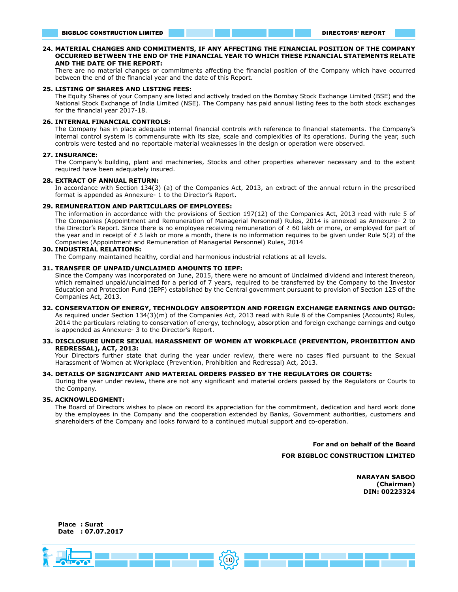#### **24. MATERIAL CHANGES AND COMMITMENTS, IF ANY AFFECTING THE FINANCIAL POSITION OF THE COMPANY OCCURRED BETWEEN THE END OF THE FINANCIAL YEAR TO WHICH THESE FINANCIAL STATEMENTS RELATE AND THE DATE OF THE REPORT:**

There are no material changes or commitments affecting the financial position of the Company which have occurred between the end of the financial year and the date of this Report.

#### **25. LISTING OF SHARES AND LISTING FEES:**

The Equity Shares of your Company are listed and actively traded on the Bombay Stock Exchange Limited (BSE) and the National Stock Exchange of India Limited (NSE). The Company has paid annual listing fees to the both stock exchanges for the financial year 2017-18.

#### **26. INTERNAL FINANCIAL CONTROLS:**

The Company has in place adequate internal financial controls with reference to financial statements. The Company's internal control system is commensurate with its size, scale and complexities of its operations. During the year, such controls were tested and no reportable material weaknesses in the design or operation were observed.

#### **27. INSURANCE:**

The Company's building, plant and machineries, Stocks and other properties wherever necessary and to the extent required have been adequately insured.

#### **28. EXTRACT OF ANNUAL RETURN:**

In accordance with Section 134(3) (a) of the Companies Act, 2013, an extract of the annual return in the prescribed format is appended as Annexure- 1 to the Director's Report.

#### **29. REMUNERATION AND PARTICULARS OF EMPLOYEES:**

The information in accordance with the provisions of Section 197(12) of the Companies Act, 2013 read with rule 5 of The Companies (Appointment and Remuneration of Managerial Personnel) Rules, 2014 is annexed as Annexure- 2 to the Director's Report. Since there is no employee receiving remuneration of ₹ 60 lakh or more, or employed for part of the year and in receipt of ₹ 5 lakh or more a month, there is no information requires to be given under Rule 5(2) of the Companies (Appointment and Remuneration of Managerial Personnel) Rules, 2014

#### **30. INDUSTRIAL RELATIONS:**

The Company maintained healthy, cordial and harmonious industrial relations at all levels.

#### **31. TRANSFER OF UNPAID/UNCLAIMED AMOUNTS TO IEPF:**

Since the Company was incorporated on June, 2015, there were no amount of Unclaimed dividend and interest thereon, which remained unpaid/unclaimed for a period of 7 years, required to be transferred by the Company to the Investor Education and Protection Fund (IEPF) established by the Central government pursuant to provision of Section 125 of the Companies Act, 2013.

#### **32. CONSERVATION OF ENERGY, TECHNOLOGY ABSORPTION AND FOREIGN EXCHANGE EARNINGS AND OUTGO:**

As required under Section 134(3)(m) of the Companies Act, 2013 read with Rule 8 of the Companies (Accounts) Rules, 2014 the particulars relating to conservation of energy, technology, absorption and foreign exchange earnings and outgo is appended as Annexure- 3 to the Director's Report.

#### **33. DISCLOSURE UNDER SEXUAL HARASSMENT OF WOMEN AT WORKPLACE (PREVENTION, PROHIBITION AND REDRESSAL), ACT, 2013:**

Your Directors further state that during the year under review, there were no cases filed pursuant to the Sexual Harassment of Women at Workplace (Prevention, Prohibition and Redressal) Act, 2013.

#### **34. DETAILS OF SIGNIFICANT AND MATERIAL ORDERS PASSED BY THE REGULATORS OR COURTS:**

During the year under review, there are not any significant and material orders passed by the Regulators or Courts to the Company.

#### **35. ACKNOWLEDGMENT:**

The Board of Directors wishes to place on record its appreciation for the commitment, dedication and hard work done by the employees in the Company and the cooperation extended by Banks, Government authorities, customers and shareholders of the Company and looks forward to a continued mutual support and co-operation.

> **For and on behalf of the Board FOR BIGBLOC CONSTRUCTION LIMITED**

> > **NARAYAN SABOO (Chairman) DIN: 00223324**



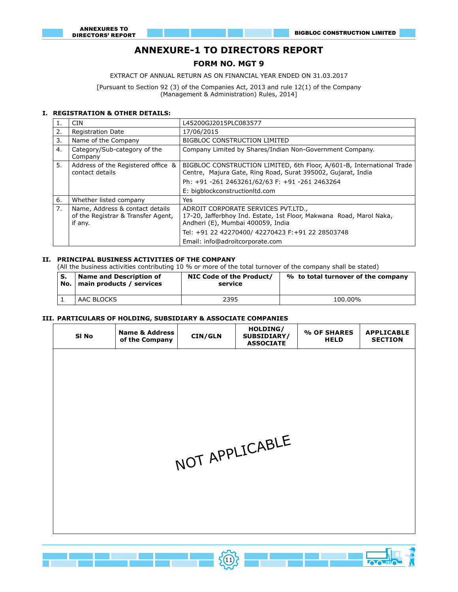# **ANNEXURE-1 TO DIRECTORS REPORT**

# **FORM NO. MGT 9**

EXTRACT OF ANNUAL RETURN AS ON FINANCIAL YEAR ENDED ON 31.03.2017

[Pursuant to Section 92 (3) of the Companies Act, 2013 and rule 12(1) of the Company (Management & Administration) Rules, 2014]

#### **I. REGISTRATION & OTHER DETAILS:**

٦

|    | <b>CIN</b>                                                                       | L45200GJ2015PLC083577                                                                                                                           |  |  |  |  |
|----|----------------------------------------------------------------------------------|-------------------------------------------------------------------------------------------------------------------------------------------------|--|--|--|--|
| 2. | <b>Registration Date</b>                                                         | 17/06/2015                                                                                                                                      |  |  |  |  |
| 3. | Name of the Company                                                              | <b>BIGBLOC CONSTRUCTION LIMITED</b>                                                                                                             |  |  |  |  |
| 4. | Category/Sub-category of the<br>Company                                          | Company Limited by Shares/Indian Non-Government Company.                                                                                        |  |  |  |  |
| 5. | Address of the Registered office &<br>contact details                            | BIGBLOC CONSTRUCTION LIMITED, 6th Floor, A/601-B, International Trade<br>Centre, Majura Gate, Ring Road, Surat 395002, Gujarat, India           |  |  |  |  |
|    |                                                                                  | Ph: +91 -261 2463261/62/63 F: +91 -261 2463264                                                                                                  |  |  |  |  |
|    |                                                                                  | E: bigblockconstructionltd.com                                                                                                                  |  |  |  |  |
| 6. | Whether listed company                                                           | Yes.                                                                                                                                            |  |  |  |  |
| 7. | Name, Address & contact details<br>of the Registrar & Transfer Agent,<br>if any. | ADROIT CORPORATE SERVICES PVT.LTD.,<br>17-20, Jafferbhoy Ind. Estate, 1st Floor, Makwana Road, Marol Naka,<br>Andheri (E), Mumbai 400059, India |  |  |  |  |
|    |                                                                                  | Tel: +91 22 42270400/ 42270423 F: +91 22 28503748                                                                                               |  |  |  |  |
|    |                                                                                  | Email: info@adroitcorporate.com                                                                                                                 |  |  |  |  |

# **II. PRINCIPAL BUSINESS ACTIVITIES OF THE COMPANY**

(All the business activities contributing 10 % or more of the total turnover of the company shall be stated)

| S.<br>No. | <b>Name and Description of</b><br>main products / services | NIC Code of the Product/<br>service | % to total turnover of the company |
|-----------|------------------------------------------------------------|-------------------------------------|------------------------------------|
|           | AAC BLOCKS                                                 | 2395                                | 100.00%                            |

# **III. PARTICULARS OF HOLDING, SUBSIDIARY & ASSOCIATE COMPANIES**

| SI No | <b>Name &amp; Address</b><br>of the Company | CIN/GLN | HOLDING/<br>SUBSIDIARY/<br><b>ASSOCIATE</b> | % OF SHARES<br><b>HELD</b> | <b>APPLICABLE</b><br><b>SECTION</b> |  |
|-------|---------------------------------------------|---------|---------------------------------------------|----------------------------|-------------------------------------|--|
|       |                                             |         |                                             |                            |                                     |  |
|       |                                             |         |                                             |                            |                                     |  |
|       |                                             |         |                                             |                            |                                     |  |
|       |                                             |         |                                             |                            |                                     |  |
|       |                                             |         | NOT APPLICABLE                              |                            |                                     |  |
|       |                                             |         |                                             |                            |                                     |  |
|       |                                             |         |                                             |                            |                                     |  |
|       |                                             |         |                                             |                            |                                     |  |
|       |                                             |         |                                             |                            |                                     |  |

 $(11)$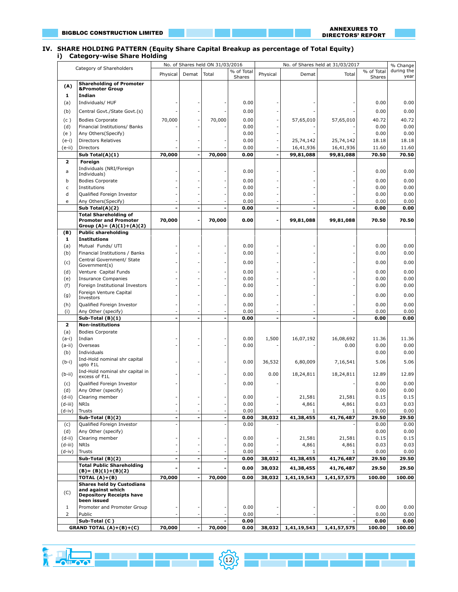$\sqrt{1-\cos^2}$ 

ا ہے۔

#### ANNEXURES TO DIRECTORS' REPORT

#### **IV. SHARE HOLDING PATTERN (Equity Share Capital Breakup as percentage of Total Equity) i) Category-wise Share Holding**

|                | Category of Shareholders                                     |                          |                 | No. of Shares held ON 31/03/2016 |                      | No. of Shares held at 31/03/2017 |                | % Change    |                      |                    |
|----------------|--------------------------------------------------------------|--------------------------|-----------------|----------------------------------|----------------------|----------------------------------|----------------|-------------|----------------------|--------------------|
|                |                                                              | Physical                 | Demat           | Total                            | % of Total<br>Shares | Physical                         | Demat          | Total       | % of Total<br>Shares | during the<br>year |
|                | <b>Shareholding of Promoter</b>                              |                          |                 |                                  |                      |                                  |                |             |                      |                    |
| (A)            | <b>&amp;Promoter Group</b>                                   |                          |                 |                                  |                      |                                  |                |             |                      |                    |
| 1              | Indian                                                       |                          |                 |                                  |                      |                                  |                |             |                      |                    |
| (a)            | Individuals/ HUF                                             |                          |                 |                                  | 0.00                 |                                  |                |             | 0.00                 | 0.00               |
| (b)            | Central Govt./State Govt.(s)                                 |                          |                 |                                  | 0.00                 |                                  |                |             | 0.00                 | 0.00               |
| (c)            | <b>Bodies Corporate</b>                                      | 70,000                   |                 | 70,000                           | 0.00                 |                                  | 57,65,010      | 57,65,010   | 40.72                | 40.72              |
| (d)            | Financial Institutions/ Banks                                |                          |                 |                                  | 0.00                 |                                  |                |             | 0.00                 | 0.00               |
| (e)            | Any Others(Specify)                                          |                          |                 |                                  | 0.00                 |                                  |                |             | 0.00                 | 0.00               |
| $(e-i)$        | Directors Relatives                                          |                          |                 |                                  | 0.00                 |                                  | 25,74,142      | 25,74,142   | 18.18                | 18.18              |
| (e-ii)         | Directors                                                    |                          |                 |                                  | 0.00                 |                                  | 16,41,936      | 16,41,936   | 11.60                | 11.60              |
|                | Sub Total(A)(1)                                              | 70,000                   |                 | 70,000                           | 0.00                 |                                  | 99,81,088      | 99,81,088   | 70.50                | 70.50              |
| 2              | Foreign                                                      |                          |                 |                                  |                      |                                  |                |             |                      |                    |
| a              | Individuals (NRI/Foreign<br>Individuals)                     |                          |                 |                                  | 0.00                 |                                  |                |             | 0.00                 | 0.00               |
| b              | <b>Bodies Corporate</b>                                      |                          |                 |                                  | 0.00                 |                                  |                |             | 0.00                 | 0.00               |
| $\mathsf{C}$   | Institutions                                                 |                          |                 |                                  | 0.00                 |                                  |                |             | 0.00                 | 0.00               |
| d              | Qualified Foreign Investor                                   |                          |                 |                                  | 0.00                 |                                  |                |             | 0.00                 | 0.00               |
| e              | Any Others(Specify)                                          |                          |                 |                                  | 0.00                 |                                  |                |             | 0.00                 | 0.00               |
|                | Sub Total(A)(2)                                              |                          | $\overline{a}$  | $\overline{a}$                   | 0.00                 |                                  | $\overline{a}$ |             | 0.00                 | 0.00               |
|                | <b>Total Shareholding of</b><br><b>Promoter and Promoter</b> |                          | $\overline{a}$  |                                  |                      |                                  |                |             |                      | 70.50              |
|                | Group (A)= $(A)(1)+(A)(2)$                                   | 70,000                   |                 | 70,000                           | 0.00                 | $\blacksquare$                   | 99,81,088      | 99,81,088   | 70.50                |                    |
| (B)            | <b>Public shareholding</b>                                   |                          |                 |                                  |                      |                                  |                |             |                      |                    |
| 1              | <b>Institutions</b>                                          |                          |                 |                                  |                      |                                  |                |             |                      |                    |
| (a)            | Mutual Funds/ UTI                                            |                          |                 |                                  | 0.00                 |                                  |                |             | 0.00                 | 0.00               |
| (b)            | Financial Institutions / Banks                               |                          |                 |                                  | 0.00                 |                                  |                |             | 0.00                 | 0.00               |
| (c)            | Central Government/ State<br>Government(s)                   |                          |                 |                                  | 0.00                 |                                  |                |             | 0.00                 | 0.00               |
| (d)            | Venture Capital Funds                                        |                          |                 |                                  | 0.00                 |                                  |                |             | 0.00                 | 0.00               |
| (e)            | <b>Insurance Companies</b>                                   |                          |                 |                                  | 0.00                 |                                  |                |             | 0.00                 | 0.00               |
| (f)            | Foreign Institutional Investors                              |                          |                 |                                  | 0.00                 |                                  |                |             | 0.00                 | 0.00               |
|                | Foreign Venture Capital                                      |                          |                 |                                  | 0.00                 |                                  |                |             | 0.00                 | 0.00               |
| (g)            | Investors                                                    |                          |                 |                                  |                      |                                  |                |             |                      |                    |
| (h)            | Qualified Foreign Investor                                   |                          |                 |                                  | 0.00                 |                                  |                |             | 0.00                 | 0.00               |
| (i)            | Any Other (specify)<br>Sub-Total (B)(1)                      |                          |                 | $\overline{a}$                   | 0.00<br>0.00         |                                  |                |             | 0.00<br>0.00         | 0.00<br>0.00       |
| $\mathbf{z}$   | <b>Non-institutions</b>                                      |                          |                 |                                  |                      |                                  |                |             |                      |                    |
| (a)            | <b>Bodies Corporate</b>                                      |                          |                 |                                  |                      |                                  |                |             |                      |                    |
| $(a-i)$        | Indian                                                       |                          |                 |                                  | 0.00                 | 1,500                            | 16,07,192      | 16,08,692   | 11.36                | 11.36              |
| $(a-ii)$       | Overseas                                                     |                          |                 |                                  | 0.00                 |                                  |                | 0.00        | 0.00                 | 0.00               |
| (b)            | Individuals                                                  |                          |                 |                                  |                      |                                  |                |             | 0.00                 | 0.00               |
| $(b-i)$        | Ind-Hold nominal shr capital                                 |                          |                 |                                  | 0.00                 | 36,532                           | 6,80,009       | 7,16,541    | 5.06                 | 5.06               |
|                | upto ₹1L<br>Ind-Hold nominal shr capital in                  |                          |                 |                                  |                      |                                  |                |             |                      |                    |
| $(b-ii)$       | excess of ₹1L                                                |                          |                 |                                  | 0.00                 | 0.00                             | 18,24,811      | 18,24,811   | 12.89                | 12.89              |
| (c)            | Qualified Foreign Investor                                   |                          |                 |                                  | 0.00                 |                                  |                |             | 0.00                 | 0.00               |
| (d)            | Any Other (specify)                                          |                          |                 |                                  |                      |                                  |                |             | 0.00                 | 0.00               |
| $(d-i)$        | Clearing member                                              |                          |                 |                                  | 0.00                 |                                  | 21,581         | 21,581      | 0.15                 | 0.15               |
| (d-iii)        | NRIs                                                         |                          |                 |                                  | 0.00                 |                                  | 4,861          | 4,861       | 0.03                 | 0.03               |
| $(d-iv)$       | Trusts                                                       |                          |                 |                                  | 0.00                 |                                  | 1              | 1           | 0.00                 | 0.00               |
| (c)            | Sub-Total (B)(2)<br>Qualified Foreign Investor               | $\overline{\phantom{0}}$ |                 | $\qquad \qquad \blacksquare$     | 0.00<br>0.00         | 38,032                           | 41,38,455      | 41,76,487   | 29.50<br>0.00        | 29.50<br>0.00      |
| (d)            | Any Other (specify)                                          |                          |                 |                                  |                      |                                  |                |             | 0.00                 | 0.00               |
| $(d-ii)$       | Clearing member                                              |                          |                 |                                  | 0.00                 |                                  | 21,581         | 21,581      | 0.15                 | 0.15               |
| $(d-iii)$      | <b>NRIs</b>                                                  |                          |                 |                                  | 0.00                 |                                  | 4,861          | 4,861       | 0.03                 | 0.03               |
| $(d-iv)$       | Trusts                                                       |                          |                 |                                  | 0.00                 |                                  | 1              | 1           | 0.00                 | 0.00               |
|                | Sub-Total (B)(2)                                             |                          | $\overline{a}$  | $\overline{a}$                   | 0.00                 | 38,032                           | 41,38,455      | 41,76,487   | 29.50                | 29.50              |
|                | <b>Total Public Shareholding</b>                             |                          |                 |                                  | 0.00                 | 38,032                           | 41,38,455      | 41,76,487   | 29.50                | 29.50              |
|                | $(B) = (B)(1)+(B)(2)$<br>TOTAL (A)+(B)                       | 70,000                   |                 | 70,000                           | 0.00                 | 38,032                           | 1,41,19,543    | 1,41,57,575 | 100.00               | 100.00             |
|                | <b>Shares held by Custodians</b>                             |                          |                 |                                  |                      |                                  |                |             |                      |                    |
| (C)            | and against which                                            |                          |                 |                                  |                      |                                  |                |             |                      |                    |
|                | <b>Depository Receipts have</b><br>been issued               |                          |                 |                                  |                      |                                  |                |             |                      |                    |
| $\mathbf{1}$   | Promoter and Promoter Group                                  |                          |                 |                                  | 0.00                 |                                  |                |             | 0.00                 | 0.00               |
| $\overline{2}$ | Public                                                       |                          |                 |                                  | 0.00                 |                                  |                |             | 0.00                 | 0.00               |
|                | Sub-Total (C)                                                |                          |                 |                                  | 0.00                 |                                  |                |             | 0.00                 | 0.00               |
|                | <b>GRAND TOTAL <math>(A)+(B)+(C)</math></b>                  | 70,000                   | $\qquad \qquad$ | 70,000                           | 0.00                 | 38,032                           | 1,41,19,543    | 1,41,57,575 | 100.00               | 100.00             |

12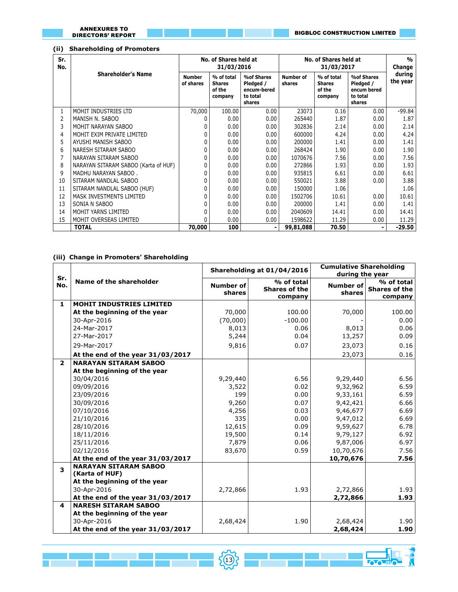# **(ii) Shareholding of Promoters**

| Sr.<br>No. |                                      |                            | No. of Shares held at<br>31/03/2016              |                                                                     | No. of Shares held at | %<br>Change                                      |                                                                     |                    |
|------------|--------------------------------------|----------------------------|--------------------------------------------------|---------------------------------------------------------------------|-----------------------|--------------------------------------------------|---------------------------------------------------------------------|--------------------|
|            | <b>Shareholder's Name</b>            | <b>Number</b><br>of shares | % of total<br><b>Shares</b><br>of the<br>company | <b>%of Shares</b><br>Pledged /<br>encum-bered<br>to total<br>shares | Number of<br>shares   | % of total<br><b>Shares</b><br>of the<br>company | <b>%of Shares</b><br>Pledged /<br>encum bered<br>to total<br>shares | during<br>the year |
| 1          | MOHIT INDUSTRIES LTD                 | 70,000                     | 100.00                                           | 0.00                                                                | 23073                 | 0.16                                             | 0.00                                                                | $-99.84$           |
| 2          | MANISH N. SABOO                      |                            | 0.00                                             | 0.00                                                                | 265440                | 1.87                                             | 0.00                                                                | 1.87               |
| 3          | MOHIT NARAYAN SABOO                  |                            | 0.00                                             | 0.00                                                                | 302836                | 2.14                                             | 0.00                                                                | 2.14               |
| 4          | MOHIT EXIM PRIVATE LIMITED           |                            | 0.00                                             | 0.00                                                                | 600000                | 4.24                                             | 0.00                                                                | 4.24               |
| 5          | AYUSHI MANISH SABOO                  |                            | 0.00                                             | 0.00                                                                | 200000                | 1.41                                             | 0.00                                                                | 1.41               |
| 6          | NARESH SITARAM SABOO                 |                            | 0.00                                             | 0.00                                                                | 268424                | 1.90                                             | 0.00                                                                | 1.90               |
|            | NARAYAN SITARAM SABOO                |                            | 0.00                                             | 0.00                                                                | 1070676               | 7.56                                             | 0.00                                                                | 7.56               |
| 8          | NARAYAN SITARAM SABOO (Karta of HUF) |                            | 0.00                                             | 0.00                                                                | 272866                | 1.93                                             | 0.00                                                                | 1.93               |
| 9          | MADHU NARAYAN SABOO.                 |                            | 0.00                                             | 0.00                                                                | 935815                | 6.61                                             | 0.00                                                                | 6.61               |
| 10         | SITARAM NANDLAL SABOO                |                            | 0.00                                             | 0.00                                                                | 550021                | 3.88                                             | 0.00                                                                | 3.88               |
| 11         | SITARAM NANDLAL SABOO (HUF)          |                            | 0.00                                             | 0.00                                                                | 150000                | 1.06                                             |                                                                     | 1.06               |
| 12         | MASK INVESTMENTS LIMITED             |                            | 0.00                                             | 0.00                                                                | 1502706               | 10.61                                            | 0.00                                                                | 10.61              |
| 13         | SONIA N SABOO                        |                            | 0.00                                             | 0.00                                                                | 200000                | 1.41                                             | 0.00                                                                | 1.41               |
| 14         | MOHIT YARNS LIMITED                  |                            | 0.00                                             | 0.00                                                                | 2040609               | 14.41                                            | 0.00                                                                | 14.41              |
| 15         | MOHIT OVERSEAS LIMITED               |                            | 0.00                                             | 0.00                                                                | 1598622               | 11.29                                            | 0.00                                                                | 11.29              |
|            | <b>TOTAL</b>                         | 70,000                     | 100                                              |                                                                     | 99,81,088             | 70.50                                            |                                                                     | -29.50             |

# **(iii) Change in Promoters' Shareholding**

|                |                                                |                     | Shareholding at 01/04/2016                    | <b>Cumulative Shareholding</b><br>during the year |                                               |  |
|----------------|------------------------------------------------|---------------------|-----------------------------------------------|---------------------------------------------------|-----------------------------------------------|--|
| Sr.<br>No.     | Name of the shareholder                        | Number of<br>shares | % of total<br><b>Shares of the</b><br>company | <b>Number of</b><br>shares                        | % of total<br><b>Shares of the</b><br>company |  |
| $\mathbf{1}$   | <b>MOHIT INDUSTRIES LIMITED</b>                |                     |                                               |                                                   |                                               |  |
|                | At the beginning of the year                   | 70,000              | 100.00                                        | 70,000                                            | 100.00                                        |  |
|                | 30-Apr-2016                                    | (70,000)            | $-100.00$                                     |                                                   | 0.00                                          |  |
|                | 24-Mar-2017                                    | 8,013               | 0.06                                          | 8,013                                             | 0.06                                          |  |
|                | 27-Mar-2017                                    | 5,244               | 0.04                                          | 13,257                                            | 0.09                                          |  |
|                | 29-Mar-2017                                    | 9,816               | 0.07                                          | 23,073                                            | 0.16                                          |  |
|                | At the end of the year 31/03/2017              |                     |                                               | 23,073                                            | 0.16                                          |  |
| $\overline{2}$ | <b>NARAYAN SITARAM SABOO</b>                   |                     |                                               |                                                   |                                               |  |
|                | At the beginning of the year                   |                     |                                               |                                                   |                                               |  |
|                | 30/04/2016                                     | 9,29,440            | 6.56                                          | 9,29,440                                          | 6.56                                          |  |
|                | 09/09/2016                                     | 3,522               | 0.02                                          | 9,32,962                                          | 6.59                                          |  |
|                | 23/09/2016                                     | 199                 | 0.00                                          | 9,33,161                                          | 6.59                                          |  |
|                | 30/09/2016                                     | 9,260               | 0.07                                          | 9,42,421                                          | 6.66                                          |  |
|                | 07/10/2016                                     | 4,256               | 0.03                                          | 9,46,677                                          | 6.69                                          |  |
|                | 21/10/2016                                     | 335                 | 0.00                                          | 9,47,012                                          | 6.69                                          |  |
|                | 28/10/2016                                     | 12,615              | 0.09                                          | 9,59,627                                          | 6.78                                          |  |
|                | 18/11/2016                                     | 19,500              | 0.14                                          | 9,79,127                                          | 6.92                                          |  |
|                | 25/11/2016                                     | 7,879               | 0.06                                          | 9,87,006                                          | 6.97                                          |  |
|                | 02/12/2016                                     | 83,670              | 0.59                                          | 10,70,676                                         | 7.56                                          |  |
|                | At the end of the year 31/03/2017              |                     |                                               | 10,70,676                                         | 7.56                                          |  |
| 3              | <b>NARAYAN SITARAM SABOO</b><br>(Karta of HUF) |                     |                                               |                                                   |                                               |  |
|                | At the beginning of the year                   |                     |                                               |                                                   |                                               |  |
|                | 30-Apr-2016                                    | 2,72,866            | 1.93                                          | 2,72,866                                          | 1.93                                          |  |
|                | At the end of the year 31/03/2017              |                     |                                               | 2,72,866                                          | 1.93                                          |  |
| 4              | <b>NARESH SITARAM SABOO</b>                    |                     |                                               |                                                   |                                               |  |
|                | At the beginning of the year                   |                     |                                               |                                                   |                                               |  |
|                | 30-Apr-2016                                    | 2,68,424            | 1.90                                          | 2,68,424                                          | 1.90                                          |  |
|                | At the end of the year 31/03/2017              |                     |                                               | 2,68,424                                          | 1.90                                          |  |

<u> 13 Martin 1998 - John School (8) - Anna Martin 1998 - John School (1998 - 1998 - 1998 - 1998 - 1999 - 1999 - 1</u>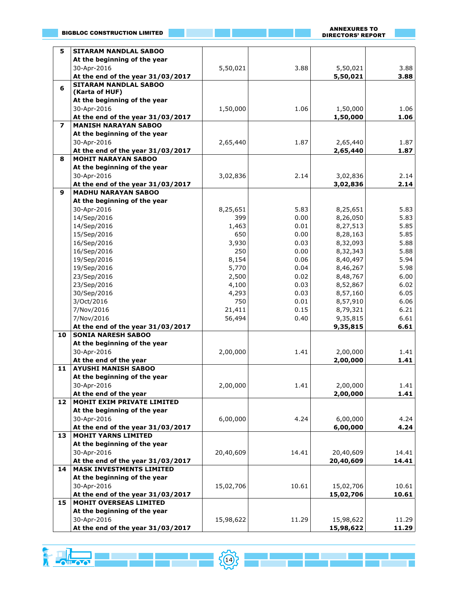ANNEXURES TO DIRECTORS' REPORT

a<br>Ma

| 5                       | <b>SITARAM NANDLAL SABOO</b>                |           |       |           |       |
|-------------------------|---------------------------------------------|-----------|-------|-----------|-------|
|                         | At the beginning of the year                |           |       |           |       |
|                         | 30-Apr-2016                                 | 5,50,021  | 3.88  | 5,50,021  | 3.88  |
|                         | At the end of the year 31/03/2017           |           |       | 5,50,021  | 3.88  |
| 6                       | <b>SITARAM NANDLAL SABOO</b>                |           |       |           |       |
|                         | (Karta of HUF)                              |           |       |           |       |
|                         | At the beginning of the year                |           |       |           |       |
|                         | 30-Apr-2016                                 | 1,50,000  | 1.06  | 1,50,000  | 1.06  |
|                         | At the end of the year 31/03/2017           |           |       | 1,50,000  | 1.06  |
| $\overline{\mathbf{z}}$ | <b>MANISH NARAYAN SABOO</b>                 |           |       |           |       |
|                         | At the beginning of the year                |           |       |           |       |
|                         | 30-Apr-2016                                 | 2,65,440  | 1.87  | 2,65,440  | 1.87  |
|                         | At the end of the year 31/03/2017           |           |       | 2,65,440  | 1.87  |
| 8                       | <b>MOHIT NARAYAN SABOO</b>                  |           |       |           |       |
|                         | At the beginning of the year                |           |       |           |       |
|                         | 30-Apr-2016                                 | 3,02,836  | 2.14  | 3,02,836  | 2.14  |
|                         | At the end of the year 31/03/2017           |           |       | 3,02,836  | 2.14  |
| 9                       | <b>MADHU NARAYAN SABOO</b>                  |           |       |           |       |
|                         | At the beginning of the year                |           |       |           |       |
|                         | 30-Apr-2016                                 | 8,25,651  | 5.83  | 8,25,651  | 5.83  |
|                         | 14/Sep/2016                                 | 399       | 0.00  | 8,26,050  | 5.83  |
|                         | 14/Sep/2016                                 | 1,463     | 0.01  | 8,27,513  | 5.85  |
|                         | 15/Sep/2016                                 | 650       | 0.00  | 8,28,163  | 5.85  |
|                         | 16/Sep/2016                                 | 3,930     | 0.03  | 8,32,093  | 5.88  |
|                         | 16/Sep/2016                                 | 250       | 0.00  | 8,32,343  | 5.88  |
|                         | 19/Sep/2016                                 | 8,154     | 0.06  | 8,40,497  | 5.94  |
|                         | 19/Sep/2016                                 | 5,770     | 0.04  | 8,46,267  | 5.98  |
|                         | 23/Sep/2016                                 | 2,500     | 0.02  | 8,48,767  | 6.00  |
|                         | 23/Sep/2016                                 | 4,100     | 0.03  | 8,52,867  | 6.02  |
|                         | 30/Sep/2016                                 | 4,293     | 0.03  | 8,57,160  | 6.05  |
|                         | 3/Oct/2016                                  | 750       | 0.01  | 8,57,910  | 6.06  |
|                         | 7/Nov/2016                                  | 21,411    | 0.15  | 8,79,321  | 6.21  |
|                         | 7/Nov/2016                                  | 56,494    | 0.40  | 9,35,815  | 6.61  |
|                         | At the end of the year 31/03/2017           |           |       | 9,35,815  | 6.61  |
| 10                      | <b>SONIA NARESH SABOO</b>                   |           |       |           |       |
|                         | At the beginning of the year                |           |       |           |       |
|                         | 30-Apr-2016                                 | 2,00,000  | 1.41  | 2,00,000  | 1.41  |
|                         | At the end of the year                      |           |       | 2,00,000  | 1.41  |
| 11                      | <b>AYUSHI MANISH SABOO</b>                  |           |       |           |       |
|                         | At the beginning of the year                |           |       |           |       |
|                         | 30-Apr-2016                                 | 2,00,000  | 1.41  | 2,00,000  | 1.41  |
|                         | At the end of the year                      |           |       | 2,00,000  | 1.41  |
| 12                      | MOHIT EXIM PRIVATE LIMITED                  |           |       |           |       |
|                         | At the beginning of the year                |           |       |           |       |
|                         | 30-Apr-2016                                 | 6,00,000  | 4.24  | 6,00,000  | 4.24  |
|                         | At the end of the year 31/03/2017           |           |       | 6,00,000  | 4.24  |
| 13                      | <b>MOHIT YARNS LIMITED</b>                  |           |       |           |       |
|                         | At the beginning of the year                |           |       |           |       |
|                         | 30-Apr-2016                                 | 20,40,609 | 14.41 | 20,40,609 | 14.41 |
|                         | At the end of the year 31/03/2017           |           |       | 20,40,609 | 14.41 |
| 14                      | <b>MASK INVESTMENTS LIMITED</b>             |           |       |           |       |
|                         | At the beginning of the year                |           |       |           |       |
|                         | 30-Apr-2016                                 |           |       |           |       |
|                         |                                             | 15,02,706 | 10.61 | 15,02,706 | 10.61 |
|                         | At the end of the year 31/03/2017           |           |       | 15,02,706 | 10.61 |
| 15                      | MOHIT OVERSEAS LIMITED                      |           |       |           |       |
|                         | At the beginning of the year<br>30-Apr-2016 | 15,98,622 | 11.29 | 15,98,622 | 11.29 |
|                         | At the end of the year 31/03/2017           |           |       | 15,98,622 | 11.29 |
|                         |                                             |           |       |           |       |

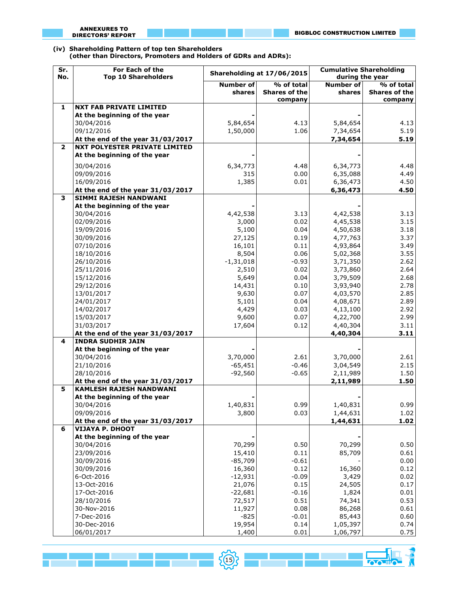**(iv) Shareholding Pattern of top ten Shareholders (other than Directors, Promoters and Holders of GDRs and ADRs):**

| Sr.<br>No.              | For Each of the<br><b>Top 10 Shareholders</b>   |                     | Shareholding at 17/06/2015 | <b>Cumulative Shareholding</b><br>during the year |                      |  |
|-------------------------|-------------------------------------------------|---------------------|----------------------------|---------------------------------------------------|----------------------|--|
|                         |                                                 | <b>Number of</b>    | $\frac{1}{2}$ of total     | <b>Number of</b>                                  | % of total           |  |
|                         |                                                 | shares              | <b>Shares of the</b>       | shares                                            | <b>Shares of the</b> |  |
| $\mathbf{1}$            | <b>NXT FAB PRIVATE LIMITED</b>                  |                     | company                    |                                                   | company              |  |
|                         | At the beginning of the year                    |                     |                            |                                                   |                      |  |
|                         | 30/04/2016                                      | 5,84,654            | 4.13                       | 5,84,654                                          | 4.13                 |  |
|                         | 09/12/2016                                      | 1,50,000            | 1.06                       | 7,34,654                                          | 5.19                 |  |
|                         | At the end of the year 31/03/2017               |                     |                            | 7,34,654                                          | 5.19                 |  |
| $\overline{\mathbf{2}}$ | <b>NXT POLYESTER PRIVATE LIMITED</b>            |                     |                            |                                                   |                      |  |
|                         | At the beginning of the year                    |                     |                            |                                                   |                      |  |
|                         | 30/04/2016                                      | 6,34,773            | 4.48                       | 6,34,773                                          | 4.48                 |  |
|                         | 09/09/2016                                      | 315                 | 0.00                       | 6,35,088                                          | 4.49                 |  |
|                         | 16/09/2016                                      | 1,385               | 0.01                       | 6,36,473                                          | 4.50                 |  |
|                         | At the end of the year 31/03/2017               |                     |                            | 6,36,473                                          | 4.50                 |  |
| 3                       | <b>SIMMI RAJESH NANDWANI</b>                    |                     |                            |                                                   |                      |  |
|                         | At the beginning of the year                    |                     |                            |                                                   |                      |  |
|                         | 30/04/2016                                      | 4,42,538            | 3.13                       | 4,42,538                                          | 3.13                 |  |
|                         | 02/09/2016                                      | 3,000               | 0.02                       | 4,45,538                                          | 3.15                 |  |
|                         | 19/09/2016                                      | 5,100               | 0.04                       | 4,50,638                                          | 3.18                 |  |
|                         | 30/09/2016                                      | 27,125              | 0.19                       | 4,77,763                                          | 3.37                 |  |
|                         | 07/10/2016                                      | 16,101              | 0.11                       | 4,93,864                                          | 3.49                 |  |
|                         | 18/10/2016                                      | 8,504               | 0.06                       | 5,02,368                                          | 3.55                 |  |
|                         | 26/10/2016                                      | $-1,31,018$         | $-0.93$                    | 3,71,350                                          | 2.62                 |  |
|                         | 25/11/2016                                      | 2,510               | 0.02                       | 3,73,860                                          | 2.64                 |  |
|                         | 15/12/2016                                      | 5,649               | 0.04                       | 3,79,509                                          | 2.68                 |  |
|                         | 29/12/2016                                      | 14,431              | 0.10                       | 3,93,940                                          | 2.78                 |  |
|                         | 13/01/2017                                      | 9,630               | 0.07                       | 4,03,570                                          | 2.85                 |  |
|                         | 24/01/2017                                      | 5,101               | 0.04                       | 4,08,671                                          | 2.89                 |  |
|                         | 14/02/2017                                      | 4,429               | 0.03                       | 4,13,100                                          | 2.92                 |  |
|                         | 15/03/2017                                      | 9,600               | 0.07<br>0.12               | 4,22,700                                          | 2.99                 |  |
|                         | 31/03/2017<br>At the end of the year 31/03/2017 | 17,604              |                            | 4,40,304<br>4,40,304                              | 3.11<br>3.11         |  |
| 4                       | <b>INDRA SUDHIR JAIN</b>                        |                     |                            |                                                   |                      |  |
|                         | At the beginning of the year                    |                     |                            |                                                   |                      |  |
|                         | 30/04/2016                                      | 3,70,000            | 2.61                       | 3,70,000                                          | 2.61                 |  |
|                         | 21/10/2016                                      | $-65,451$           | $-0.46$                    | 3,04,549                                          | 2.15                 |  |
|                         | 28/10/2016                                      | $-92,560$           | $-0.65$                    | 2,11,989                                          | 1.50                 |  |
|                         | At the end of the year 31/03/2017               |                     |                            | 2,11,989                                          | 1.50                 |  |
| 5                       | <b>KAMLESH RAJESH NANDWANI</b>                  |                     |                            |                                                   |                      |  |
|                         | At the beginning of the year                    |                     |                            |                                                   |                      |  |
|                         | 30/04/2016                                      | 1,40,831            | 0.99                       | 1,40,831                                          | 0.99                 |  |
|                         | 09/09/2016                                      | 3,800               | 0.03                       | 1,44,631                                          | 1.02                 |  |
|                         | At the end of the year 31/03/2017               |                     |                            | 1,44,631                                          | 1.02                 |  |
| 6                       | <b>VIJAYA P. DHOOT</b>                          |                     |                            |                                                   |                      |  |
|                         | At the beginning of the year                    |                     |                            |                                                   |                      |  |
|                         | 30/04/2016                                      | 70,299              | 0.50                       | 70,299                                            | 0.50                 |  |
|                         | 23/09/2016                                      | 15,410<br>$-85,709$ | 0.11                       | 85,709                                            | 0.61                 |  |
|                         | 30/09/2016<br>30/09/2016                        | 16,360              | $-0.61$<br>0.12            | 16,360                                            | 0.00<br>0.12         |  |
|                         | 6-Oct-2016                                      | $-12,931$           | $-0.09$                    | 3,429                                             | 0.02                 |  |
|                         | 13-Oct-2016                                     | 21,076              | 0.15                       | 24,505                                            | 0.17                 |  |
|                         | 17-Oct-2016                                     | $-22,681$           | $-0.16$                    | 1,824                                             | 0.01                 |  |
|                         | 28/10/2016                                      | 72,517              | 0.51                       | 74,341                                            | 0.53                 |  |
|                         | 30-Nov-2016                                     | 11,927              | 0.08                       | 86,268                                            | 0.61                 |  |
|                         | 7-Dec-2016                                      | $-825$              | $-0.01$                    | 85,443                                            | 0.60                 |  |
|                         | 30-Dec-2016                                     | 19,954              | 0.14                       | 1,05,397                                          | 0.74                 |  |
|                         | 06/01/2017                                      | 1,400               | 0.01                       | 1,06,797                                          | 0.75                 |  |

<u> 1955 - John Harry (ö. 1955 - John Harry Golf, </u>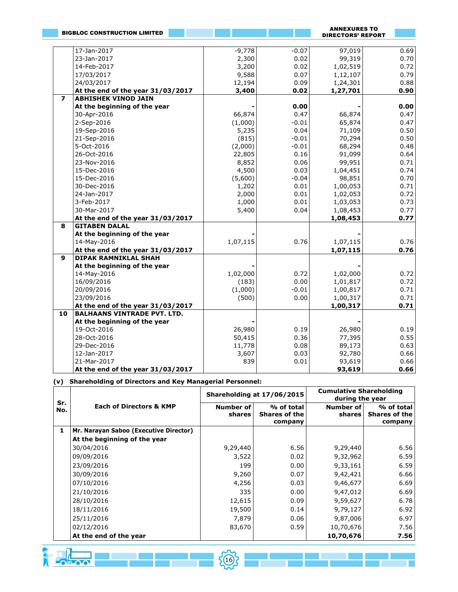|                | <b>BIGBLOC CONSTRUCTION LIMITED</b> |          |              | <b>ANNEXURES TO</b><br><b>DIRECTORS' REPORT</b> |              |
|----------------|-------------------------------------|----------|--------------|-------------------------------------------------|--------------|
|                |                                     |          |              |                                                 |              |
|                | 17-Jan-2017                         | $-9,778$ | $-0.07$      | 97,019                                          | 0.69         |
|                | 23-Jan-2017                         | 2,300    | 0.02         | 99,319                                          | 0.70         |
|                | 14-Feb-2017                         | 3,200    | 0.02         | 1,02,519                                        | 0.72         |
|                | 17/03/2017                          | 9,588    | 0.07         | 1,12,107                                        | 0.79         |
|                | 24/03/2017                          | 12,194   | 0.09         | 1,24,301                                        | 0.88         |
|                | At the end of the year 31/03/2017   | 3,400    | 0.02         | 1,27,701                                        | 0.90         |
| $\overline{ }$ | <b>ABHISHEK VINOD JAIN</b>          |          |              |                                                 |              |
|                | At the beginning of the year        |          | 0.00         |                                                 | 0.00         |
|                | 30-Apr-2016                         | 66,874   | 0.47         | 66,874                                          | 0.47         |
|                | 2-Sep-2016                          | (1,000)  | $-0.01$      | 65,874                                          | 0.47         |
|                | 19-Sep-2016                         | 5,235    | 0.04         | 71,109                                          | 0.50         |
|                | 21-Sep-2016                         | (815)    | $-0.01$      | 70,294                                          | 0.50         |
|                | 5-Oct-2016                          | (2,000)  | $-0.01$      | 68,294                                          | 0.48         |
|                | 26-Oct-2016                         | 22,805   | 0.16         | 91,099                                          | 0.64         |
|                | 23-Nov-2016                         | 8,852    | 0.06         | 99,951                                          | 0.71         |
|                | 15-Dec-2016                         | 4,500    | 0.03         | 1,04,451                                        | 0.74         |
|                | 15-Dec-2016                         | (5,600)  | $-0.04$      | 98,851                                          | 0.70         |
|                | 30-Dec-2016                         | 1,202    | 0.01         | 1,00,053                                        | 0.71         |
|                | 24-Jan-2017                         | 2,000    | 0.01         | 1,02,053                                        | 0.72         |
|                | 3-Feb-2017                          | 1,000    | 0.01         | 1,03,053                                        | 0.73         |
|                | 30-Mar-2017                         | 5,400    | 0.04         | 1,08,453                                        | 0.77         |
|                | At the end of the year 31/03/2017   |          |              | 1,08,453                                        | 0.77         |
| 8              | <b>GITABEN DALAL</b>                |          |              |                                                 |              |
|                | At the beginning of the year        |          |              |                                                 |              |
|                | 14-May-2016                         | 1,07,115 | 0.76         | 1,07,115                                        | 0.76         |
|                | At the end of the year 31/03/2017   |          |              | 1,07,115                                        | 0.76         |
| 9              | <b>DIPAK RAMNIKLAL SHAH</b>         |          |              |                                                 |              |
|                | At the beginning of the year        |          |              |                                                 |              |
|                | 14-May-2016                         | 1,02,000 | 0.72         | 1,02,000                                        | 0.72         |
|                | 16/09/2016                          | (183)    | 0.00         | 1,01,817                                        | 0.72         |
|                | 20/09/2016                          | (1,000)  | $-0.01$      | 1,00,817                                        | 0.71         |
|                | 23/09/2016                          | (500)    | 0.00         | 1,00,317                                        | 0.71         |
|                | At the end of the year 31/03/2017   |          |              | 1,00,317                                        | 0.71         |
| 10             | <b>BALHAANS VINTRADE PVT. LTD.</b>  |          |              |                                                 |              |
|                | At the beginning of the year        | 26,980   |              |                                                 |              |
|                | 19-Oct-2016<br>28-Oct-2016          | 50,415   | 0.19<br>0.36 | 26,980<br>77,395                                | 0.19<br>0.55 |
|                | 29-Dec-2016                         | 11,778   | 0.08         | 89,173                                          | 0.63         |
|                | 12-Jan-2017                         | 3,607    | 0.03         |                                                 | 0.66         |
|                | 21-Mar-2017                         | 839      | 0.01         | 92,780<br>93,619                                | 0.66         |
|                | At the end of the year 31/03/2017   |          |              | 93,619                                          | 0.66         |
|                |                                     |          |              |                                                 |              |

**(v) Shareholding of Directors and Key Managerial Personnel:**

| Sr. |                                        |                     | Shareholding at 17/06/2015                    | <b>Cumulative Shareholding</b><br>during the year |                                        |
|-----|----------------------------------------|---------------------|-----------------------------------------------|---------------------------------------------------|----------------------------------------|
| No. | <b>Each of Directors &amp; KMP</b>     | Number of<br>shares | % of total<br><b>Shares of the</b><br>company | Number of<br>shares                               | % of total<br>Shares of the<br>company |
| 1   | Mr. Narayan Saboo (Executive Director) |                     |                                               |                                                   |                                        |
|     | At the beginning of the year           |                     |                                               |                                                   |                                        |
|     | 30/04/2016                             | 9,29,440            | 6.56                                          | 9,29,440                                          | 6.56                                   |
|     | 09/09/2016                             | 3,522               | 0.02                                          | 9,32,962                                          | 6.59                                   |
|     | 23/09/2016                             | 199                 | 0.00                                          | 9,33,161                                          | 6.59                                   |
|     | 30/09/2016                             | 9,260               | 0.07                                          | 9,42,421                                          | 6.66                                   |
|     | 07/10/2016                             | 4,256               | 0.03                                          | 9,46,677                                          | 6.69                                   |
|     | 21/10/2016                             | 335                 | 0.00                                          | 9,47,012                                          | 6.69                                   |
|     | 28/10/2016                             | 12,615              | 0.09                                          | 9,59,627                                          | 6.78                                   |
|     | 18/11/2016                             | 19,500              | 0.14                                          | 9,79,127                                          | 6.92                                   |
|     | 25/11/2016                             | 7,879               | 0.06                                          | 9,87,006                                          | 6.97                                   |
|     | 02/12/2016                             | 83,670              | 0.59                                          | 10,70,676                                         | 7.56                                   |
|     | At the end of the year                 |                     |                                               | 10,70,676                                         | 7.56                                   |

<u> 1946 - Johann Marie (18) - Anna Maria Maria Maria III</u>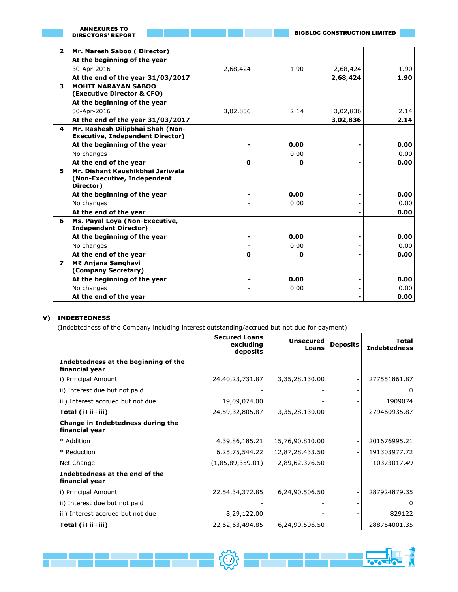| <b>ANNEXURES TO</b> |  |
|---------------------|--|
| DIRECTORS' REPORT   |  |

**REA** 

╎┝

| $\overline{2}$ | Mr. Naresh Saboo (Director)                                                  |             |              |          |      |
|----------------|------------------------------------------------------------------------------|-------------|--------------|----------|------|
|                | At the beginning of the year                                                 |             |              |          |      |
|                | 30-Apr-2016                                                                  | 2,68,424    | 1.90         | 2,68,424 | 1.90 |
|                | At the end of the year 31/03/2017                                            |             |              | 2,68,424 | 1.90 |
| 3              | <b>MOHIT NARAYAN SABOO</b><br>(Executive Director & CFO)                     |             |              |          |      |
|                | At the beginning of the year                                                 |             |              |          |      |
|                | 30-Apr-2016                                                                  | 3,02,836    | 2.14         | 3,02,836 | 2.14 |
|                | At the end of the year 31/03/2017                                            |             |              | 3,02,836 | 2.14 |
| 4              | Mr. Rashesh Dilipbhai Shah (Non-<br><b>Executive, Independent Director)</b>  |             |              |          |      |
|                | At the beginning of the year                                                 |             | 0.00         |          | 0.00 |
|                | No changes                                                                   |             | 0.00         |          | 0.00 |
|                | At the end of the year                                                       | $\mathbf 0$ | 0            |          | 0.00 |
| 5              | Mr. Dishant Kaushikbhai Jariwala<br>(Non-Executive, Independent<br>Director) |             |              |          |      |
|                | At the beginning of the year                                                 |             | 0.00         |          | 0.00 |
|                | No changes                                                                   |             | 0.00         |          | 0.00 |
|                | At the end of the year                                                       |             |              |          | 0.00 |
| 6              | Ms. Payal Loya (Non-Executive,<br><b>Independent Director)</b>               |             |              |          |      |
|                | At the beginning of the year                                                 |             | 0.00         |          | 0.00 |
|                | No changes                                                                   |             | 0.00         |          | 0.00 |
|                | At the end of the year                                                       | $\mathbf 0$ | $\mathbf{0}$ |          | 0.00 |
| $\overline{ }$ | M₹ Anjana Sanghavi<br>(Company Secretary)                                    |             |              |          |      |
|                | At the beginning of the year                                                 |             | 0.00         |          | 0.00 |
|                | No changes                                                                   |             | 0.00         |          | 0.00 |
|                | At the end of the year                                                       |             |              |          | 0.00 |
|                |                                                                              |             |              |          |      |

# **V) INDEBTEDNESS**

 $\Box$ 

(Indebtedness of the Company including interest outstanding/accrued but not due for payment)

|                                                        | <b>Secured Loans</b><br>excluding<br>deposits | <b>Unsecured</b><br>Loans | <b>Deposits</b> | Total<br><b>Indebtedness</b> |
|--------------------------------------------------------|-----------------------------------------------|---------------------------|-----------------|------------------------------|
| Indebtedness at the beginning of the<br>financial year |                                               |                           |                 |                              |
| i) Principal Amount                                    | 24,40,23,731.87                               | 3,35,28,130.00            |                 | 277551861.87                 |
| ii) Interest due but not paid                          |                                               |                           |                 | 0                            |
| iii) Interest accrued but not due                      | 19,09,074.00                                  |                           |                 | 1909074                      |
| Total (i+ii+iii)                                       | 24,59,32,805.87                               | 3,35,28,130.00            |                 | 279460935.87                 |
| Change in Indebtedness during the<br>financial year    |                                               |                           |                 |                              |
| * Addition                                             | 4,39,86,185.21                                | 15,76,90,810.00           |                 | 201676995.21                 |
| * Reduction                                            | 6,25,75,544.22                                | 12,87,28,433.50           |                 | 191303977.72                 |
| Net Change                                             | (1,85,89,359.01)                              | 2,89,62,376.50            |                 | 10373017.49                  |
| Indebtedness at the end of the<br>financial year       |                                               |                           |                 |                              |
| i) Principal Amount                                    | 22,54,34,372.85                               | 6,24,90,506.50            |                 | 287924879.35                 |
| ii) Interest due but not paid                          |                                               |                           |                 | 0                            |
| iii) Interest accrued but not due                      | 8,29,122.00                                   |                           |                 | 829122                       |
| Total (i+ii+iii)                                       | 22,62,63,494.85                               | 6,24,90,506.50            |                 | 288754001.35                 |

17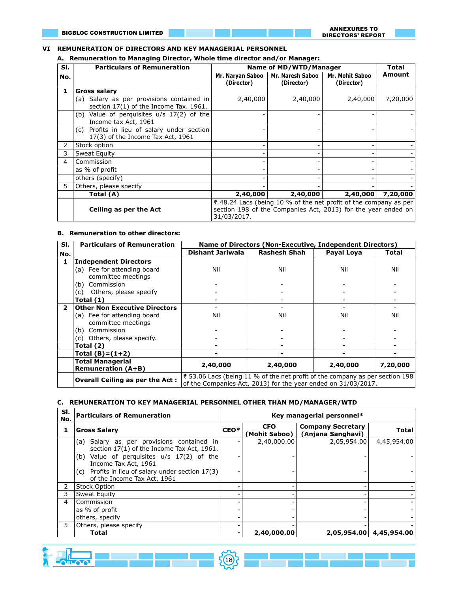#### **VI REMUNERATION OF DIRECTORS AND KEY MANAGERIAL PERSONNEL**

**A. Remuneration to Managing Director, Whole time director and/or Manager:**

| SI. | <b>Particulars of Remuneration</b>                                                    |                                                                                                                                                  | Name of MD/WTD/Manager         |                                      | <b>Total</b> |  |  |
|-----|---------------------------------------------------------------------------------------|--------------------------------------------------------------------------------------------------------------------------------------------------|--------------------------------|--------------------------------------|--------------|--|--|
| No. |                                                                                       | Mr. Naryan Saboo  <br>(Director)                                                                                                                 | Mr. Naresh Saboo<br>(Director) | <b>Mr. Mohit Saboo</b><br>(Director) | Amount       |  |  |
| 1   | <b>Gross salary</b>                                                                   |                                                                                                                                                  |                                |                                      |              |  |  |
|     | (a) Salary as per provisions contained in<br>section 17(1) of the Income Tax. 1961.   | 2,40,000                                                                                                                                         | 2,40,000                       | 2,40,000                             | 7,20,000     |  |  |
|     | Value of perquisites $u/s$ 17(2) of the<br>(b)<br>Income tax Act, 1961                |                                                                                                                                                  |                                |                                      |              |  |  |
|     | Profits in lieu of salary under section<br>(c)  <br>17(3) of the Income Tax Act, 1961 |                                                                                                                                                  |                                |                                      |              |  |  |
| 2   | Stock option                                                                          |                                                                                                                                                  |                                |                                      |              |  |  |
| 3   | Sweat Equity                                                                          |                                                                                                                                                  |                                |                                      |              |  |  |
| 4   | Commission                                                                            |                                                                                                                                                  |                                |                                      |              |  |  |
|     | as % of profit                                                                        |                                                                                                                                                  |                                |                                      |              |  |  |
|     | others (specify)                                                                      |                                                                                                                                                  |                                |                                      |              |  |  |
| 5.  | Others, please specify                                                                |                                                                                                                                                  |                                |                                      |              |  |  |
|     | Total (A)                                                                             | 2,40,000                                                                                                                                         | 2,40,000                       | 2,40,000                             | 7,20,000     |  |  |
|     | Ceiling as per the Act                                                                | ₹ 48.24 Lacs (being 10 % of the net profit of the company as per<br>section 198 of the Companies Act, 2013) for the year ended on<br>31/03/2017. |                                |                                      |              |  |  |

#### **B. Remuneration to other directors:**

| SI.          | <b>Particulars of Remuneration</b>     | Name of Directors (Non-Executive, Independent Directors)                    |                     |                                                               |          |  |
|--------------|----------------------------------------|-----------------------------------------------------------------------------|---------------------|---------------------------------------------------------------|----------|--|
| No.          |                                        | <b>Dishant Jariwala</b>                                                     | <b>Rashesh Shah</b> | Payal Loya                                                    | Total    |  |
| 1            | <b>Independent Directors</b>           |                                                                             |                     |                                                               |          |  |
|              | (a) Fee for attending board            | Nil                                                                         | Nil                 | Nil                                                           | Nil      |  |
|              | committee meetings                     |                                                                             |                     |                                                               |          |  |
|              | Commission<br>(b)                      |                                                                             |                     |                                                               |          |  |
|              | Others, please specify<br>(c)          |                                                                             |                     |                                                               |          |  |
|              | Total $(1)$                            |                                                                             |                     |                                                               |          |  |
| $\mathbf{2}$ | <b>Other Non Executive Directors</b>   |                                                                             |                     |                                                               |          |  |
|              | (a) Fee for attending board            | Nil                                                                         | Nil                 | Nil                                                           | Nil      |  |
|              | committee meetings                     |                                                                             |                     |                                                               |          |  |
|              | Commission<br>(b)                      |                                                                             |                     |                                                               |          |  |
|              | Others, please specify.<br>(c) -       |                                                                             |                     |                                                               |          |  |
|              | Total (2)                              |                                                                             |                     |                                                               |          |  |
|              | Total $(B)=(1+2)$                      |                                                                             |                     |                                                               |          |  |
|              | <b>Total Managerial</b>                | 2,40,000                                                                    | 2,40,000            | 2,40,000                                                      | 7,20,000 |  |
|              | <b>Remuneration (A+B)</b>              |                                                                             |                     |                                                               |          |  |
|              | <b>Overall Ceiling as per the Act:</b> | ₹53.06 Lacs (being 11 % of the net profit of the company as per section 198 |                     |                                                               |          |  |
|              |                                        |                                                                             |                     | of the Companies Act, 2013) for the year ended on 31/03/2017. |          |  |

# **C. REMUNERATION TO KEY MANAGERIAL PERSONNEL OTHER THAN MD/MANAGER/WTD**

| SI.<br>No. | <b>Particulars of Remuneration</b>                                                         | Key managerial personnel* |             |                                                               |                         |  |
|------------|--------------------------------------------------------------------------------------------|---------------------------|-------------|---------------------------------------------------------------|-------------------------|--|
|            | <b>Gross Salary</b>                                                                        | $CEO*$                    | <b>CFO</b>  | <b>Company Secretary</b><br>(Mohit Saboo)   (Anjana Sanghavi) | <b>Total</b>            |  |
|            | Salary as per provisions contained in<br>(a)<br>section 17(1) of the Income Tax Act, 1961. |                           | 2,40,000.00 | 2,05,954.00                                                   | 4,45,954.00             |  |
|            | Value of perquisites $u/s$ 17(2) of the<br>(b)<br>Income Tax Act, 1961                     |                           |             |                                                               |                         |  |
|            | Profits in lieu of salary under section 17(3)<br>(c)<br>of the Income Tax Act, 1961        |                           |             |                                                               |                         |  |
| 2          | <b>Stock Option</b>                                                                        |                           |             |                                                               |                         |  |
| 3.         | Sweat Equity                                                                               |                           |             |                                                               |                         |  |
| 4          | Commission                                                                                 |                           |             |                                                               |                         |  |
|            | as % of profit                                                                             |                           |             |                                                               |                         |  |
|            | others, specify                                                                            |                           |             |                                                               |                         |  |
| 5.         | Others, please specify                                                                     |                           |             |                                                               |                         |  |
|            | <b>Total</b>                                                                               |                           | 2,40,000.00 |                                                               | 2,05,954.00 4,45,954.00 |  |

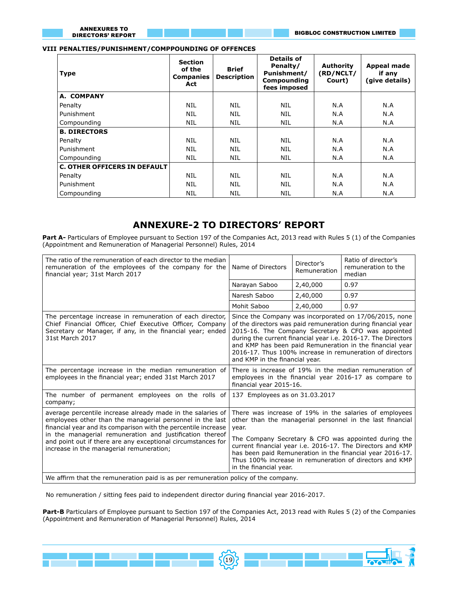#### **VIII PENALTIES/PUNISHMENT/COMPPOUNDING OF OFFENCES**

| <b>Type</b>                         | <b>Section</b><br>of the<br><b>Companies</b><br>Act | <b>Brief</b><br><b>Description</b> | <b>Details of</b><br>Penalty/<br>Punishment/<br><b>Compounding</b><br>fees imposed | <b>Authority</b><br>(RD/NCLT/<br>Court) | Appeal made<br>if any<br>(give details) |
|-------------------------------------|-----------------------------------------------------|------------------------------------|------------------------------------------------------------------------------------|-----------------------------------------|-----------------------------------------|
| A. COMPANY                          |                                                     |                                    |                                                                                    |                                         |                                         |
| Penalty                             | <b>NIL</b>                                          | <b>NIL</b>                         | <b>NIL</b>                                                                         | N.A                                     | N.A                                     |
| Punishment                          | <b>NIL</b>                                          | <b>NIL</b>                         | NIL                                                                                | N.A                                     | N.A                                     |
| Compounding                         | <b>NIL</b>                                          | <b>NIL</b>                         | <b>NIL</b>                                                                         | N.A                                     | N.A                                     |
| <b>B. DIRECTORS</b>                 |                                                     |                                    |                                                                                    |                                         |                                         |
| Penalty                             | <b>NIL</b>                                          | <b>NIL</b>                         | <b>NIL</b>                                                                         | N.A                                     | N.A                                     |
| Punishment                          | <b>NIL</b>                                          | NIL                                | NIL                                                                                | N.A                                     | N.A                                     |
| Compounding                         | <b>NIL</b>                                          | <b>NIL</b>                         | <b>NIL</b>                                                                         | N.A                                     | N.A                                     |
| <b>C. OTHER OFFICERS IN DEFAULT</b> |                                                     |                                    |                                                                                    |                                         |                                         |
| Penalty                             | <b>NIL</b>                                          | <b>NIL</b>                         | <b>NIL</b>                                                                         | N.A                                     | N.A                                     |
| Punishment                          | <b>NIL</b>                                          | <b>NIL</b>                         | <b>NIL</b>                                                                         | N.A                                     | N.A                                     |
| Compounding                         | <b>NIL</b>                                          | NIL                                | NIL                                                                                | N.A                                     | N.A                                     |

# **ANNEXURE-2 TO DIRECTORS' REPORT**

Part A- Particulars of Employee pursuant to Section 197 of the Companies Act, 2013 read with Rules 5 (1) of the Companies (Appointment and Remuneration of Managerial Personnel) Rules, 2014

| The ratio of the remuneration of each director to the median<br>remuneration of the employees of the company for the<br>financial year; 31st March 2017                                                                                                                                                                                                            | Name of Directors                                                                                                                                                                                                                                                                                                                                                                                    | Ratio of director's<br>remuneration to the<br>median |                                                                                                                                                                                                                                                                                                                                                                       |  |  |
|--------------------------------------------------------------------------------------------------------------------------------------------------------------------------------------------------------------------------------------------------------------------------------------------------------------------------------------------------------------------|------------------------------------------------------------------------------------------------------------------------------------------------------------------------------------------------------------------------------------------------------------------------------------------------------------------------------------------------------------------------------------------------------|------------------------------------------------------|-----------------------------------------------------------------------------------------------------------------------------------------------------------------------------------------------------------------------------------------------------------------------------------------------------------------------------------------------------------------------|--|--|
|                                                                                                                                                                                                                                                                                                                                                                    | Narayan Saboo                                                                                                                                                                                                                                                                                                                                                                                        | 2,40,000                                             | 0.97                                                                                                                                                                                                                                                                                                                                                                  |  |  |
|                                                                                                                                                                                                                                                                                                                                                                    | Naresh Saboo                                                                                                                                                                                                                                                                                                                                                                                         | 2,40,000                                             | 0.97                                                                                                                                                                                                                                                                                                                                                                  |  |  |
|                                                                                                                                                                                                                                                                                                                                                                    | Mohit Saboo                                                                                                                                                                                                                                                                                                                                                                                          | 2,40,000                                             | 0.97                                                                                                                                                                                                                                                                                                                                                                  |  |  |
| The percentage increase in remuneration of each director,<br>Chief Financial Officer, Chief Executive Officer, Company<br>Secretary or Manager, if any, in the financial year; ended<br>31st March 2017                                                                                                                                                            | and KMP in the financial year.                                                                                                                                                                                                                                                                                                                                                                       |                                                      | Since the Company was incorporated on 17/06/2015, none<br>of the directors was paid remuneration during financial year<br>2015-16. The Company Secretary & CFO was appointed<br>during the current financial year i.e. 2016-17. The Directors<br>and KMP has been paid Remuneration in the financial year<br>2016-17. Thus 100% increase in remuneration of directors |  |  |
| The percentage increase in the median remuneration of<br>employees in the financial year; ended 31st March 2017                                                                                                                                                                                                                                                    | There is increase of 19% in the median remuneration of<br>employees in the financial year 2016-17 as compare to<br>financial year 2015-16.                                                                                                                                                                                                                                                           |                                                      |                                                                                                                                                                                                                                                                                                                                                                       |  |  |
| The number of permanent employees on the rolls of<br>company;                                                                                                                                                                                                                                                                                                      | 137 Employees as on 31.03.2017                                                                                                                                                                                                                                                                                                                                                                       |                                                      |                                                                                                                                                                                                                                                                                                                                                                       |  |  |
| average percentile increase already made in the salaries of<br>employees other than the managerial personnel in the last<br>financial year and its comparison with the percentile increase<br>in the managerial remuneration and justification thereof<br>and point out if there are any exceptional circumstances for<br>increase in the managerial remuneration; | There was increase of 19% in the salaries of employees<br>other than the managerial personnel in the last financial<br>year.<br>The Company Secretary & CFO was appointed during the<br>current financial year i.e. 2016-17. The Directors and KMP<br>has been paid Remuneration in the financial year 2016-17.<br>Thus 100% increase in remuneration of directors and KMP<br>in the financial year. |                                                      |                                                                                                                                                                                                                                                                                                                                                                       |  |  |
| We affirm that the remuneration paid is as per remuneration policy of the company.                                                                                                                                                                                                                                                                                 |                                                                                                                                                                                                                                                                                                                                                                                                      |                                                      |                                                                                                                                                                                                                                                                                                                                                                       |  |  |

No remuneration / sitting fees paid to independent director during financial year 2016-2017.

**Part-B** Particulars of Employee pursuant to Section 197 of the Companies Act, 2013 read with Rules 5 (2) of the Companies (Appointment and Remuneration of Managerial Personnel) Rules, 2014

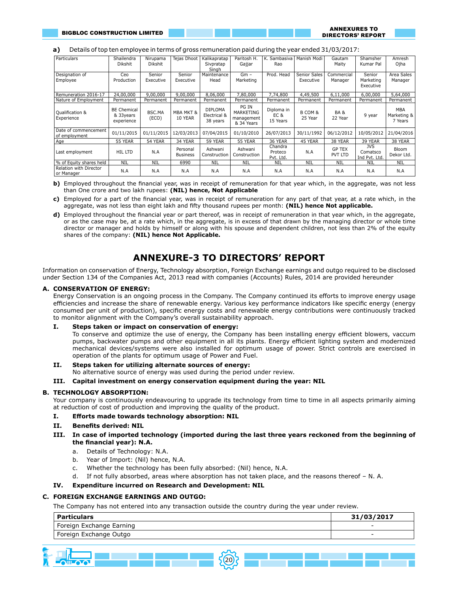# **a)** Details of top ten employee in terms of gross remuneration paid during the year ended 31/03/2017:

| Particulars                           | Shailendra<br><b>Dikshit</b>                   | Nirupama<br>Dikshit | Tejas Dhoot                     | Kalikapratap<br>Sivpratap<br>Singh         | Paritosh H.<br>Gajjar                          | K. Sambasiva<br>Rao             | Manish Modi               | Gautam<br>Maity            | Shamsher<br>Kumar Pal                   | Amresh<br>Ojha                       |
|---------------------------------------|------------------------------------------------|---------------------|---------------------------------|--------------------------------------------|------------------------------------------------|---------------------------------|---------------------------|----------------------------|-----------------------------------------|--------------------------------------|
| Designation of<br>Employee            | Ceo<br>Production                              | Senior<br>Executive | Senior<br>Executive             | Maintenance<br>Head                        | $Gm -$<br>Marketing                            | Prod. Head                      | Senior Sales<br>Executive | Commercial<br>Manager      | Senior<br>Marketing<br>Executive        | Area Sales<br>Manager                |
| Remuneration 2016-17                  | 24,00,000                                      | 9,00,000            | 9,00,000                        | 8,06,000                                   | 7.80.000                                       | 7.74.800                        | 4,49,500                  | 6,11,000                   | 6,00,000                                | 5,64,000                             |
| Nature of Employment                  | Permanent                                      | Permanent           | Permanent                       | Permanent                                  | Permanent                                      | Permanent                       | Permanent                 | Permanent                  | Permanent                               | Permanent                            |
| Qualification &<br>Experience         | <b>BE Chemical</b><br>& 33 vears<br>experience | BSC.MA<br>(ECO)     | <b>MBA MKT &amp;</b><br>10 YEAR | <b>DIPLOMA</b><br>Electrical &<br>38 years | PG IN<br>MARKETING<br>management<br>& 34 Years | Diploma in<br>EC &<br>15 Years  | B COM &<br>25 Year        | <b>BA &amp;</b><br>22 Year | 9 year                                  | <b>MBA</b><br>Marketing &<br>7 Years |
| Date of commencement<br>of employment | 01/11/2015                                     | 01/11/2015          | 12/03/2013                      | 07/04/2015                                 | 01/10/2010                                     | 26/07/2013                      | 30/11/1992                | 06/12/2012                 | 10/05/2012                              | 21/04/2016                           |
| Age                                   | 55 YEAR                                        | 54 YEAR             | 34 YEAR                         | 59 YEAR                                    | 55 YEAR                                        | 36 YEAR                         | 45 YEAR                   | 38 YEAR                    | 39 YEAR                                 | 38 YEAR                              |
| Last employment                       | HIL LTD                                        | N.A                 | Personal<br><b>Business</b>     | Ashwani<br>Construction                    | Ashwani<br>Construction                        | Chandra<br>Proteco<br>Pvt. Ltd. | N.A                       | <b>GP TEX</b><br>PVT LTD   | <b>JVS</b><br>Comatsco<br>Ind Pvt. Ltd. | Bloom<br>Dekor Ltd.                  |
| % of Equity shares held               | <b>NIL</b>                                     | <b>NIL</b>          | 6990                            | NIL                                        | NIL                                            | NIL                             | NIL                       | NIL                        | <b>NIL</b>                              | NIL                                  |
| Relation with Director<br>or Manager  | N.A                                            | N.A                 | N.A                             | N.A                                        | N.A                                            | N.A                             | N.A                       | N.A                        | N.A                                     | N.A                                  |

**b)** Employed throughout the financial year, was in receipt of remuneration for that year which, in the aggregate, was not less than One crore and two lakh rupees: **(NIL) hence, Not Applicable**

- **c)** Employed for a part of the financial year, was in receipt of remuneration for any part of that year, at a rate which, in the aggregate, was not less than eight lakh and fifty thousand rupees per month: **(NIL) hence Not applicable.**
- **d)** Employed throughout the financial year or part thereof, was in receipt of remuneration in that year which, in the aggregate, or as the case may be, at a rate which, in the aggregate, is in excess of that drawn by the managing director or whole time director or manager and holds by himself or along with his spouse and dependent children, not less than 2% of the equity shares of the company: **(NIL) hence Not Applicable.**

# **ANNEXURE-3 TO DIRECTORS' REPORT**

Information on conservation of Energy, Technology absorption, Foreign Exchange earnings and outgo required to be disclosed under Section 134 of the Companies Act, 2013 read with companies (Accounts) Rules, 2014 are provided hereunder

#### **A. CONSERVATION OF ENERGY:**

Energy Conservation is an ongoing process in the Company. The Company continued its efforts to improve energy usage efficiencies and increase the share of renewable energy. Various key performance indicators like specific energy (energy consumed per unit of production), specific energy costs and renewable energy contributions were continuously tracked to monitor alignment with the Company's overall sustainability approach.

#### **I. Steps taken or impact on conservation of energy:**

To conserve and optimize the use of energy, the Company has been installing energy efficient blowers, vaccum pumps, backwater pumps and other equipment in all its plants. Energy efficient lighting system and modernized mechanical devices/systems were also installed for optimum usage of power. Strict controls are exercised in operation of the plants for optimum usage of Power and Fuel.

#### **II. Steps taken for utilizing alternate sources of energy:**

No alternative source of energy was used during the period under review.

#### **III. Capital investment on energy conservation equipment during the year: NIL**

#### **B. TECHNOLOGY ABSORPTION:**

Your company is continuously endeavouring to upgrade its technology from time to time in all aspects primarily aiming at reduction of cost of production and improving the quality of the product.

#### **I. Efforts made towards technology absorption: NIL**

- **II. Benefits derived: NIL**
- **III. In case of imported technology (imported during the last three years reckoned from the beginning of the financial year): N.A.**
	- a. Details of Technology: N.A.
	- b. Year of Import: (Nil) hence, N.A.
	- c. Whether the technology has been fully absorbed: (Nil) hence, N.A.
	- d. If not fully absorbed, areas where absorption has not taken place, and the reasons thereof N. A.

#### **IV. Expenditure incurred on Research and Development: NIL**

#### **C. FOREIGN EXCHANGE EARNINGS AND OUTGO:**

The Company has not entered into any transaction outside the country during the year under review.

| <b>Particulars</b>       | 31/03/2017               |
|--------------------------|--------------------------|
| Foreign Exchange Earning | $\overline{\phantom{a}}$ |
| Foreign Exchange Outgo   |                          |
|                          |                          |

 $5(20)$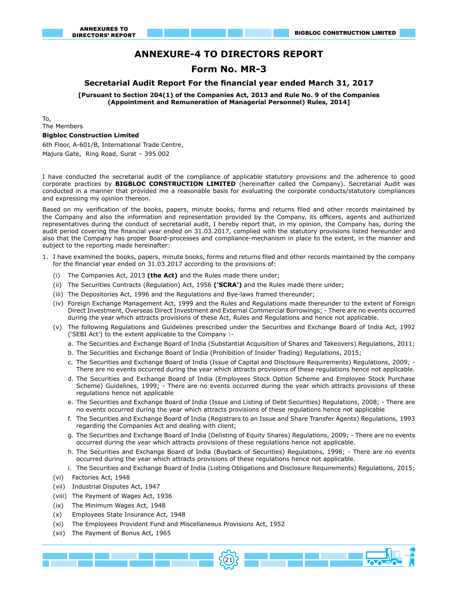# **ANNEXURE-4 TO DIRECTORS REPORT**

# **Form No. MR-3**

#### **Secretarial Audit Report For the financial year ended March 31, 2017**

**[Pursuant to Section 204(1) of the Companies Act, 2013 and Rule No. 9 of the Companies (Appointment and Remuneration of Managerial Personnel) Rules, 2014]**

To, The Members

# **Bigbloc Construction Limited**

6th Floor, A-601/B, International Trade Centre,

Majura Gate, Ring Road, Surat – 395 002

I have conducted the secretarial audit of the compliance of applicable statutory provisions and the adherence to good corporate practices by **BIGBLOC CONSTRUCTION LIMITED** (hereinafter called the Company). Secretarial Audit was conducted in a manner that provided me a reasonable basis for evaluating the corporate conducts/statutory compliances and expressing my opinion thereon.

Based on my verification of the books, papers, minute books, forms and returns filed and other records maintained by the Company and also the information and representation provided by the Company, its officers, agents and authorized representatives during the conduct of secretarial audit, I hereby report that, in my opinion, the Company has, during the audit period covering the financial year ended on 31.03.2017, complied with the statutory provisions listed hereunder and also that the Company has proper Board-processes and compliance-mechanism in place to the extent, in the manner and subject to the reporting made hereinafter:

- 1. I have examined the books, papers, minute books, forms and returns filed and other records maintained by the company for the financial year ended on 31.03.2017 according to the provisions of:
	- (i) The Companies Act, 2013 **(the Act)** and the Rules made there under;
	- (ii) The Securities Contracts (Regulation) Act, 1956 **('SCRA')** and the Rules made there under;
	- (iii) The Depositories Act, 1996 and the Regulations and Bye-laws framed thereunder;
	- (iv) Foreign Exchange Management Act, 1999 and the Rules and Regulations made thereunder to the extent of Foreign Direct Investment, Overseas Direct Investment and External Commercial Borrowings; - There are no events occurred during the year which attracts provisions of these Act, Rules and Regulations and hence not applicable.
	- (v) The following Regulations and Guidelines prescribed under the Securities and Exchange Board of India Act, 1992 ('SEBI Act') to the extent applicable to the Company :
		- a. The Securities and Exchange Board of India (Substantial Acquisition of Shares and Takeovers) Regulations, 2011;
		- b. The Securities and Exchange Board of India (Prohibition of Insider Trading) Regulations, 2015;
		- c. The Securities and Exchange Board of India (Issue of Capital and Disclosure Requirements) Regulations, 2009; There are no events occurred during the year which attracts provisions of these regulations hence not applicable.
		- d. The Securities and Exchange Board of India (Employees Stock Option Scheme and Employee Stock Purchase Scheme) Guidelines, 1999; - There are no events occurred during the year which attracts provisions of these regulations hence not applicable
		- e. The Securities and Exchange Board of India (Issue and Listing of Debt Securities) Regulations, 2008; There are no events occurred during the year which attracts provisions of these regulations hence not applicable
		- f. The Securities and Exchange Board of India (Registrars to an Issue and Share Transfer Agents) Regulations, 1993 regarding the Companies Act and dealing with client;
		- g. The Securities and Exchange Board of India (Delisting of Equity Shares) Regulations, 2009; There are no events occurred during the year which attracts provisions of these regulations hence not applicable.
		- h. The Securities and Exchange Board of India (Buyback of Securities) Regulations, 1998; There are no events occurred during the year which attracts provisions of these regulations hence not applicable.
		- i. The Securities and Exchange Board of India (Listing Obligations and Disclosure Requirements) Regulations, 2015;

21

- (vi) Factories Act, 1948
- (vii) Industrial Disputes Act, 1947
- (viii) The Payment of Wages Act, 1936
- (ix) The Minimum Wages Act, 1948
- (x) Employees State Insurance Act, 1948
- (xi) The Employees Provident Fund and Miscellaneous Provisions Act, 1952
- (xii) The Payment of Bonus Act, 1965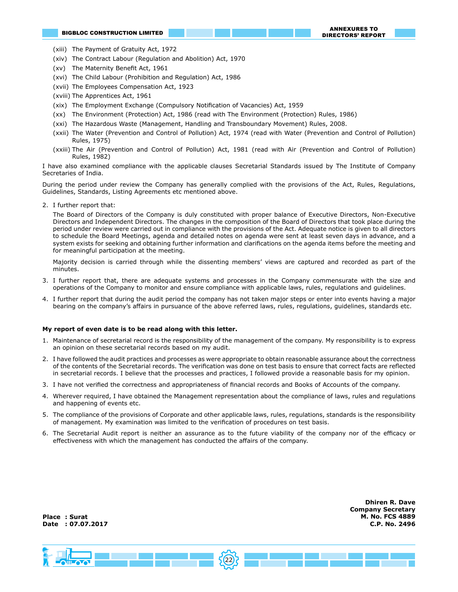**Dhiren R. Dave Company Secretary**

- (xiii) The Payment of Gratuity Act, 1972
- (xiv) The Contract Labour (Regulation and Abolition) Act, 1970
- (xv) The Maternity Benefit Act, 1961
- (xvi) The Child Labour (Prohibition and Regulation) Act, 1986
- (xvii) The Employees Compensation Act, 1923
- (xviii) The Apprentices Act, 1961
- (xix) The Employment Exchange (Compulsory Notification of Vacancies) Act, 1959
- (xx) The Environment (Protection) Act, 1986 (read with The Environment (Protection) Rules, 1986)
- (xxi) The Hazardous Waste (Management, Handling and Transboundary Movement) Rules, 2008.
- (xxii) The Water (Prevention and Control of Pollution) Act, 1974 (read with Water (Prevention and Control of Pollution) Rules, 1975)
- (xxiii) The Air (Prevention and Control of Pollution) Act, 1981 (read with Air (Prevention and Control of Pollution) Rules, 1982)

I have also examined compliance with the applicable clauses Secretarial Standards issued by The Institute of Company Secretaries of India.

During the period under review the Company has generally complied with the provisions of the Act, Rules, Regulations, Guidelines, Standards, Listing Agreements etc mentioned above.

2. I further report that:

The Board of Directors of the Company is duly constituted with proper balance of Executive Directors, Non-Executive Directors and Independent Directors. The changes in the composition of the Board of Directors that took place during the period under review were carried out in compliance with the provisions of the Act. Adequate notice is given to all directors to schedule the Board Meetings, agenda and detailed notes on agenda were sent at least seven days in advance, and a system exists for seeking and obtaining further information and clarifications on the agenda items before the meeting and for meaningful participation at the meeting.

Majority decision is carried through while the dissenting members' views are captured and recorded as part of the minutes.

- 3. I further report that, there are adequate systems and processes in the Company commensurate with the size and operations of the Company to monitor and ensure compliance with applicable laws, rules, regulations and guidelines.
- 4. I further report that during the audit period the company has not taken major steps or enter into events having a major bearing on the company's affairs in pursuance of the above referred laws, rules, regulations, guidelines, standards etc.

#### **My report of even date is to be read along with this letter.**

- 1. Maintenance of secretarial record is the responsibility of the management of the company. My responsibility is to express an opinion on these secretarial records based on my audit.
- 2. I have followed the audit practices and processes as were appropriate to obtain reasonable assurance about the correctness of the contents of the Secretarial records. The verification was done on test basis to ensure that correct facts are reflected in secretarial records. I believe that the processes and practices, I followed provide a reasonable basis for my opinion.
- 3. I have not verified the correctness and appropriateness of financial records and Books of Accounts of the company.
- 4. Wherever required, I have obtained the Management representation about the compliance of laws, rules and regulations and happening of events etc.
- 5. The compliance of the provisions of Corporate and other applicable laws, rules, regulations, standards is the responsibility of management. My examination was limited to the verification of procedures on test basis.
- 6. The Secretarial Audit report is neither an assurance as to the future viability of the company nor of the efficacy or effectiveness with which the management has conducted the affairs of the company.

 $5(22)$ **M. No. FCS 4889 C.P. No. 2496 Place : Surat Date : 07.07.2017**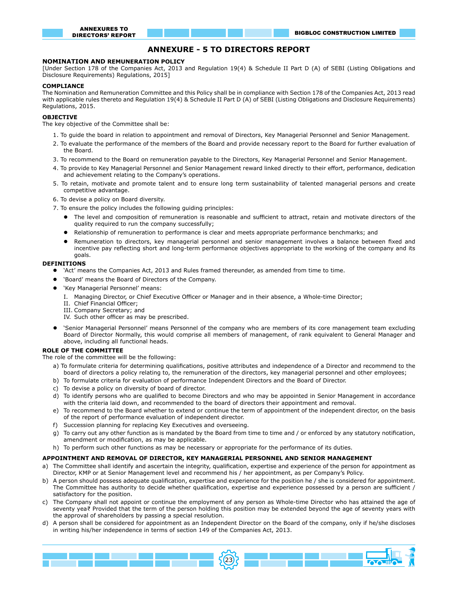# **ANNEXURE - 5 TO DIRECTORS REPORT**

#### **NOMINATION AND REMUNERATION POLICY**

[Under Section 178 of the Companies Act, 2013 and Regulation 19(4) & Schedule II Part D (A) of SEBI (Listing Obligations and Disclosure Requirements) Regulations, 2015]

#### **COMPLIANCE**

The Nomination and Remuneration Committee and this Policy shall be in compliance with Section 178 of the Companies Act, 2013 read with applicable rules thereto and Regulation 19(4) & Schedule II Part D (A) of SEBI (Listing Obligations and Disclosure Requirements) Regulations, 2015.

#### **OBJECTIVE**

The key objective of the Committee shall be:

- 1. To guide the board in relation to appointment and removal of Directors, Key Managerial Personnel and Senior Management.
- 2. To evaluate the performance of the members of the Board and provide necessary report to the Board for further evaluation of the Board.
- 3. To recommend to the Board on remuneration payable to the Directors, Key Managerial Personnel and Senior Management.
- 4. To provide to Key Managerial Personnel and Senior Management reward linked directly to their effort, performance, dedication and achievement relating to the Company's operations.
- 5. To retain, motivate and promote talent and to ensure long term sustainability of talented managerial persons and create competitive advantage.
- 6. To devise a policy on Board diversity.
- 7. To ensure the policy includes the following guiding principles:
	- l The level and composition of remuneration is reasonable and sufficient to attract, retain and motivate directors of the quality required to run the company successfully;
	- Relationship of remuneration to performance is clear and meets appropriate performance benchmarks; and
	- l Remuneration to directors, key managerial personnel and senior management involves a balance between fixed and incentive pay reflecting short and long-term performance objectives appropriate to the working of the company and its goals.

#### **DEFINITIONS**

- l 'Act' means the Companies Act, 2013 and Rules framed thereunder, as amended from time to time.
- 'Board' means the Board of Directors of the Company.
- 'Key Managerial Personnel' means:
	- I. Managing Director, or Chief Executive Officer or Manager and in their absence, a Whole-time Director;
	- II. Chief Financial Officer;
	- III. Company Secretary; and
	- IV. Such other officer as may be prescribed.
- l 'Senior Managerial Personnel' means Personnel of the company who are members of its core management team excluding Board of Director Normally, this would comprise all members of management, of rank equivalent to General Manager and above, including all functional heads.

#### **ROLE OF THE COMMITTEE**

The role of the committee will be the following:

- a) To formulate criteria for determining qualifications, positive attributes and independence of a Director and recommend to the board of directors a policy relating to, the remuneration of the directors, key managerial personnel and other employees;
- b) To formulate criteria for evaluation of performance Independent Directors and the Board of Director.
- c) To devise a policy on diversity of board of director.
- d) To identify persons who are qualified to become Directors and who may be appointed in Senior Management in accordance with the criteria laid down, and recommended to the board of directors their appointment and removal.
- e) To recommend to the Board whether to extend or continue the term of appointment of the independent director, on the basis of the report of performance evaluation of independent director.
- f) Succession planning for replacing Key Executives and overseeing.
- g) To carry out any other function as is mandated by the Board from time to time and / or enforced by any statutory notification, amendment or modification, as may be applicable.
- h) To perform such other functions as may be necessary or appropriate for the performance of its duties.

#### **APPOINTMENT AND REMOVAL OF DIRECTOR, KEY MANAGERIAL PERSONNEL AND SENIOR MANAGEMENT**

- a) The Committee shall identify and ascertain the integrity, qualification, expertise and experience of the person for appointment as Director, KMP or at Senior Management level and recommend his / her appointment, as per Company's Policy.
- b) A person should possess adequate qualification, expertise and experience for the position he / she is considered for appointment. The Committee has authority to decide whether qualification, expertise and experience possessed by a person are sufficient / satisfactory for the position.
- c) The Company shall not appoint or continue the employment of any person as Whole-time Director who has attained the age of seventy yea₹ Provided that the term of the person holding this position may be extended beyond the age of seventy years with the approval of shareholders by passing a special resolution.
- d) A person shall be considered for appointment as an Independent Director on the Board of the company, only if he/she discloses in writing his/her independence in terms of section 149 of the Companies Act, 2013.

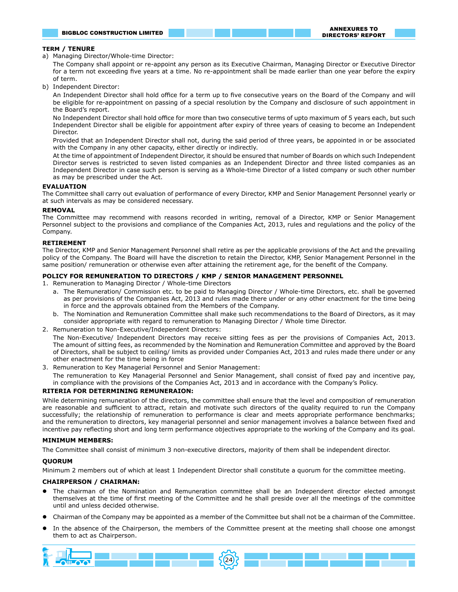#### **TERM / TENURE**

a) Managing Director/Whole-time Director:

The Company shall appoint or re-appoint any person as its Executive Chairman, Managing Director or Executive Director for a term not exceeding five years at a time. No re-appointment shall be made earlier than one year before the expiry of term.

b) Independent Director:

An Independent Director shall hold office for a term up to five consecutive years on the Board of the Company and will be eligible for re-appointment on passing of a special resolution by the Company and disclosure of such appointment in the Board's report.

No Independent Director shall hold office for more than two consecutive terms of upto maximum of 5 years each, but such Independent Director shall be eligible for appointment after expiry of three years of ceasing to become an Independent Director.

Provided that an Independent Director shall not, during the said period of three years, be appointed in or be associated with the Company in any other capacity, either directly or indirectly.

At the time of appointment of Independent Director, it should be ensured that number of Boards on which such Independent Director serves is restricted to seven listed companies as an Independent Director and three listed companies as an Independent Director in case such person is serving as a Whole-time Director of a listed company or such other number as may be prescribed under the Act.

#### **EVALUATION**

The Committee shall carry out evaluation of performance of every Director, KMP and Senior Management Personnel yearly or at such intervals as may be considered necessary.

#### **REMOVAL**

The Committee may recommend with reasons recorded in writing, removal of a Director, KMP or Senior Management Personnel subject to the provisions and compliance of the Companies Act, 2013, rules and regulations and the policy of the Company.

#### **RETIREMENT**

The Director, KMP and Senior Management Personnel shall retire as per the applicable provisions of the Act and the prevailing policy of the Company. The Board will have the discretion to retain the Director, KMP, Senior Management Personnel in the same position/ remuneration or otherwise even after attaining the retirement age, for the benefit of the Company.

#### **POLICY FOR REMUNERATION TO DIRECTORS / KMP / SENIOR MANAGEMENT PERSONNEL**

- 1. Remuneration to Managing Director / Whole-time Directors
	- a. The Remuneration/ Commission etc. to be paid to Managing Director / Whole-time Directors, etc. shall be governed as per provisions of the Companies Act, 2013 and rules made there under or any other enactment for the time being in force and the approvals obtained from the Members of the Company.
	- b. The Nomination and Remuneration Committee shall make such recommendations to the Board of Directors, as it may consider appropriate with regard to remuneration to Managing Director / Whole time Director.
- 2. Remuneration to Non-Executive/Independent Directors:

The Non-Executive/ Independent Directors may receive sitting fees as per the provisions of Companies Act, 2013. The amount of sitting fees, as recommended by the Nomination and Remuneration Committee and approved by the Board of Directors, shall be subject to ceiling/ limits as provided under Companies Act, 2013 and rules made there under or any other enactment for the time being in force

3. Remuneration to Key Managerial Personnel and Senior Management:

The remuneration to Key Managerial Personnel and Senior Management, shall consist of fixed pay and incentive pay, in compliance with the provisions of the Companies Act, 2013 and in accordance with the Company's Policy.

#### **RITERIA FOR DETERMINING REMUNERAION:**

While determining remuneration of the directors, the committee shall ensure that the level and composition of remuneration are reasonable and sufficient to attract, retain and motivate such directors of the quality required to run the Company successfully; the relationship of remuneration to performance is clear and meets appropriate performance benchmarks; and the remuneration to directors, key managerial personnel and senior management involves a balance between fixed and incentive pay reflecting short and long term performance objectives appropriate to the working of the Company and its goal.

#### **MINIMUM MEMBERS:**

The Committee shall consist of minimum 3 non-executive directors, majority of them shall be independent director.

#### **QUORUM**

Minimum 2 members out of which at least 1 Independent Director shall constitute a quorum for the committee meeting.

#### **CHAIRPERSON / CHAIRMAN:**

- l The chairman of the Nomination and Remuneration committee shall be an Independent director elected amongst themselves at the time of first meeting of the Committee and he shall preside over all the meetings of the committee until and unless decided otherwise.
- l Chairman of the Company may be appointed as a member of the Committee but shall not be a chairman of the Committee.
- In the absence of the Chairperson, the members of the Committee present at the meeting shall choose one amongst them to act as Chairperson.

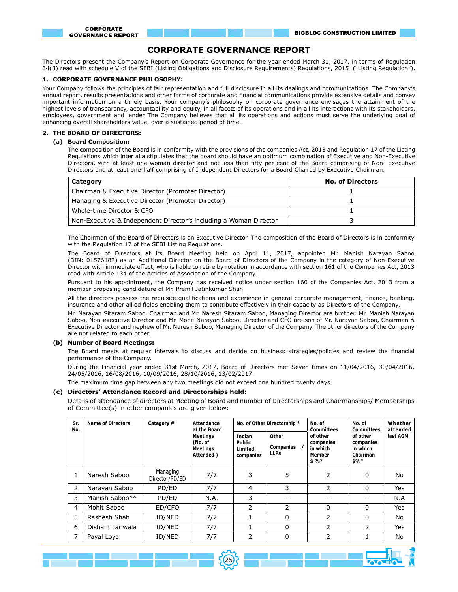# **CORPORATE GOVERNANCE REPORT**

The Directors present the Company's Report on Corporate Governance for the year ended March 31, 2017, in terms of Regulation 34(3) read with schedule V of the SEBI (Listing Obligations and Disclosure Requirements) Regulations, 2015 ("Listing Regulation").

#### **1. CORPORATE GOVERNANCE PHILOSOPHY:**

Your Company follows the principles of fair representation and full disclosure in all its dealings and communications. The Company's annual report, results presentations and other forms of corporate and financial communications provide extensive details and convey important information on a timely basis. Your company's philosophy on corporate governance envisages the attainment of the highest levels of transparency, accountability and equity, in all facets of its operations and in all its interactions with its stakeholders, employees, government and lender The Company believes that all its operations and actions must serve the underlying goal of enhancing overall shareholders value, over a sustained period of time.

#### **2. THE BOARD OF DIRECTORS:**

#### **(a) Board Composition:**

The composition of the Board is in conformity with the provisions of the companies Act, 2013 and Regulation 17 of the Listing Regulations which inter alia stipulates that the board should have an optimum combination of Executive and Non-Executive Directors, with at least one woman director and not less than fifty per cent of the Board comprising of Non- Executive Directors and at least one-half comprising of Independent Directors for a Board Chaired by Executive Chairman.

| Category                                                          | <b>No. of Directors</b> |
|-------------------------------------------------------------------|-------------------------|
| Chairman & Executive Director (Promoter Director)                 |                         |
| Managing & Executive Director (Promoter Director)                 |                         |
| Whole-time Director & CFO                                         |                         |
| Non-Executive & Independent Director's including a Woman Director |                         |

 The Chairman of the Board of Directors is an Executive Director. The composition of the Board of Directors is in conformity with the Regulation 17 of the SEBI Listing Regulations.

The Board of Directors at its Board Meeting held on April 11, 2017, appointed Mr. Manish Narayan Saboo (DIN: 01576187) as an Additional Director on the Board of Directors of the Company in the category of Non-Executive Director with immediate effect, who is liable to retire by rotation in accordance with section 161 of the Companies Act, 2013 read with Article 134 of the Articles of Association of the Company.

Pursuant to his appointment, the Company has received notice under section 160 of the Companies Act, 2013 from a member proposing candidature of Mr. Premil Jatinkumar Shah

All the directors possess the requisite qualifications and experience in general corporate management, finance, banking, insurance and other allied fields enabling them to contribute effectively in their capacity as Directors of the Company.

Mr. Narayan Sitaram Saboo, Chairman and Mr. Naresh Sitaram Saboo, Managing Director are brother. Mr. Manish Narayan Saboo, Non-executive Director and Mr. Mohit Narayan Saboo, Director and CFO are son of Mr. Narayan Saboo, Chairman & Executive Director and nephew of Mr. Naresh Saboo, Managing Director of the Company. The other directors of the Company are not related to each other.

#### **(b) Number of Board Meetings:**

The Board meets at regular intervals to discuss and decide on business strategies/policies and review the financial performance of the Company.

During the Financial year ended 31st March, 2017, Board of Directors met Seven times on 11/04/2016, 30/04/2016, 24/05/2016, 16/08/2016, 10/09/2016, 28/10/2016, 13/02/2017.

The maximum time gap between any two meetings did not exceed one hundred twenty days.

#### **(c) Directors' Attendance Record and Directorships held:**

Details of attendance of directors at Meeting of Board and number of Directorships and Chairmanships/ Memberships of Committee(s) in other companies are given below:

| Sr.<br>No. | <b>Name of Directors</b> | Category #                 | Attendance<br>at the Board                   |                                                 | No. of Other Directorship *              | No. of<br><b>Committees</b>                           | No. of<br><b>Committees</b>                            | Whether<br>attended<br>last AGM |
|------------|--------------------------|----------------------------|----------------------------------------------|-------------------------------------------------|------------------------------------------|-------------------------------------------------------|--------------------------------------------------------|---------------------------------|
|            |                          |                            | Meetings<br>(No. of<br>Meetings<br>Attended) | Indian<br><b>Public</b><br>Limited<br>companies | Other<br><b>Companies</b><br><b>LLPs</b> | of other<br>companies<br>in which<br>Member<br>$$96*$ | of other<br>companies<br>in which<br>Chairman<br>$$%*$ |                                 |
|            | Naresh Saboo             | Managing<br>Director/PD/ED | 7/7                                          | 3                                               | 5                                        | 2                                                     | 0                                                      | No.                             |
| 2          | Narayan Saboo            | PD/ED                      | 7/7                                          | 4                                               | 3                                        | $\overline{2}$                                        | 0                                                      | <b>Yes</b>                      |
| 3          | Manish Saboo**           | PD/ED                      | N.A.                                         | 3                                               |                                          |                                                       | -                                                      | N.A                             |
| 4          | Mohit Saboo              | ED/CFO                     | 7/7                                          | 2                                               | $\mathcal{P}$                            | 0                                                     | 0                                                      | Yes                             |
| 5          | Rashesh Shah             | ID/NED                     | 7/7                                          |                                                 | 0                                        | $\overline{2}$                                        | 0                                                      | No                              |
| 6          | Dishant Jariwala         | ID/NED                     | 7/7                                          |                                                 | 0                                        | $\overline{2}$                                        | 2                                                      | Yes                             |
| 7          | Payal Loya               | ID/NED                     | 7/7                                          | 2                                               | 0                                        | 2                                                     | 1                                                      | No                              |



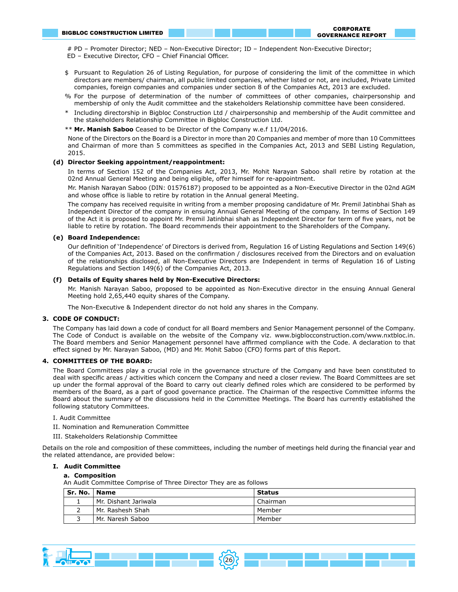# PD – Promoter Director; NED – Non-Executive Director; ID – Independent Non-Executive Director; ED – Executive Director, CFO – Chief Financial Officer.

- \$ Pursuant to Regulation 26 of Listing Regulation, for purpose of considering the limit of the committee in which directors are members/ chairman, all public limited companies, whether listed or not, are included, Private Limited companies, foreign companies and companies under section 8 of the Companies Act, 2013 are excluded.
- % For the purpose of determination of the number of committees of other companies, chairpersonship and membership of only the Audit committee and the stakeholders Relationship committee have been considered.
- \* Including directorship in Bigbloc Construction Ltd / chairpersonship and membership of the Audit committee and the stakeholders Relationship Committee in Bigbloc Construction Ltd.
- \*\* **Mr. Manish Saboo** Ceased to be Director of the Company w.e.f 11/04/2016.

None of the Directors on the Board is a Director in more than 20 Companies and member of more than 10 Committees and Chairman of more than 5 committees as specified in the Companies Act, 2013 and SEBI Listing Regulation, 2015.

#### **(d) Director Seeking appointment/reappointment:**

In terms of Section 152 of the Companies Act, 2013, Mr. Mohit Narayan Saboo shall retire by rotation at the 02nd Annual General Meeting and being eligible, offer himself for re-appointment.

Mr. Manish Narayan Saboo (DIN: 01576187) proposed to be appointed as a Non-Executive Director in the 02nd AGM and whose office is liable to retire by rotation in the Annual general Meeting.

The company has received requisite in writing from a member proposing candidature of Mr. Premil Jatinbhai Shah as Independent Director of the company in ensuing Annual General Meeting of the company. In terms of Section 149 of the Act it is proposed to appoint Mr. Premil Jatinbhai shah as Independent Director for term of five years, not be liable to retire by rotation. The Board recommends their appointment to the Shareholders of the Company.

#### **(e) Board Independence:**

Our definition of 'Independence' of Directors is derived from, Regulation 16 of Listing Regulations and Section 149(6) of the Companies Act, 2013. Based on the confirmation / disclosures received from the Directors and on evaluation of the relationships disclosed, all Non-Executive Directors are Independent in terms of Regulation 16 of Listing Regulations and Section 149(6) of the Companies Act, 2013.

#### **(f) Details of Equity shares held by Non-Executive Directors:**

Mr. Manish Narayan Saboo, proposed to be appointed as Non-Executive director in the ensuing Annual General Meeting hold 2,65,440 equity shares of the Company.

The Non-Executive & Independent director do not hold any shares in the Company.

#### **3. CODE OF CONDUCT:**

The Company has laid down a code of conduct for all Board members and Senior Management personnel of the Company. The Code of Conduct is available on the website of the Company viz. www.bigblocconstruction.com/www.nxtbloc.in. The Board members and Senior Management personnel have affirmed compliance with the Code. A declaration to that effect signed by Mr. Narayan Saboo, (MD) and Mr. Mohit Saboo (CFO) forms part of this Report.

#### **4. COMMITTEES OF THE BOARD:**

The Board Committees play a crucial role in the governance structure of the Company and have been constituted to deal with specific areas / activities which concern the Company and need a closer review. The Board Committees are set up under the formal approval of the Board to carry out clearly defined roles which are considered to be performed by members of the Board, as a part of good governance practice. The Chairman of the respective Committee informs the Board about the summary of the discussions held in the Committee Meetings. The Board has currently established the following statutory Committees.

#### I. Audit Committee

- II. Nomination and Remuneration Committee
- III. Stakeholders Relationship Committee

Details on the role and composition of these committees, including the number of meetings held during the financial year and the related attendance, are provided below:

#### **I. Audit Committee**

#### **a. Composition**

An Audit Committee Comprise of Three Director They are as follows

| Sr. No.   Name |                      | <b>Status</b> |
|----------------|----------------------|---------------|
|                | Mr. Dishant Jariwala | Chairman      |
|                | Mr. Rashesh Shah     | Member        |
|                | Mr. Naresh Saboo     | Member        |

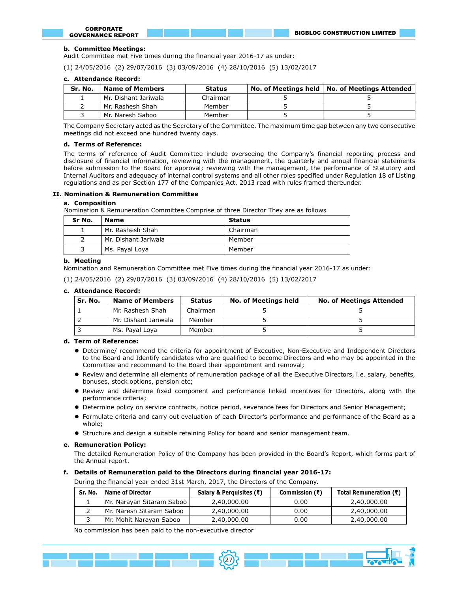#### **b. Committee Meetings:**

Audit Committee met Five times during the financial year 2016-17 as under:

(1) 24/05/2016 (2) 29/07/2016 (3) 03/09/2016 (4) 28/10/2016 (5) 13/02/2017

#### **c. Attendance Record:**

| Sr. No. | <b>Name of Members</b> | <b>Status</b> | No. of Meetings held   No. of Meetings Attended |
|---------|------------------------|---------------|-------------------------------------------------|
|         | Mr. Dishant Jariwala   | Chairman      |                                                 |
|         | Mr. Rashesh Shah       | Member        |                                                 |
|         | Mr. Naresh Saboo       | Member        |                                                 |

The Company Secretary acted as the Secretary of the Committee. The maximum time gap between any two consecutive meetings did not exceed one hundred twenty days.

#### **d. Terms of Reference:**

The terms of reference of Audit Committee include overseeing the Company's financial reporting process and disclosure of financial information, reviewing with the management, the quarterly and annual financial statements before submission to the Board for approval; reviewing with the management, the performance of Statutory and Internal Auditors and adequacy of internal control systems and all other roles specified under Regulation 18 of Listing regulations and as per Section 177 of the Companies Act, 2013 read with rules framed thereunder.

#### **II. Nomination & Remuneration Committee**

#### **a. Composition**

Nomination & Remuneration Committee Comprise of three Director They are as follows

| Sr No. | <b>Name</b>          | <b>Status</b> |
|--------|----------------------|---------------|
|        | Mr. Rashesh Shah     | Chairman      |
|        | Mr. Dishant Jariwala | Member        |
|        | Ms. Payal Loya       | Member        |

#### **b. Meeting**

Nomination and Remuneration Committee met Five times during the financial year 2016-17 as under:

|  |  |  |  |  |  | (1) 24/05/2016 (2) 29/07/2016 (3) 03/09/2016 (4) 28/10/2016 (5) 13/02/2017 |  |  |  |  |
|--|--|--|--|--|--|----------------------------------------------------------------------------|--|--|--|--|
|--|--|--|--|--|--|----------------------------------------------------------------------------|--|--|--|--|

#### **c. Attendance Record:**

| Sr. No. | <b>Name of Members</b> |          | <b>No. of Meetings held</b><br>Status |  | <b>No. of Meetings Attended</b> |  |  |
|---------|------------------------|----------|---------------------------------------|--|---------------------------------|--|--|
|         | Mr. Rashesh Shah       | Chairman |                                       |  |                                 |  |  |
|         | Mr. Dishant Jariwala   | Member   |                                       |  |                                 |  |  |
|         | Ms. Payal Loya         | Member   |                                       |  |                                 |  |  |

#### **d. Term of Reference:**

- l Determine/ recommend the criteria for appointment of Executive, Non-Executive and Independent Directors to the Board and Identify candidates who are qualified to become Directors and who may be appointed in the Committee and recommend to the Board their appointment and removal;
- l Review and determine all elements of remuneration package of all the Executive Directors, i.e. salary, benefits, bonuses, stock options, pension etc;
- Review and determine fixed component and performance linked incentives for Directors, along with the performance criteria;
- Determine policy on service contracts, notice period, severance fees for Directors and Senior Management;
- l Formulate criteria and carry out evaluation of each Director's performance and performance of the Board as a whole;
- **•** Structure and design a suitable retaining Policy for board and senior management team.

#### **e. Remuneration Policy:**

The detailed Remuneration Policy of the Company has been provided in the Board's Report, which forms part of the Annual report.

#### **f. Details of Remuneration paid to the Directors during financial year 2016-17:**

During the financial year ended 31st March, 2017, the Directors of the Company.

| Sr. No. | <b>Name of Director</b>   | Salary & Perguisites $(3)$ | Commission $(3)$ | Total Remuneration $(3)$ |
|---------|---------------------------|----------------------------|------------------|--------------------------|
|         | Mr. Narayan Sitaram Saboo | 2,40,000.00                | 0.00             | 2,40,000.00              |
|         | Mr. Naresh Sitaram Saboo  | 2,40,000.00                | 0.00             | 2,40,000.00              |
|         | Mr. Mohit Naravan Saboo   | 2,40,000.00                | 0.00             | 2,40,000.00              |

No commission has been paid to the non-executive director

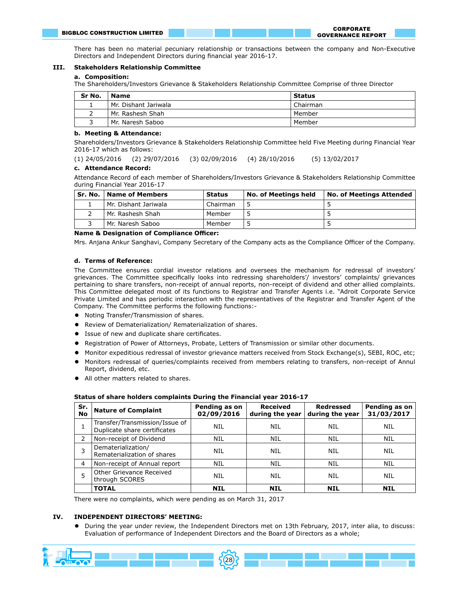There has been no material pecuniary relationship or transactions between the company and Non-Executive Directors and Independent Directors during financial year 2016-17.

#### **III. Stakeholders Relationship Committee**

#### **a. Composition:**

The Shareholders/Investors Grievance & Stakeholders Relationship Committee Comprise of three Director

| Sr No. | <b>Name</b>          | Status   |
|--------|----------------------|----------|
|        | Mr. Dishant Jariwala | Chairman |
|        | Mr. Rashesh Shah     | Member   |
|        | Mr. Naresh Saboo     | Member   |

#### **b. Meeting & Attendance:**

Shareholders/Investors Grievance & Stakeholders Relationship Committee held Five Meeting during Financial Year 2016-17 which as follows:

(1) 24/05/2016 (2) 29/07/2016 (3) 02/09/2016 (4) 28/10/2016 (5) 13/02/2017

#### **c. Attendance Record:**

Attendance Record of each member of Shareholders/Investors Grievance & Stakeholders Relationship Committee during Financial Year 2016-17

|  | Sr. No.   Name of Members | <b>Status</b> | <b>No. of Meetings held</b> | No. of Meetings Attended |
|--|---------------------------|---------------|-----------------------------|--------------------------|
|  | Mr. Dishant Jariwala      | Chairman      |                             |                          |
|  | Mr. Rashesh Shah          | Member        |                             |                          |
|  | Mr. Naresh Saboo          | Member        |                             |                          |

#### **Name & Designation of Compliance Officer:**

Mrs. Anjana Ankur Sanghavi, Company Secretary of the Company acts as the Compliance Officer of the Company.

#### **d. Terms of Reference:**

The Committee ensures cordial investor relations and oversees the mechanism for redressal of investors' grievances. The Committee specifically looks into redressing shareholders'/ investors' complaints/ grievances pertaining to share transfers, non-receipt of annual reports, non-receipt of dividend and other allied complaints. This Committee delegated most of its functions to Registrar and Transfer Agents i.e. "Adroit Corporate Service Private Limited and has periodic interaction with the representatives of the Registrar and Transfer Agent of the Company. The Committee performs the following functions:-

- **•** Noting Transfer/Transmission of shares.
- **•** Review of Dematerialization/ Rematerialization of shares.
- **.** Issue of new and duplicate share certificates.
- l Registration of Power of Attorneys, Probate, Letters of Transmission or similar other documents.
- l Monitor expeditious redressal of investor grievance matters received from Stock Exchange(s), SEBI, ROC, etc;
- l Monitors redressal of queries/complaints received from members relating to transfers, non-receipt of Annul Report, dividend, etc.
- All other matters related to shares.

| Sr.<br><b>No</b> | <b>Nature of Complaint</b>                                     | Pending as on<br>02/09/2016 | <b>Received</b><br>during the year | Redressed<br>during the year | Pending as on<br>31/03/2017 |
|------------------|----------------------------------------------------------------|-----------------------------|------------------------------------|------------------------------|-----------------------------|
|                  | Transfer/Transmission/Issue of<br>Duplicate share certificates | <b>NIL</b>                  | NIL                                | NIL                          | <b>NIL</b>                  |
| 2                | Non-receipt of Dividend                                        | <b>NIL</b>                  | <b>NIL</b>                         | <b>NIL</b>                   | <b>NIL</b>                  |
| 3                | Dematerialization/<br>Rematerialization of shares              | <b>NIL</b>                  | NIL                                | NIL                          | <b>NIL</b>                  |
| $\overline{4}$   | Non-receipt of Annual report                                   | <b>NIL</b>                  | NIL                                | NIL                          | NIL                         |
| 5                | Other Grievance Received<br>through SCORES                     | <b>NIL</b>                  | NIL                                | NIL                          | NIL                         |
|                  | <b>TOTAL</b>                                                   | <b>NIL</b>                  | <b>NIL</b>                         | <b>NIL</b>                   | <b>NIL</b>                  |

#### **Status of share holders complaints During the Financial year 2016-17**

There were no complaints, which were pending as on March 31, 2017

#### **IV. INDEPENDENT DIRECTORS' MEETING:**

l During the year under review, the Independent Directors met on 13th February, 2017, inter alia, to discuss: Evaluation of performance of Independent Directors and the Board of Directors as a whole;

28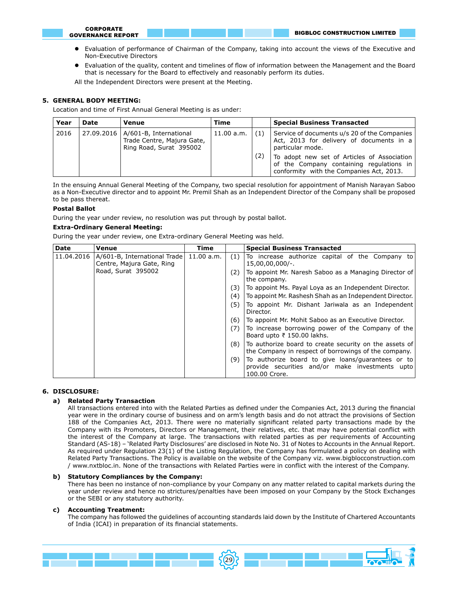- Evaluation of performance of Chairman of the Company, taking into account the views of the Executive and Non-Executive Directors
- l Evaluation of the quality, content and timelines of flow of information between the Management and the Board that is necessary for the Board to effectively and reasonably perform its duties.

All the Independent Directors were present at the Meeting.

#### **5. GENERAL BODY MEETING:**

Location and time of First Annual General Meeting is as under:

| Year | Date | Venue                                                                                        | Time       |            | <b>Special Business Transacted</b>                                                                                                                                                                                                                  |
|------|------|----------------------------------------------------------------------------------------------|------------|------------|-----------------------------------------------------------------------------------------------------------------------------------------------------------------------------------------------------------------------------------------------------|
| 2016 |      | 27.09.2016   A/601-B, International<br>Trade Centre, Majura Gate,<br>Ring Road, Surat 395002 | 11.00 a.m. | (1)<br>(2) | Service of documents u/s 20 of the Companies<br>Act, 2013 for delivery of documents in a<br>particular mode.<br>To adopt new set of Articles of Association<br>of the Company containing regulations in<br>conformity with the Companies Act, 2013. |
|      |      |                                                                                              |            |            |                                                                                                                                                                                                                                                     |

In the ensuing Annual General Meeting of the Company, two special resolution for appointment of Manish Narayan Saboo as a Non-Executive director and to appoint Mr. Premil Shah as an Independent Director of the Company shall be proposed to be pass thereat.

#### **Postal Ballot**

During the year under review, no resolution was put through by postal ballot.

#### **Extra-Ordinary General Meeting:**

During the year under review, one Extra-ordinary General Meeting was held.

| Date       | Venue                                                       | Time       |     | <b>Special Business Transacted</b>                                                                                    |
|------------|-------------------------------------------------------------|------------|-----|-----------------------------------------------------------------------------------------------------------------------|
| 11.04.2016 | A/601-B, International Trade  <br>Centre, Majura Gate, Ring | 11.00 a.m. | (1) | To increase authorize capital of the Company to<br>$15,00,00,000/-.$                                                  |
|            | Road, Surat 395002                                          |            | (2) | To appoint Mr. Naresh Saboo as a Managing Director of<br>the company.                                                 |
|            |                                                             |            | (3) | To appoint Ms. Payal Loya as an Independent Director.                                                                 |
|            |                                                             |            | (4) | To appoint Mr. Rashesh Shah as an Independent Director.                                                               |
|            |                                                             |            | (5) | To appoint Mr. Dishant Jariwala as an Independent<br>Director.                                                        |
|            |                                                             |            | (6) | To appoint Mr. Mohit Saboo as an Executive Director.                                                                  |
|            |                                                             |            | (7) | To increase borrowing power of the Company of the<br>Board upto ₹ 150.00 lakhs.                                       |
|            |                                                             |            | (8) | To authorize board to create security on the assets of<br>the Company in respect of borrowings of the company.        |
|            |                                                             |            | (9) | To authorize board to give loans/guarantees or to<br>provide securities and/or make investments upto<br>100.00 Crore. |

#### **6. DISCLOSURE:**

#### **a) Related Party Transaction**

All transactions entered into with the Related Parties as defined under the Companies Act, 2013 during the financial year were in the ordinary course of business and on arm's length basis and do not attract the provisions of Section 188 of the Companies Act, 2013. There were no materially significant related party transactions made by the Company with its Promoters, Directors or Management, their relatives, etc. that may have potential conflict with the interest of the Company at large. The transactions with related parties as per requirements of Accounting Standard (AS-18) – 'Related Party Disclosures' are disclosed in Note No. 31 of Notes to Accounts in the Annual Report. As required under Regulation 23(1) of the Listing Regulation, the Company has formulated a policy on dealing with Related Party Transactions. The Policy is available on the website of the Company viz. www.bigblocconstruction.com / www.nxtbloc.in. None of the transactions with Related Parties were in conflict with the interest of the Company.

#### **b) Statutory Compliances by the Company:**

There has been no instance of non-compliance by your Company on any matter related to capital markets during the year under review and hence no strictures/penalties have been imposed on your Company by the Stock Exchanges or the SEBI or any statutory authority.

#### **c) Accounting Treatment:**

The company has followed the guidelines of accounting standards laid down by the Institute of Chartered Accountants of India (ICAI) in preparation of its financial statements.

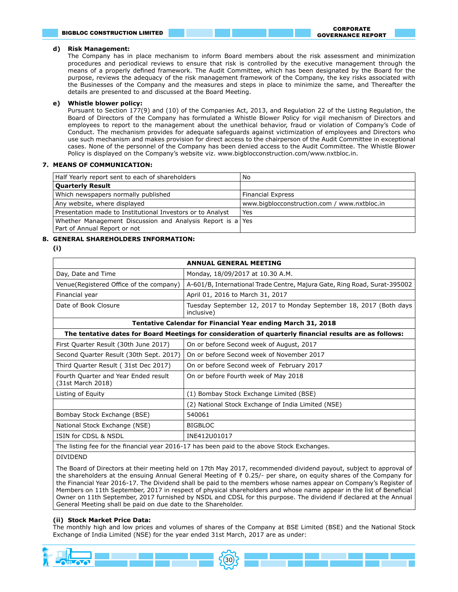# **d) Risk Management:**

The Company has in place mechanism to inform Board members about the risk assessment and minimization procedures and periodical reviews to ensure that risk is controlled by the executive management through the means of a properly defined framework. The Audit Committee, which has been designated by the Board for the purpose, reviews the adequacy of the risk management framework of the Company, the key risks associated with the Businesses of the Company and the measures and steps in place to minimize the same, and Thereafter the details are presented to and discussed at the Board Meeting.

# **e) Whistle blower policy:**

Pursuant to Section 177(9) and (10) of the Companies Act, 2013, and Regulation 22 of the Listing Regulation, the Board of Directors of the Company has formulated a Whistle Blower Policy for vigil mechanism of Directors and employees to report to the management about the unethical behavior, fraud or violation of Company's Code of Conduct. The mechanism provides for adequate safeguards against victimization of employees and Directors who use such mechanism and makes provision for direct access to the chairperson of the Audit Committee in exceptional cases. None of the personnel of the Company has been denied access to the Audit Committee. The Whistle Blower Policy is displayed on the Company's website viz. www.bigblocconstruction.com/www.nxtbloc.in.

# **7. MEANS OF COMMUNICATION:**

| Half Yearly report sent to each of shareholders                                            | No                                           |
|--------------------------------------------------------------------------------------------|----------------------------------------------|
| <b>Quarterly Result</b>                                                                    |                                              |
| Which newspapers normally published                                                        | <b>Financial Express</b>                     |
| Any website, where displayed                                                               | www.bigblocconstruction.com / www.nxtbloc.in |
| Presentation made to Institutional Investors or to Analyst                                 | Yes                                          |
| Whether Management Discussion and Analysis Report is a Yes<br>Part of Annual Report or not |                                              |

# **8. GENERAL SHAREHOLDERS INFORMATION:**

**(i)** 

| <b>ANNUAL GENERAL MEETING</b>                                                              |                                                                                                         |  |  |  |
|--------------------------------------------------------------------------------------------|---------------------------------------------------------------------------------------------------------|--|--|--|
| Day, Date and Time                                                                         | Monday, 18/09/2017 at 10.30 A.M.                                                                        |  |  |  |
| Venue(Registered Office of the company)                                                    | A-601/B, International Trade Centre, Majura Gate, Ring Road, Surat-395002                               |  |  |  |
| Financial year                                                                             | April 01, 2016 to March 31, 2017                                                                        |  |  |  |
| Date of Book Closure                                                                       | Tuesday September 12, 2017 to Monday September 18, 2017 (Both days<br>inclusive)                        |  |  |  |
|                                                                                            | <b>Tentative Calendar for Financial Year ending March 31, 2018</b>                                      |  |  |  |
|                                                                                            | The tentative dates for Board Meetings for consideration of quarterly financial results are as follows: |  |  |  |
| First Quarter Result (30th June 2017)                                                      | On or before Second week of August, 2017                                                                |  |  |  |
| Second Quarter Result (30th Sept. 2017)                                                    | On or before Second week of November 2017                                                               |  |  |  |
| Third Quarter Result (31st Dec 2017)                                                       | On or before Second week of February 2017                                                               |  |  |  |
| Fourth Quarter and Year Ended result<br>(31st March 2018)                                  | On or before Fourth week of May 2018                                                                    |  |  |  |
| Listing of Equity                                                                          | (1) Bombay Stock Exchange Limited (BSE)                                                                 |  |  |  |
|                                                                                            | (2) National Stock Exchange of India Limited (NSE)                                                      |  |  |  |
| Bombay Stock Exchange (BSE)                                                                | 540061                                                                                                  |  |  |  |
| National Stock Exchange (NSE)                                                              | <b>BIGBLOC</b>                                                                                          |  |  |  |
| ISIN for CDSL & NSDL                                                                       | INE412U01017                                                                                            |  |  |  |
| The listing fee for the financial year 2016-17 has been paid to the above Stock Exchanges. |                                                                                                         |  |  |  |

DIVIDEND

The Board of Directors at their meeting held on 17th May 2017, recommended dividend payout, subject to approval of the shareholders at the ensuing Annual General Meeting of ₹ 0.25/- per share, on equity shares of the Company for the Financial Year 2016-17. The Dividend shall be paid to the members whose names appear on Company's Register of Members on 11th September, 2017 in respect of physical shareholders and whose name appear in the list of Beneficial Owner on 11th September, 2017 furnished by NSDL and CDSL for this purpose. The dividend if declared at the Annual General Meeting shall be paid on due date to the Shareholder.

# **(ii) Stock Market Price Data:**

The monthly high and low prices and volumes of shares of the Company at BSE Limited (BSE) and the National Stock Exchange of India Limited (NSE) for the year ended 31st March, 2017 are as under:

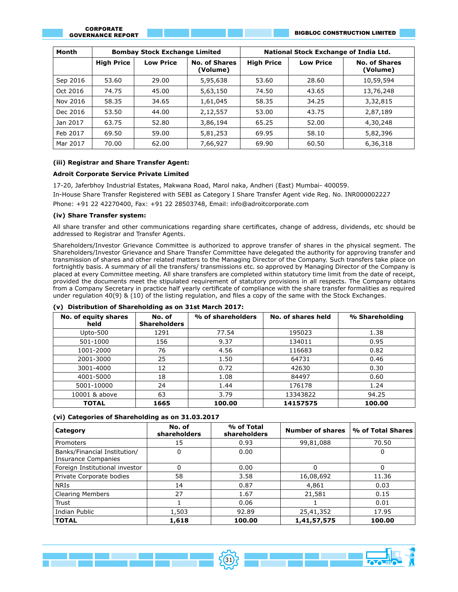BIGBLOC CONSTRUCTION LIMITED

| Month    | <b>Bombay Stock Exchange Limited</b> |                  |                                  | National Stock Exchange of India Ltd. |                  |                                  |  |
|----------|--------------------------------------|------------------|----------------------------------|---------------------------------------|------------------|----------------------------------|--|
|          | <b>High Price</b>                    | <b>Low Price</b> | <b>No. of Shares</b><br>(Volume) | <b>High Price</b>                     | <b>Low Price</b> | <b>No. of Shares</b><br>(Volume) |  |
| Sep 2016 | 53.60                                | 29.00            | 5,95,638                         | 53.60                                 | 28.60            | 10,59,594                        |  |
| Oct 2016 | 74.75                                | 45.00            | 5,63,150                         | 74.50                                 | 43.65            | 13,76,248                        |  |
| Nov 2016 | 58.35                                | 34.65            | 1,61,045                         | 58.35                                 | 34.25            | 3,32,815                         |  |
| Dec 2016 | 53.50                                | 44.00            | 2,12,557                         | 53.00                                 | 43.75            | 2,87,189                         |  |
| Jan 2017 | 63.75                                | 52.80            | 3,86,194                         | 65.25                                 | 52.00            | 4,30,248                         |  |
| Feb 2017 | 69.50                                | 59.00            | 5,81,253                         | 69.95                                 | 58.10            | 5,82,396                         |  |
| Mar 2017 | 70.00                                | 62.00            | 7,66,927                         | 69.90                                 | 60.50            | 6,36,318                         |  |

#### **(iii) Registrar and Share Transfer Agent:**

#### **Adroit Corporate Service Private Limited**

17-20, Jaferbhoy Industrial Estates, Makwana Road, Marol naka, Andheri (East) Mumbai- 400059. In-House Share Transfer Registered with SEBI as Category I Share Transfer Agent vide Reg. No. INR000002227 Phone: +91 22 42270400, Fax: +91 22 28503748, Email: info@adroitcorporate.com

#### **(iv) Share Transfer system:**

All share transfer and other communications regarding share certificates, change of address, dividends, etc should be addressed to Registrar and Transfer Agents.

Shareholders/Investor Grievance Committee is authorized to approve transfer of shares in the physical segment. The Shareholders/Investor Grievance and Share Transfer Committee have delegated the authority for approving transfer and transmission of shares and other related matters to the Managing Director of the Company. Such transfers take place on fortnightly basis. A summary of all the transfers/ transmissions etc. so approved by Managing Director of the Company is placed at every Committee meeting. All share transfers are completed within statutory time limit from the date of receipt, provided the documents meet the stipulated requirement of statutory provisions in all respects. The Company obtains from a Company Secretary in practice half yearly certificate of compliance with the share transfer formalities as required under regulation 40(9) & (10) of the listing regulation, and files a copy of the same with the Stock Exchanges.

| No. of equity shares<br>held | No. of<br><b>Shareholders</b> | % of shareholders | No. of shares held | % Shareholding |
|------------------------------|-------------------------------|-------------------|--------------------|----------------|
| Upto-500                     | 1291                          | 77.54             | 195023             | 1.38           |
| 501-1000                     | 156                           | 9.37              | 134011             | 0.95           |
| 1001-2000                    | 76                            | 4.56              | 116683             | 0.82           |
| 2001-3000                    | 25                            | 1.50              | 64731              | 0.46           |
| 3001-4000                    | 12                            | 0.72              | 42630              | 0.30           |
| 4001-5000                    | 18                            | 1.08              | 84497              | 0.60           |
| 5001-10000                   | 24                            | 1.44              | 176178             | 1.24           |
| 10001 & above                | 63                            | 3.79              | 13343822           | 94.25          |
| <b>TOTAL</b>                 | 1665                          | 100.00            | 14157575           | 100.00         |

#### **(v) Distribution of Shareholding as on 31st March 2017:**

#### **(vi) Categories of Shareholding as on 31.03.2017**

| Category                                                   | No. of<br>shareholders | % of Total<br>shareholders | <b>Number of shares</b> | % of Total Shares |
|------------------------------------------------------------|------------------------|----------------------------|-------------------------|-------------------|
| Promoters                                                  | 15                     | 0.93                       | 99,81,088               | 70.50             |
| Banks/Financial Institution/<br><b>Insurance Companies</b> | 0                      | 0.00                       |                         | O                 |
| Foreign Institutional investor                             |                        | 0.00                       | 0                       | 0                 |
| Private Corporate bodies                                   | 58                     | 3.58                       | 16,08,692               | 11.36             |
| NRIs                                                       | 14                     | 0.87                       | 4,861                   | 0.03              |
| <b>Clearing Members</b>                                    | 27                     | 1.67                       | 21,581                  | 0.15              |
| Trust                                                      |                        | 0.06                       |                         | 0.01              |
| Indian Public                                              | 1,503                  | 92.89                      | 25,41,352               | 17.95             |
| <b>TOTAL</b>                                               | 1,618                  | 100.00                     | 1,41,57,575             | 100.00            |

 $502$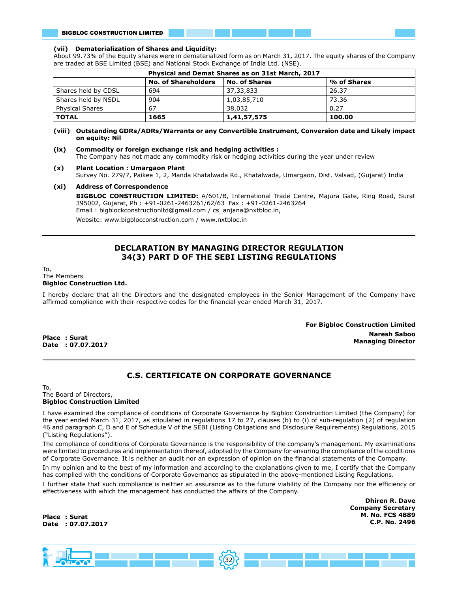#### **(vii) Dematerialization of Shares and Liquidity:**

About 99.73% of the Equity shares were in dematerialized form as on March 31, 2017. The equity shares of the Company are traded at BSE Limited (BSE) and National Stock Exchange of India Ltd. (NSE).

| Physical and Demat Shares as on 31st March, 2017 |                            |               |             |  |  |  |
|--------------------------------------------------|----------------------------|---------------|-------------|--|--|--|
|                                                  | <b>No. of Shareholders</b> | No. of Shares | % of Shares |  |  |  |
| Shares held by CDSL                              | 694                        | 37,33,833     | 26.37       |  |  |  |
| Shares held by NSDL                              | 904                        | 1,03,85,710   | 73.36       |  |  |  |
| <b>Physical Shares</b>                           | 67                         | 38,032        | 0.27        |  |  |  |
| <b>TOTAL</b>                                     | 1665                       | 1,41,57,575   | 100.00      |  |  |  |

#### **(viii) Outstanding GDRs/ADRs/Warrants or any Convertible Instrument, Conversion date and Likely impact on equity: Nil**

# **(ix) Commodity or foreign exchange risk and hedging activities :**

The Company has not made any commodity risk or hedging activities during the year under review

#### **(x) Plant Location : Umargaon Plant**

Survey No. 279/7, Paikee 1, 2, Manda Khatalwada Rd., Khatalwada, Umargaon, Dist. Valsad, (Gujarat) India

#### **(xi) Address of Correspondence**

**BIGBLOC CONSTRUCTION LIMITED:** A/601/B, International Trade Centre, Majura Gate, Ring Road, Surat 395002, Gujarat, Ph : +91-0261-2463261/62/63 Fax : +91-0261-2463264 Email : bigblockconstructionltd@gmail.com / cs\_anjana@nxtbloc.in,

Website: www.bigblocconstruction.com / www.nxtbloc.in

# **DECLARATION BY MANAGING DIRECTOR REGULATION 34(3) PART D OF THE SEBI LISTING REGULATIONS**

#### To, The Members **Bigbloc Construction Ltd.**

I hereby declare that all the Directors and the designated employees in the Senior Management of the Company have affirmed compliance with their respective codes for the financial year ended March 31, 2017.

> **For Bigbloc Construction Limited Naresh Saboo Managing Director**

**Place : Surat Date : 07.07.2017**

# **C.S. CERTIFICATE ON CORPORATE GOVERNANCE**

To, The Board of Directors, **Bigbloc Construction Limited**

I have examined the compliance of conditions of Corporate Governance by Bigbloc Construction Limited (the Company) for the year ended March 31, 2017, as stipulated in regulations 17 to 27, clauses (b) to (i) of sub-regulation (2) of regulation 46 and paragraph C, D and E of Schedule V of the SEBI (Listing Obligations and Disclosure Requirements) Regulations, 2015 ("Listing Regulations").

The compliance of conditions of Corporate Governance is the responsibility of the company's management. My examinations were limited to procedures and implementation thereof, adopted by the Company for ensuring the compliance of the conditions of Corporate Governance. It is neither an audit nor an expression of opinion on the financial statements of the Company.

In my opinion and to the best of my information and according to the explanations given to me, I certify that the Company has complied with the conditions of Corporate Governance as stipulated in the above-mentioned Listing Regulations.

I further state that such compliance is neither an assurance as to the future viability of the Company nor the efficiency or effectiveness with which the management has conducted the affairs of the Company.

 $5(32)$ 

**Dhiren R. Dave Company Secretary M. No. FCS 4889 C.P. No. 2496**

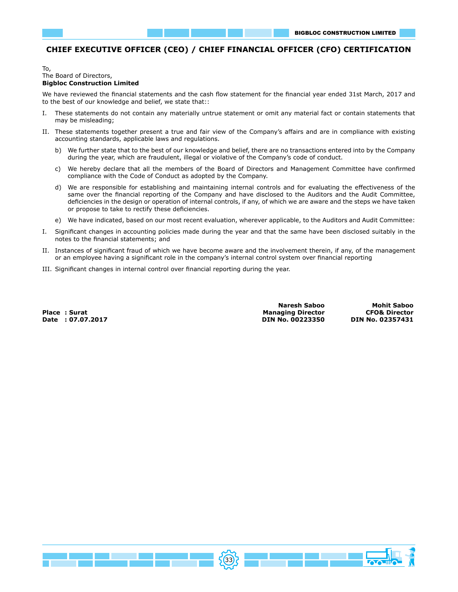# **CHIEF EXECUTIVE OFFICER (CEO) / CHIEF FINANCIAL OFFICER (CFO) CERTIFICATION**

#### To, The Board of Directors, **Bigbloc Construction Limited**

We have reviewed the financial statements and the cash flow statement for the financial year ended 31st March, 2017 and to the best of our knowledge and belief, we state that::

- I. These statements do not contain any materially untrue statement or omit any material fact or contain statements that may be misleading;
- II. These statements together present a true and fair view of the Company's affairs and are in compliance with existing accounting standards, applicable laws and regulations.
	- b) We further state that to the best of our knowledge and belief, there are no transactions entered into by the Company during the year, which are fraudulent, illegal or violative of the Company's code of conduct.
	- c) We hereby declare that all the members of the Board of Directors and Management Committee have confirmed compliance with the Code of Conduct as adopted by the Company.
	- d) We are responsible for establishing and maintaining internal controls and for evaluating the effectiveness of the same over the financial reporting of the Company and have disclosed to the Auditors and the Audit Committee, deficiencies in the design or operation of internal controls, if any, of which we are aware and the steps we have taken or propose to take to rectify these deficiencies.
	- e) We have indicated, based on our most recent evaluation, wherever applicable, to the Auditors and Audit Committee:
- I. Significant changes in accounting policies made during the year and that the same have been disclosed suitably in the notes to the financial statements; and
- II. Instances of significant fraud of which we have become aware and the involvement therein, if any, of the management or an employee having a significant role in the company's internal control system over financial reporting
- III. Significant changes in internal control over financial reporting during the year.

**Place : Surat Date : 07.07.2017**

**Naresh Saboo Managing Director DIN No. 00223350**

**Mohit Saboo CFO& Director DIN No. 02357431**

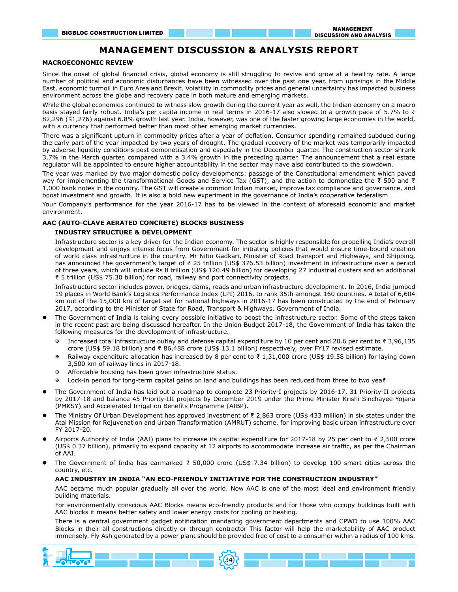# **MANAGEMENT DISCUSSION & ANALYSIS REPORT**

#### **MACROECONOMIC REVIEW**

Since the onset of global financial crisis, global economy is still struggling to revive and grow at a healthy rate. A large number of political and economic disturbances have been witnessed over the past one year, from uprisings in the Middle East, economic turmoil in Euro Area and Brexit. Volatility in commodity prices and general uncertainty has impacted business environment across the globe and recovery pace in both mature and emerging markets.

While the global economies continued to witness slow growth during the current year as well, the Indian economy on a macro basis stayed fairly robust. India's per capita income in real terms in 2016-17 also slowed to a growth pace of 5.7% to ₹ 82,296 (\$1,276) against 6.8% growth last year. India, however, was one of the faster growing large economies in the world, with a currency that performed better than most other emerging market currencies.

There was a significant upturn in commodity prices after a year of deflation. Consumer spending remained subdued during the early part of the year impacted by two years of drought. The gradual recovery of the market was temporarily impacted by adverse liquidity conditions post demonetisation and especially in the December quarter. The construction sector shrank 3.7% in the March quarter, compared with a 3.4% growth in the preceding quarter. The announcement that a real estate regulator will be appointed to ensure higher accountability in the sector may have also contributed to the slowdown.

The year was marked by two major domestic policy developments: passage of the Constitutional amendment which paved way for implementing the transformational Goods and Service Tax (GST), and the action to demonetize the ₹ 500 and ₹ 1,000 bank notes in the country. The GST will create a common Indian market, improve tax compliance and governance, and boost investment and growth. It is also a bold new experiment in the governance of India's cooperative federalism.

Your Company's performance for the year 2016-17 has to be viewed in the context of aforesaid economic and market environment.

#### **AAC (AUTO-CLAVE AERATED CONCRETE) BLOCKS BUSINESS**

#### **INDUSTRY STRUCTURE & DEVELOPMENT**

Infrastructure sector is a key driver for the Indian economy. The sector is highly responsible for propelling India's overall development and enjoys intense focus from Government for initiating policies that would ensure time-bound creation of world class infrastructure in the country. Mr Nitin Gadkari, Minister of Road Transport and Highways, and Shipping, has announced the government's target of ₹ 25 trillion (US\$ 376.53 billion) investment in infrastructure over a period of three years, which will include Rs 8 trillion (US\$ 120.49 billion) for developing 27 industrial clusters and an additional ₹ 5 trillion (US\$ 75.30 billion) for road, railway and port connectivity projects.

Infrastructure sector includes power, bridges, dams, roads and urban infrastructure development. In 2016, India jumped 19 places in World Bank's Logistics Performance Index (LPI) 2016, to rank 35th amongst 160 countries. A total of 6,604 km out of the 15,000 km of target set for national highways in 2016-17 has been constructed by the end of February 2017, according to the Minister of State for Road, Transport & Highways, Government of India.

- The Government of India is taking every possible initiative to boost the infrastructure sector. Some of the steps taken in the recent past are being discussed hereafter. In the Union Budget 2017-18, the Government of India has taken the following measures for the development of infrastructure.
	- Increased total infrastructure outlay and defense capital expenditure by 10 per cent and 20.6 per cent to ₹ 3,96,135 crore (US\$ 59.18 billion) and ₹ 86,488 crore (US\$ 13.1 billion) respectively, over FY17 revised estimate.
	- X Railway expenditure allocation has increased by 8 per cent to ₹ 1,31,000 crore (US\$ 19.58 billion) for laying down 3,500 km of railway lines in 2017-18.
	- **EXECUTE:** Affordable housing has been given infrastructure status.
	- X Lock-in period for long-term capital gains on land and buildings has been reduced from three to two yea₹
- l The Government of India has laid out a roadmap to complete 23 Priority-I projects by 2016-17, 31 Priority-II projects by 2017-18 and balance 45 Priority-III projects by December 2019 under the Prime Minister Krishi Sinchayee Yojana (PMKSY) and Accelerated Irrigation Benefits Programme (AIBP).
- l The Ministry Of Urban Development has approved investment of ₹ 2,863 crore (US\$ 433 million) in six states under the Atal Mission for Rejuvenation and Urban Transformation (AMRUT) scheme, for improving basic urban infrastructure over FY 2017-20.
- l Airports Authority of India (AAI) plans to increase its capital expenditure for 2017-18 by 25 per cent to ₹ 2,500 crore (US\$ 0.37 billion), primarily to expand capacity at 12 airports to accommodate increase air traffic, as per the Chairman of AAI.
- l The Government of India has earmarked ₹ 50,000 crore (US\$ 7.34 billion) to develop 100 smart cities across the country, etc.

#### **AAC INDUSTRY IN INDIA "AN ECO-FRIENDLY INITIATIVE FOR THE CONSTRUCTION INDUSTRY"**

AAC became much popular gradually all over the world. Now AAC is one of the most ideal and environment friendly building materials.

For environmentally conscious AAC Blocks means eco-friendly products and for those who occupy buildings built with AAC blocks it means better safety and lower energy costs for cooling or heating.

There is a central government gadget notification mandating government departments and CPWD to use 100% AAC Blocks in their all constructions directly or through contractor This factor will help the marketability of AAC product immensely. Fly Ash generated by a power plant should be provided free of cost to a consumer within a radius of 100 kms.

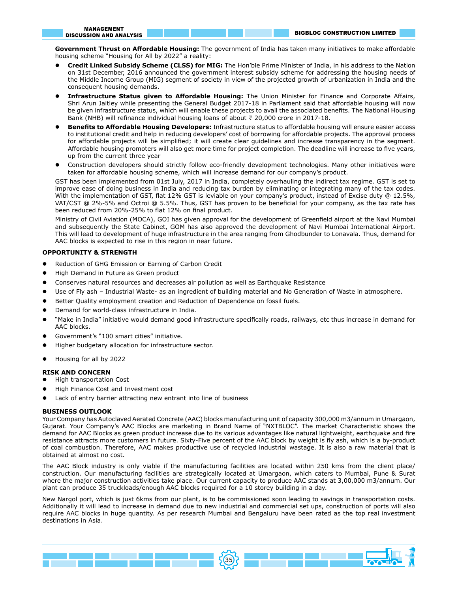**Government Thrust on Affordable Housing:** The government of India has taken many initiatives to make affordable housing scheme "Housing for All by 2022" a reality:

- l **Credit Linked Subsidy Scheme (CLSS) for MIG:** The Hon'ble Prime Minister of India, in his address to the Nation on 31st December, 2016 announced the government interest subsidy scheme for addressing the housing needs of the Middle Income Group (MIG) segment of society in view of the projected growth of urbanization in India and the consequent housing demands.
- l **Infrastructure Status given to Affordable Housing:** The Union Minister for Finance and Corporate Affairs, Shri Arun Jaitley while presenting the General Budget 2017-18 in Parliament said that affordable housing will now be given infrastructure status, which will enable these projects to avail the associated benefits. The National Housing Bank (NHB) will refinance individual housing loans of about ₹ 20,000 crore in 2017-18.
- l **Benefits to Affordable Housing Developers:** Infrastructure status to affordable housing will ensure easier access to institutional credit and help in reducing developers' cost of borrowing for affordable projects. The approval process for affordable projects will be simplified; it will create clear guidelines and increase transparency in the segment. Affordable housing promoters will also get more time for project completion. The deadline will increase to five years, up from the current three year
- l Construction developers should strictly follow eco-friendly development technologies. Many other initiatives were taken for affordable housing scheme, which will increase demand for our company's product.

GST has been implemented from 01st July, 2017 in India, completely overhauling the indirect tax regime. GST is set to improve ease of doing business in India and reducing tax burden by eliminating or integrating many of the tax codes. With the implementation of GST, flat 12% GST is leviable on your company's product, instead of Excise duty @ 12.5%, VAT/CST @ 2%-5% and Octroi @ 5.5%. Thus, GST has proven to be beneficial for your company, as the tax rate has been reduced from 20%-25% to flat 12% on final product.

Ministry of Civil Aviation (MOCA), GOI has given approval for the development of Greenfield airport at the Navi Mumbai and subsequently the State Cabinet, GOM has also approved the development of Navi Mumbai International Airport. This will lead to development of huge infrastructure in the area ranging from Ghodbunder to Lonavala. Thus, demand for AAC blocks is expected to rise in this region in near future.

#### **OPPORTUNITY & STRENGTH**

- **•** Reduction of GHG Emission or Earning of Carbon Credit
- **•** High Demand in Future as Green product
- **•** Conserves natural resources and decreases air pollution as well as Earthquake Resistance
- **•** Use of Fly ash Industrial Waste- as an ingredient of building material and No Generation of Waste in atmosphere.
- l Better Quality employment creation and Reduction of Dependence on fossil fuels.
- Demand for world-class infrastructure in India.
- "Make in India" initiative would demand good infrastructure specifically roads, railways, etc thus increase in demand for AAC blocks.
- l Government's "100 smart cities" initiative.
- l Higher budgetary allocation for infrastructure sector.
- Housing for all by 2022

#### **RISK AND CONCERN**

- l High transportation Cost
- l High Finance Cost and Investment cost
- Lack of entry barrier attracting new entrant into line of business

#### **BUSINESS OUTLOOK**

Your Company has Autoclaved Aerated Concrete (AAC) blocks manufacturing unit of capacity 300,000 m3/annum in Umargaon, Gujarat. Your Company's AAC Blocks are marketing in Brand Name of "NXTBLOC". The market Characteristic shows the demand for AAC Blocks as green product increase due to its various advantages like natural lightweight, earthquake and fire resistance attracts more customers in future. Sixty-Five percent of the AAC block by weight is fly ash, which is a by-product of coal combustion. Therefore, AAC makes productive use of recycled industrial wastage. It is also a raw material that is obtained at almost no cost.

The AAC Block industry is only viable if the manufacturing facilities are located within 250 kms from the client place/ construction. Our manufacturing facilities are strategically located at Umargaon, which caters to Mumbai, Pune & Surat where the major construction activities take place. Our current capacity to produce AAC stands at 3,00,000 m3/annum. Our plant can produce 35 truckloads/enough AAC blocks required for a 10 storey building in a day.

New Nargol port, which is just 6kms from our plant, is to be commissioned soon leading to savings in transportation costs. Additionally it will lead to increase in demand due to new industrial and commercial set ups, construction of ports will also require AAC blocks in huge quantity. As per research Mumbai and Bengaluru have been rated as the top real investment destinations in Asia.

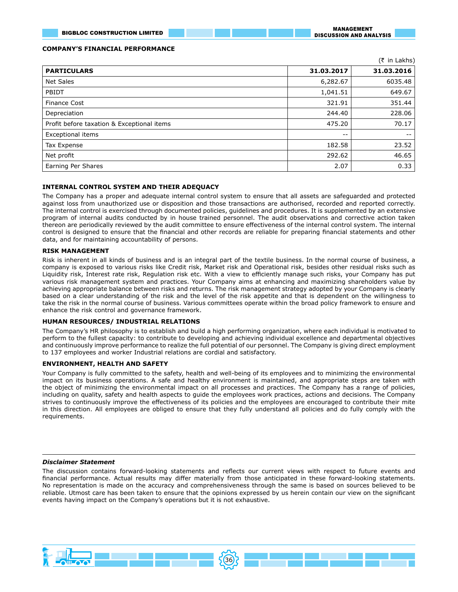MANAGEMENT DISCUSSION AND ANALYSIS

#### **COMPANY'S FINANCIAL PERFORMANCE**

|                                            |            | (₹ in Lakhs) |
|--------------------------------------------|------------|--------------|
| <b>PARTICULARS</b>                         | 31.03.2017 | 31.03.2016   |
| Net Sales                                  | 6,282.67   | 6035.48      |
| PBIDT                                      | 1,041.51   | 649.67       |
| <b>Finance Cost</b>                        | 321.91     | 351.44       |
| Depreciation                               | 244.40     | 228.06       |
| Profit before taxation & Exceptional items | 475.20     | 70.17        |
| Exceptional items                          | $- -$      | $- -$        |
| Tax Expense                                | 182.58     | 23.52        |
| Net profit                                 | 292.62     | 46.65        |
| Earning Per Shares                         | 2.07       | 0.33         |

#### **INTERNAL CONTROL SYSTEM AND THEIR ADEQUACY**

The Company has a proper and adequate internal control system to ensure that all assets are safeguarded and protected against loss from unauthorized use or disposition and those transactions are authorised, recorded and reported correctly. The internal control is exercised through documented policies, guidelines and procedures. It is supplemented by an extensive program of internal audits conducted by in house trained personnel. The audit observations and corrective action taken thereon are periodically reviewed by the audit committee to ensure effectiveness of the internal control system. The internal control is designed to ensure that the financial and other records are reliable for preparing financial statements and other data, and for maintaining accountability of persons.

#### **RISK MANAGEMENT**

Risk is inherent in all kinds of business and is an integral part of the textile business. In the normal course of business, a company is exposed to various risks like Credit risk, Market risk and Operational risk, besides other residual risks such as Liquidity risk, Interest rate risk, Regulation risk etc. With a view to efficiently manage such risks, your Company has put various risk management system and practices. Your Company aims at enhancing and maximizing shareholders value by achieving appropriate balance between risks and returns. The risk management strategy adopted by your Company is clearly based on a clear understanding of the risk and the level of the risk appetite and that is dependent on the willingness to take the risk in the normal course of business. Various committees operate within the broad policy framework to ensure and enhance the risk control and governance framework.

#### **HUMAN RESOURCES/ INDUSTRIAL RELATIONS**

The Company's HR philosophy is to establish and build a high performing organization, where each individual is motivated to perform to the fullest capacity: to contribute to developing and achieving individual excellence and departmental objectives and continuously improve performance to realize the full potential of our personnel. The Company is giving direct employment to 137 employees and worker Industrial relations are cordial and satisfactory.

#### **ENVIRONMENT, HEALTH AND SAFETY**

Your Company is fully committed to the safety, health and well-being of its employees and to minimizing the environmental impact on its business operations. A safe and healthy environment is maintained, and appropriate steps are taken with the object of minimizing the environmental impact on all processes and practices. The Company has a range of policies, including on quality, safety and health aspects to guide the employees work practices, actions and decisions. The Company strives to continuously improve the effectiveness of its policies and the employees are encouraged to contribute their mite in this direction. All employees are obliged to ensure that they fully understand all policies and do fully comply with the requirements.

#### *Disclaimer Statement*

The discussion contains forward-looking statements and reflects our current views with respect to future events and financial performance. Actual results may differ materially from those anticipated in these forward-looking statements. No representation is made on the accuracy and comprehensiveness through the same is based on sources believed to be reliable. Utmost care has been taken to ensure that the opinions expressed by us herein contain our view on the significant events having impact on the Company's operations but it is not exhaustive.

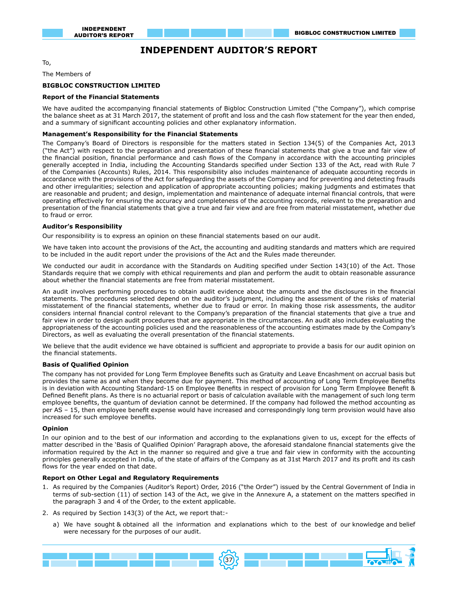# **INDEPENDENT AUDITOR'S REPORT**

To,

The Members of

# **BIGBLOC CONSTRUCTION LIMITED**

#### **Report of the Financial Statements**

We have audited the accompanying financial statements of Bigbloc Construction Limited ("the Company"), which comprise the balance sheet as at 31 March 2017, the statement of profit and loss and the cash flow statement for the year then ended, and a summary of significant accounting policies and other explanatory information.

#### **Management's Responsibility for the Financial Statements**

The Company's Board of Directors is responsible for the matters stated in Section 134(5) of the Companies Act, 2013 ("the Act") with respect to the preparation and presentation of these financial statements that give a true and fair view of the financial position, financial performance and cash flows of the Company in accordance with the accounting principles generally accepted in India, including the Accounting Standards specified under Section 133 of the Act, read with Rule 7 of the Companies (Accounts) Rules, 2014. This responsibility also includes maintenance of adequate accounting records in accordance with the provisions of the Act for safeguarding the assets of the Company and for preventing and detecting frauds and other irregularities; selection and application of appropriate accounting policies; making judgments and estimates that are reasonable and prudent; and design, implementation and maintenance of adequate internal financial controls, that were operating effectively for ensuring the accuracy and completeness of the accounting records, relevant to the preparation and presentation of the financial statements that give a true and fair view and are free from material misstatement, whether due to fraud or error.

#### **Auditor's Responsibility**

Our responsibility is to express an opinion on these financial statements based on our audit.

We have taken into account the provisions of the Act, the accounting and auditing standards and matters which are required to be included in the audit report under the provisions of the Act and the Rules made thereunder.

We conducted our audit in accordance with the Standards on Auditing specified under Section 143(10) of the Act. Those Standards require that we comply with ethical requirements and plan and perform the audit to obtain reasonable assurance about whether the financial statements are free from material misstatement.

An audit involves performing procedures to obtain audit evidence about the amounts and the disclosures in the financial statements. The procedures selected depend on the auditor's judgment, including the assessment of the risks of material misstatement of the financial statements, whether due to fraud or error. In making those risk assessments, the auditor considers internal financial control relevant to the Company's preparation of the financial statements that give a true and fair view in order to design audit procedures that are appropriate in the circumstances. An audit also includes evaluating the appropriateness of the accounting policies used and the reasonableness of the accounting estimates made by the Company's Directors, as well as evaluating the overall presentation of the financial statements.

We believe that the audit evidence we have obtained is sufficient and appropriate to provide a basis for our audit opinion on the financial statements.

#### **Basis of Qualified Opinion**

The company has not provided for Long Term Employee Benefits such as Gratuity and Leave Encashment on accrual basis but provides the same as and when they become due for payment. This method of accounting of Long Term Employee Benefits is in deviation with Accounting Standard-15 on Employee Benefits in respect of provision for Long Term Employee Benefit & Defined Benefit plans. As there is no actuarial report or basis of calculation available with the management of such long term employee benefits, the quantum of deviation cannot be determined. If the company had followed the method accounting as per AS – 15, then employee benefit expense would have increased and correspondingly long term provision would have also increased for such employee benefits.

#### **Opinion**

In our opinion and to the best of our information and according to the explanations given to us, except for the effects of matter described in the 'Basis of Qualified Opinion' Paragraph above, the aforesaid standalone financial statements give the information required by the Act in the manner so required and give a true and fair view in conformity with the accounting principles generally accepted in India, of the state of affairs of the Company as at 31st March 2017 and its profit and its cash flows for the year ended on that date.

#### **Report on Other Legal and Regulatory Requirements**

- 1. As required by the Companies (Auditor's Report) Order, 2016 ("the Order") issued by the Central Government of India in terms of sub-section (11) of section 143 of the Act, we give in the Annexure A, a statement on the matters specified in the paragraph 3 and 4 of the Order, to the extent applicable.
- 2. As required by Section 143(3) of the Act, we report that:
	- a) We have sought & obtained all the information and explanations which to the best of our knowledge and belief were necessary for the purposes of our audit.

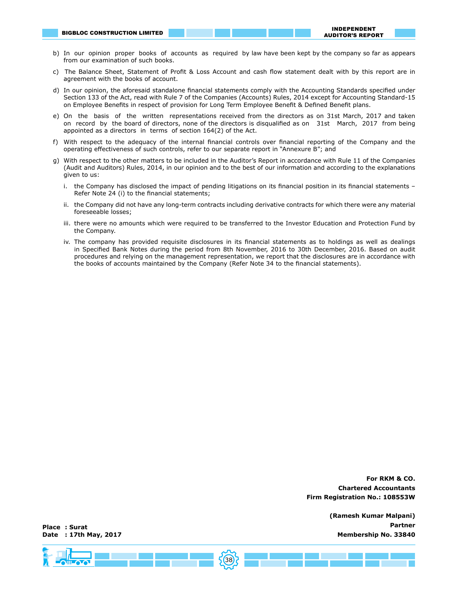- b) In our opinion proper books of accounts as required by law have been kept by the company so far as appears from our examination of such books.
- c) The Balance Sheet, Statement of Profit & Loss Account and cash flow statement dealt with by this report are in agreement with the books of account.
- d) In our opinion, the aforesaid standalone financial statements comply with the Accounting Standards specified under Section 133 of the Act, read with Rule 7 of the Companies (Accounts) Rules, 2014 except for Accounting Standard-15 on Employee Benefits in respect of provision for Long Term Employee Benefit & Defined Benefit plans.
- e) On the basis of the written representations received from the directors as on 31st March, 2017 and taken on record by the board of directors, none of the directors is disqualified as on 31st March, 2017 from being appointed as a directors in terms of section 164(2) of the Act.
- f) With respect to the adequacy of the internal financial controls over financial reporting of the Company and the operating effectiveness of such controls, refer to our separate report in "Annexure B"; and
- g) With respect to the other matters to be included in the Auditor's Report in accordance with Rule 11 of the Companies (Audit and Auditors) Rules, 2014, in our opinion and to the best of our information and according to the explanations given to us:
	- i. the Company has disclosed the impact of pending litigations on its financial position in its financial statements Refer Note 24 (i) to the financial statements;
	- ii. the Company did not have any long-term contracts including derivative contracts for which there were any material foreseeable losses;
	- iii. there were no amounts which were required to be transferred to the Investor Education and Protection Fund by the Company.
	- iv. The company has provided requisite disclosures in its financial statements as to holdings as well as dealings in Specified Bank Notes during the period from 8th November, 2016 to 30th December, 2016. Based on audit procedures and relying on the management representation, we report that the disclosures are in accordance with the books of accounts maintained by the Company (Refer Note 34 to the financial statements).

 **For RKM & CO. Chartered Accountants Firm Registration No.: 108553W** 

> **(Ramesh Kumar Malpani) Partner Membership No. 33840**

**Place : Surat Date : 17th May, 2017**

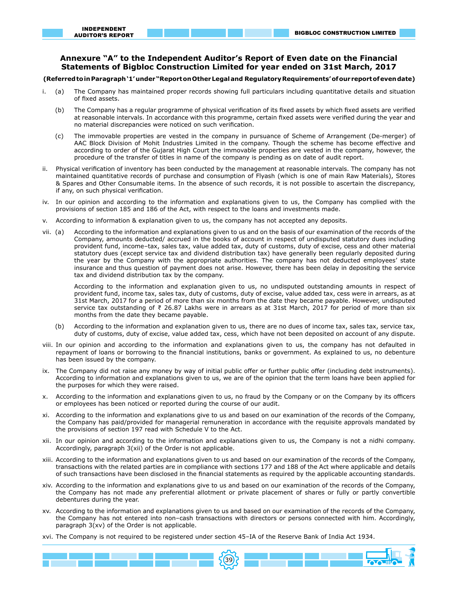# **Annexure "A" to the Independent Auditor's Report of Even date on the Financial Statements of Bigbloc Construction Limited for year ended on 31st March, 2017**

#### **(Referred to in Paragraph '1' under "Report on Other Legal and Regulatory Requirements' of our report of even date)**

- i. (a) The Company has maintained proper records showing full particulars including quantitative details and situation of fixed assets.
	- (b) The Company has a regular programme of physical verification of its fixed assets by which fixed assets are verified at reasonable intervals. In accordance with this programme, certain fixed assets were verified during the year and no material discrepancies were noticed on such verification.
	- (c) The immovable properties are vested in the company in pursuance of Scheme of Arrangement (De-merger) of AAC Block Division of Mohit Industries Limited in the company. Though the scheme has become effective and according to order of the Gujarat High Court the immovable properties are vested in the company, however, the procedure of the transfer of titles in name of the company is pending as on date of audit report.
- ii. Physical verification of inventory has been conducted by the management at reasonable intervals. The company has not maintained quantitative records of purchase and consumption of Flyash (which is one of main Raw Materials), Stores & Spares and Other Consumable items. In the absence of such records, it is not possible to ascertain the discrepancy, if any, on such physical verification.
- iv. In our opinion and according to the information and explanations given to us, the Company has complied with the provisions of section 185 and 186 of the Act, with respect to the loans and investments made.
- v. According to information & explanation given to us, the company has not accepted any deposits.
- vii. (a) According to the information and explanations given to us and on the basis of our examination of the records of the Company, amounts deducted/ accrued in the books of account in respect of undisputed statutory dues including provident fund, income–tax, sales tax, value added tax, duty of customs, duty of excise, cess and other material statutory dues (except service tax and dividend distribution tax) have generally been regularly deposited during the year by the Company with the appropriate authorities. The company has not deducted employees' state insurance and thus question of payment does not arise. However, there has been delay in depositing the service tax and dividend distribution tax by the company.

According to the information and explanation given to us, no undisputed outstanding amounts in respect of provident fund, income tax, sales tax, duty of customs, duty of excise, value added tax, cess were in arrears, as at 31st March, 2017 for a period of more than six months from the date they became payable. However, undisputed service tax outstanding of ₹ 26.87 Lakhs were in arrears as at 31st March, 2017 for period of more than six months from the date they became payable.

- (b) According to the information and explanation given to us, there are no dues of income tax, sales tax, service tax, duty of customs, duty of excise, value added tax, cess, which have not been deposited on account of any dispute.
- viii. In our opinion and according to the information and explanations given to us, the company has not defaulted in repayment of loans or borrowing to the financial institutions, banks or government. As explained to us, no debenture has been issued by the company.
- ix. The Company did not raise any money by way of initial public offer or further public offer (including debt instruments). According to information and explanations given to us, we are of the opinion that the term loans have been applied for the purposes for which they were raised.
- x. According to the information and explanations given to us, no fraud by the Company or on the Company by its officers or employees has been noticed or reported during the course of our audit.
- xi. According to the information and explanations give to us and based on our examination of the records of the Company, the Company has paid/provided for managerial remuneration in accordance with the requisite approvals mandated by the provisions of section 197 read with Schedule V to the Act.
- xii. In our opinion and according to the information and explanations given to us, the Company is not a nidhi company. Accordingly, paragraph 3(xii) of the Order is not applicable.
- xiii. According to the information and explanations given to us and based on our examination of the records of the Company, transactions with the related parties are in compliance with sections 177 and 188 of the Act where applicable and details of such transactions have been disclosed in the financial statements as required by the applicable accounting standards.
- xiv. According to the information and explanations give to us and based on our examination of the records of the Company, the Company has not made any preferential allotment or private placement of shares or fully or partly convertible debentures during the year.
- xv. According to the information and explanations given to us and based on our examination of the records of the Company, the Company has not entered into non–cash transactions with directors or persons connected with him. Accordingly, paragraph  $3(xv)$  of the Order is not applicable.
- xvi. The Company is not required to be registered under section 45–IA of the Reserve Bank of India Act 1934.

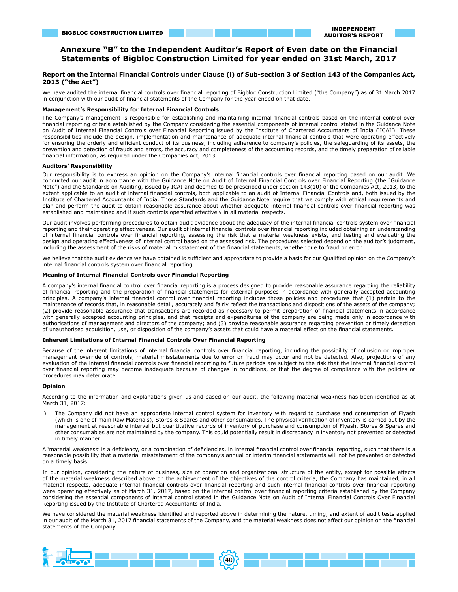# **Annexure "B" to the Independent Auditor's Report of Even date on the Financial Statements of Bigbloc Construction Limited for year ended on 31st March, 2017**

#### **Report on the Internal Financial Controls under Clause (i) of Sub-section 3 of Section 143 of the Companies Act, 2013 ("the Act")**

We have audited the internal financial controls over financial reporting of Bigbloc Construction Limited ("the Company") as of 31 March 2017 in conjunction with our audit of financial statements of the Company for the year ended on that date.

#### **Management's Responsibility for Internal Financial Controls**

The Company's management is responsible for establishing and maintaining internal financial controls based on the internal control over financial reporting criteria established by the Company considering the essential components of internal control stated in the Guidance Note on Audit of Internal Financial Controls over Financial Reporting issued by the Institute of Chartered Accountants of India ('ICAI'). These responsibilities include the design, implementation and maintenance of adequate internal financial controls that were operating effectively for ensuring the orderly and efficient conduct of its business, including adherence to company's policies, the safeguarding of its assets, the prevention and detection of frauds and errors, the accuracy and completeness of the accounting records, and the timely preparation of reliable financial information, as required under the Companies Act, 2013.

#### **Auditors' Responsibility**

Our responsibility is to express an opinion on the Company's internal financial controls over financial reporting based on our audit. We conducted our audit in accordance with the Guidance Note on Audit of Internal Financial Controls over Financial Reporting (the "Guidance Note") and the Standards on Auditing, issued by ICAI and deemed to be prescribed under section 143(10) of the Companies Act, 2013, to the extent applicable to an audit of internal financial controls, both applicable to an audit of Internal Financial Controls and, both issued by the Institute of Chartered Accountants of India. Those Standards and the Guidance Note require that we comply with ethical requirements and plan and perform the audit to obtain reasonable assurance about whether adequate internal financial controls over financial reporting was established and maintained and if such controls operated effectively in all material respects.

Our audit involves performing procedures to obtain audit evidence about the adequacy of the internal financial controls system over financial reporting and their operating effectiveness. Our audit of internal financial controls over financial reporting included obtaining an understanding of internal financial controls over financial reporting, assessing the risk that a material weakness exists, and testing and evaluating the design and operating effectiveness of internal control based on the assessed risk. The procedures selected depend on the auditor's judgment, including the assessment of the risks of material misstatement of the financial statements, whether due to fraud or error.

We believe that the audit evidence we have obtained is sufficient and appropriate to provide a basis for our Qualified opinion on the Company's internal financial controls system over financial reporting.

#### **Meaning of Internal Financial Controls over Financial Reporting**

A company's internal financial control over financial reporting is a process designed to provide reasonable assurance regarding the reliability of financial reporting and the preparation of financial statements for external purposes in accordance with generally accepted accounting principles. A company's internal financial control over financial reporting includes those policies and procedures that (1) pertain to the maintenance of records that, in reasonable detail, accurately and fairly reflect the transactions and dispositions of the assets of the company; (2) provide reasonable assurance that transactions are recorded as necessary to permit preparation of financial statements in accordance with generally accepted accounting principles, and that receipts and expenditures of the company are being made only in accordance with authorisations of management and directors of the company; and (3) provide reasonable assurance regarding prevention or timely detection of unauthorised acquisition, use, or disposition of the company's assets that could have a material effect on the financial statements.

#### **Inherent Limitations of Internal Financial Controls Over Financial Reporting**

Because of the inherent limitations of internal financial controls over financial reporting, including the possibility of collusion or improper management override of controls, material misstatements due to error or fraud may occur and not be detected. Also, projections of any evaluation of the internal financial controls over financial reporting to future periods are subject to the risk that the internal financial control over financial reporting may become inadequate because of changes in conditions, or that the degree of compliance with the policies or procedures may deteriorate.

#### **Opinion**

According to the information and explanations given us and based on our audit, the following material weakness has been identified as at March 31, 2017:

i) The Company did not have an appropriate internal control system for inventory with regard to purchase and consumption of Flyash (which is one of main Raw Materials), Stores & Spares and other consumables. The physical verification of inventory is carried out by the management at reasonable interval but quantitative records of inventory of purchase and consumption of Flyash, Stores & Spares and other consumables are not maintained by the company. This could potentially result in discrepancy in inventory not prevented or detected in timely manner.

A 'material weakness' is a deficiency, or a combination of deficiencies, in internal financial control over financial reporting, such that there is a reasonable possibility that a material misstatement of the company's annual or interim financial statements will not be prevented or detected on a timely basis.

In our opinion, considering the nature of business, size of operation and organizational structure of the entity, except for possible effects of the material weakness described above on the achievement of the objectives of the control criteria, the Company has maintained, in all material respects, adequate internal financial controls over financial reporting and such internal financial controls over financial reporting were operating effectively as of March 31, 2017, based on the internal control over financial reporting criteria established by the Company considering the essential components of internal control stated in the Guidance Note on Audit of Internal Financial Controls Over Financial Reporting issued by the Institute of Chartered Accountants of India.

We have considered the material weakness identified and reported above in determining the nature, timing, and extent of audit tests applied in our audit of the March 31, 2017 financial statements of the Company, and the material weakness does not affect our opinion on the financial statements of the Company.

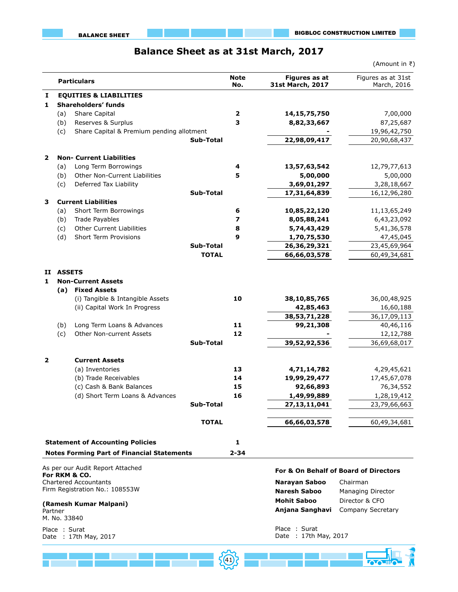# **Balance Sheet as at 31st March, 2017**

|              |                         |                                                                |                  |                         |                                          | (Amount in ₹)                         |
|--------------|-------------------------|----------------------------------------------------------------|------------------|-------------------------|------------------------------------------|---------------------------------------|
|              |                         | <b>Particulars</b>                                             |                  | <b>Note</b><br>No.      | <b>Figures as at</b><br>31st March, 2017 | Figures as at 31st<br>March, 2016     |
| I            |                         | <b>EQUITIES &amp; LIABILITIES</b>                              |                  |                         |                                          |                                       |
| 1            |                         | Shareholders' funds                                            |                  |                         |                                          |                                       |
|              | (a)                     | Share Capital                                                  |                  | $\overline{\mathbf{2}}$ | 14, 15, 75, 750                          | 7,00,000                              |
|              | (b)                     | Reserves & Surplus                                             |                  | 3                       | 8,82,33,667                              | 87,25,687                             |
|              | (c)                     | Share Capital & Premium pending allotment                      |                  |                         |                                          | 19,96,42,750                          |
|              |                         |                                                                | <b>Sub-Total</b> |                         | 22,98,09,417                             | 20,90,68,437                          |
| $\mathbf{2}$ |                         | <b>Non- Current Liabilities</b>                                |                  |                         |                                          |                                       |
|              | (a)                     | Long Term Borrowings                                           |                  | 4                       | 13,57,63,542                             | 12,79,77,613                          |
|              | (b)                     | Other Non-Current Liabilities                                  |                  | 5                       | 5,00,000                                 | 5,00,000                              |
|              | (c)                     | Deferred Tax Liability                                         |                  |                         | 3,69,01,297                              | 3,28,18,667                           |
|              |                         |                                                                | Sub-Total        |                         | 17,31,64,839                             | 16,12,96,280                          |
| 3            |                         | <b>Current Liabilities</b>                                     |                  |                         |                                          |                                       |
|              | (a)                     | Short Term Borrowings                                          |                  | 6                       | 10,85,22,120                             | 11,13,65,249                          |
|              | (b)                     | <b>Trade Payables</b>                                          |                  | 7                       | 8,05,88,241                              | 6,43,23,092                           |
|              | (c)                     | <b>Other Current Liabilities</b>                               |                  | 8                       | 5,74,43,429                              | 5,41,36,578                           |
|              | (d)                     | <b>Short Term Provisions</b>                                   |                  | 9                       | 1,70,75,530                              | 47,45,045                             |
|              |                         |                                                                | Sub-Total        |                         | 26,36,29,321                             | 23,45,69,964                          |
|              |                         |                                                                | <b>TOTAL</b>     |                         | 66,66,03,578                             | 60,49,34,681                          |
| П.           | <b>ASSETS</b>           |                                                                |                  |                         |                                          |                                       |
| 1            |                         | <b>Non-Current Assets</b>                                      |                  |                         |                                          |                                       |
|              | (a)                     | <b>Fixed Assets</b>                                            |                  |                         |                                          |                                       |
|              |                         | (i) Tangible & Intangible Assets                               |                  | 10                      | 38,10,85,765                             | 36,00,48,925                          |
|              |                         | (ii) Capital Work In Progress                                  |                  |                         | 42,85,463                                | 16,60,188                             |
|              |                         |                                                                |                  |                         | 38,53,71,228                             | 36,17,09,113                          |
|              | (b)                     | Long Term Loans & Advances                                     |                  | 11                      | 99,21,308                                | 40,46,116                             |
|              | (c)                     | <b>Other Non-current Assets</b>                                | Sub-Total        | 12                      | 39,52,92,536                             | 12, 12, 788<br>36,69,68,017           |
|              |                         |                                                                |                  |                         |                                          |                                       |
| $\mathbf{z}$ |                         | <b>Current Assets</b>                                          |                  |                         |                                          |                                       |
|              |                         | (a) Inventories                                                |                  | 13                      | 4,71,14,782                              | 4,29,45,621                           |
|              |                         | (b) Trade Receivables                                          |                  | 14                      | 19,99,29,477                             | 17,45,67,078                          |
|              |                         | (c) Cash & Bank Balances                                       |                  | 15                      | 92,66,893                                | 76,34,552                             |
|              |                         | (d) Short Term Loans & Advances                                |                  | 16                      | 1,49,99,889                              | 1,28,19,412                           |
|              |                         |                                                                | Sub-Total        |                         | 27, 13, 11, 041                          | 23,79,66,663                          |
|              |                         |                                                                | <b>TOTAL</b>     |                         | 66,66,03,578                             | 60,49,34,681                          |
|              |                         | <b>Statement of Accounting Policies</b>                        |                  | 1                       |                                          |                                       |
|              |                         | <b>Notes Forming Part of Financial Statements</b>              |                  | $2 - 34$                |                                          |                                       |
|              |                         | As per our Audit Report Attached                               |                  |                         |                                          | For & On Behalf of Board of Directors |
|              |                         | For RKM & CO.                                                  |                  |                         |                                          | Chairman                              |
|              |                         | <b>Chartered Accountants</b><br>Firm Registration No.: 108553W |                  |                         | Narayan Saboo                            |                                       |
|              |                         |                                                                |                  |                         | <b>Naresh Saboo</b>                      | Managing Director                     |
|              |                         | (Ramesh Kumar Malpani)                                         |                  |                         | <b>Mohit Saboo</b>                       | Director & CFO                        |
|              | Partner<br>M. No. 33840 |                                                                |                  |                         | Anjana Sanghavi                          | Company Secretary                     |
|              | Place: Surat            |                                                                |                  |                         | Place : Surat                            |                                       |
|              |                         | Date: 17th May, 2017                                           |                  |                         | Date: 17th May, 2017                     |                                       |
|              |                         |                                                                |                  |                         |                                          |                                       |
|              |                         |                                                                |                  |                         |                                          |                                       |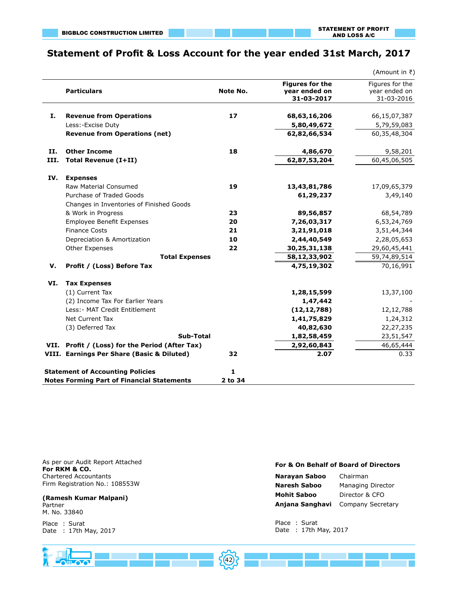# **Statement of Profit & Loss Account for the year ended 31st March, 2017**

|      |                                                   |          |                                                       | (Amount in ₹)                                  |
|------|---------------------------------------------------|----------|-------------------------------------------------------|------------------------------------------------|
|      | <b>Particulars</b>                                | Note No. | <b>Figures for the</b><br>year ended on<br>31-03-2017 | Figures for the<br>year ended on<br>31-03-2016 |
|      |                                                   |          |                                                       |                                                |
| I.   | <b>Revenue from Operations</b>                    | 17       | 68,63,16,206                                          | 66,15,07,387                                   |
|      | Less:-Excise Duty                                 |          | 5,80,49,672                                           | 5,79,59,083                                    |
|      | <b>Revenue from Operations (net)</b>              |          | 62,82,66,534                                          | 60,35,48,304                                   |
| II.  | <b>Other Income</b>                               | 18       | 4,86,670                                              | 9,58,201                                       |
| III. | <b>Total Revenue (I+II)</b>                       |          | 62,87,53,204                                          | 60,45,06,505                                   |
| IV.  | <b>Expenses</b>                                   |          |                                                       |                                                |
|      | <b>Raw Material Consumed</b>                      | 19       | 13,43,81,786                                          | 17,09,65,379                                   |
|      | Purchase of Traded Goods                          |          | 61,29,237                                             | 3,49,140                                       |
|      | Changes in Inventories of Finished Goods          |          |                                                       |                                                |
|      | & Work in Progress                                | 23       | 89,56,857                                             | 68,54,789                                      |
|      | <b>Employee Benefit Expenses</b>                  | 20       | 7,26,03,317                                           | 6,53,24,769                                    |
|      | <b>Finance Costs</b>                              | 21       | 3,21,91,018                                           | 3,51,44,344                                    |
|      | Depreciation & Amortization                       | 10       | 2,44,40,549                                           | 2,28,05,653                                    |
|      | Other Expenses                                    | 22       | 30,25,31,138                                          | 29,60,45,441                                   |
|      | <b>Total Expenses</b>                             |          | 58,12,33,902                                          | 59,74,89,514                                   |
| V.   | Profit / (Loss) Before Tax                        |          | 4,75,19,302                                           | 70,16,991                                      |
| VI.  | <b>Tax Expenses</b>                               |          |                                                       |                                                |
|      | (1) Current Tax                                   |          | 1,28,15,599                                           | 13,37,100                                      |
|      | (2) Income Tax For Earlier Years                  |          | 1,47,442                                              |                                                |
|      | Less: - MAT Credit Entitlement                    |          | (12, 12, 788)                                         | 12,12,788                                      |
|      | Net Current Tax                                   |          | 1,41,75,829                                           | 1,24,312                                       |
|      | (3) Deferred Tax                                  |          | 40,82,630                                             | 22, 27, 235                                    |
|      | <b>Sub-Total</b>                                  |          | 1,82,58,459                                           | 23,51,547                                      |
|      | VII. Profit / (Loss) for the Period (After Tax)   |          | 2,92,60,843                                           | 46,65,444                                      |
|      | VIII. Earnings Per Share (Basic & Diluted)        | 32       | 2.07                                                  | 0.33                                           |
|      | <b>Statement of Accounting Policies</b>           | 1        |                                                       |                                                |
|      | <b>Notes Forming Part of Financial Statements</b> | 2 to 34  |                                                       |                                                |

As per our Audit Report Attached **For RKM & CO.** Chartered Accountants Firm Registration No.: 108553W

# **(Ramesh Kumar Malpani)**

Partner M. No. 33840

Place : Surat Date : 17th May, 2017

#### **For & On Behalf of Board of Directors**

| Narayan Saboo       | Chairman                 |  |  |
|---------------------|--------------------------|--|--|
| <b>Naresh Saboo</b> | <b>Managing Director</b> |  |  |
| <b>Mohit Saboo</b>  | Director & CFO           |  |  |
| Anjana Sanghavi     | Company Secretary        |  |  |

Place : Surat Date : 17th May, 2017

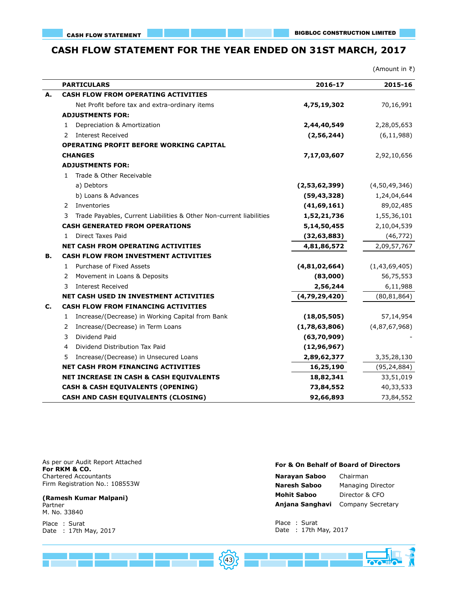# **CASH FLOW STATEMENT FOR THE YEAR ENDED ON 31ST MARCH, 2017**

|    |                                                                          |               | (Amount in ₹)    |
|----|--------------------------------------------------------------------------|---------------|------------------|
|    | <b>PARTICULARS</b>                                                       | 2016-17       | 2015-16          |
| А. | <b>CASH FLOW FROM OPERATING ACTIVITIES</b>                               |               |                  |
|    | Net Profit before tax and extra-ordinary items                           | 4,75,19,302   | 70,16,991        |
|    | <b>ADJUSTMENTS FOR:</b>                                                  |               |                  |
|    | Depreciation & Amortization<br>1                                         | 2,44,40,549   | 2,28,05,653      |
|    | <b>Interest Received</b><br>2                                            | (2, 56, 244)  | (6, 11, 988)     |
|    | <b>OPERATING PROFIT BEFORE WORKING CAPITAL</b>                           |               |                  |
|    | <b>CHANGES</b>                                                           | 7,17,03,607   | 2,92,10,656      |
|    | <b>ADJUSTMENTS FOR:</b>                                                  |               |                  |
|    | Trade & Other Receivable<br>1                                            |               |                  |
|    | a) Debtors                                                               | (2,53,62,399) | (4,50,49,346)    |
|    | b) Loans & Advances                                                      | (59, 43, 328) | 1,24,04,644      |
|    | Inventories<br>2                                                         | (41, 69, 161) | 89,02,485        |
|    | Trade Payables, Current Liabilities & Other Non-current liabilities<br>3 | 1,52,21,736   | 1,55,36,101      |
|    | <b>CASH GENERATED FROM OPERATIONS</b>                                    | 5,14,50,455   | 2,10,04,539      |
|    | <b>Direct Taxes Paid</b><br>1                                            | (32, 63, 883) | (46, 772)        |
|    | <b>NET CASH FROM OPERATING ACTIVITIES</b>                                | 4,81,86,572   | 2,09,57,767      |
| в. | CASH FLOW FROM INVESTMENT ACTIVITIES                                     |               |                  |
|    | Purchase of Fixed Assets<br>$\mathbf{1}$                                 | (4,81,02,664) | (1, 43, 69, 405) |
|    | Movement in Loans & Deposits<br>2                                        | (83,000)      | 56,75,553        |
|    | <b>Interest Received</b><br>3                                            | 2,56,244      | 6,11,988         |
|    | NET CASH USED IN INVESTMENT ACTIVITIES                                   | (4,79,29,420) | (80, 81, 864)    |
| c. | <b>CASH FLOW FROM FINANCING ACTIVITIES</b>                               |               |                  |
|    | Increase/(Decrease) in Working Capital from Bank<br>1                    | (18,05,505)   | 57,14,954        |
|    | Increase/(Decrease) in Term Loans<br>2                                   | (1,78,63,806) | (4,87,67,968)    |
|    | Dividend Paid<br>3                                                       | (63,70,909)   |                  |
|    | Dividend Distribution Tax Paid<br>4                                      | (12, 96, 967) |                  |
|    | Increase/(Decrease) in Unsecured Loans<br>5                              | 2,89,62,377   | 3,35,28,130      |
|    | <b>NET CASH FROM FINANCING ACTIVITIES</b>                                | 16,25,190     | (95, 24, 884)    |
|    | NET INCREASE IN CASH & CASH EQUIVALENTS                                  | 18,82,341     | 33,51,019        |
|    | <b>CASH &amp; CASH EQUIVALENTS (OPENING)</b>                             | 73,84,552     | 40,33,533        |
|    | CASH AND CASH EQUIVALENTS (CLOSING)                                      | 92,66,893     | 73,84,552        |

As per our Audit Report Attached **For RKM & CO.** Chartered Accountants Firm Registration No.: 108553W

# **(Ramesh Kumar Malpani)**

Partner M. No. 33840

Place : Surat Date : 17th May, 2017

# **For & On Behalf of Board of Directors**

| Narayan Saboo       | Chairman                          |  |  |
|---------------------|-----------------------------------|--|--|
| <b>Naresh Saboo</b> | Managing Director                 |  |  |
| <b>Mohit Saboo</b>  | Director & CFO                    |  |  |
|                     | Anjana Sanghavi Company Secretary |  |  |

Place : Surat Date : 17th May, 2017

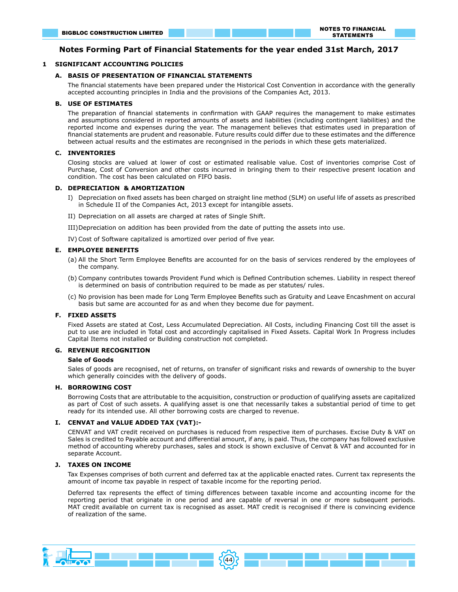#### **Notes Forming Part of Financial Statements for the year ended 31st March, 2017**

#### **1 SIGNIFICANT ACCOUNTING POLICIES**

#### **A. BASIS OF PRESENTATION OF FINANCIAL STATEMENTS**

The financial statements have been prepared under the Historical Cost Convention in accordance with the generally accepted accounting principles in India and the provisions of the Companies Act, 2013.

#### **B. USE OF ESTIMATES**

The preparation of financial statements in confirmation with GAAP requires the management to make estimates and assumptions considered in reported amounts of assets and liabilities (including contingent liabilities) and the reported income and expenses during the year. The management believes that estimates used in preparation of financial statements are prudent and reasonable. Future results could differ due to these estimates and the difference between actual results and the estimates are recongnised in the periods in which these gets materialized.

#### **C. INVENTORIES**

 Closing stocks are valued at lower of cost or estimated realisable value. Cost of inventories comprise Cost of Purchase, Cost of Conversion and other costs incurred in bringing them to their respective present location and condition. The cost has been calculated on FIFO basis.

#### **D. DEPRECIATION & AMORTIZATION**

- I) Depreciation on fixed assets has been charged on straight line method (SLM) on useful life of assets as prescribed in Schedule II of the Companies Act, 2013 except for intangible assets.
- II) Depreciation on all assets are charged at rates of Single Shift.

III)Depreciation on addition has been provided from the date of putting the assets into use.

IV) Cost of Software capitalized is amortized over period of five year.

#### **E. EMPLOYEE BENEFITS**

- (a) All the Short Term Employee Benefits are accounted for on the basis of services rendered by the employees of the company.
- (b) Company contributes towards Provident Fund which is Defined Contribution schemes. Liability in respect thereof is determined on basis of contribution required to be made as per statutes/ rules.
- (c) No provision has been made for Long Term Employee Benefits such as Gratuity and Leave Encashment on accural basis but same are accounted for as and when they become due for payment.

#### **F. FIXED ASSETS**

Fixed Assets are stated at Cost, Less Accumulated Depreciation. All Costs, including Financing Cost till the asset is put to use are included in Total cost and accordingly capitalised in Fixed Assets. Capital Work In Progress includes Capital Items not installed or Building construction not completed.

#### **G. REVENUE RECOGNITION**

#### **Sale of Goods**

Sales of goods are recognised, net of returns, on transfer of significant risks and rewards of ownership to the buyer which generally coincides with the delivery of goods.

#### **H. BORROWING COST**

Borrowing Costs that are attributable to the acquisition, construction or production of qualifying assets are capitalized as part of Cost of such assets. A qualifying asset is one that necessarily takes a substantial period of time to get ready for its intended use. All other borrowing costs are charged to revenue.

#### **I. CENVAT and VALUE ADDED TAX (VAT):-**

CENVAT and VAT credit received on purchases is reduced from respective item of purchases. Excise Duty & VAT on Sales is credited to Payable account and differential amount, if any, is paid. Thus, the company has followed exclusive method of accounting whereby purchases, sales and stock is shown exclusive of Cenvat & VAT and accounted for in separate Account.

#### **J. TAXES ON INCOME**

Tax Expenses comprises of both current and deferred tax at the applicable enacted rates. Current tax represents the amount of income tax payable in respect of taxable income for the reporting period.

Deferred tax represents the effect of timing differences between taxable income and accounting income for the reporting period that originate in one period and are capable of reversal in one or more subsequent periods. MAT credit available on current tax is recognised as asset. MAT credit is recognised if there is convincing evidence of realization of the same.

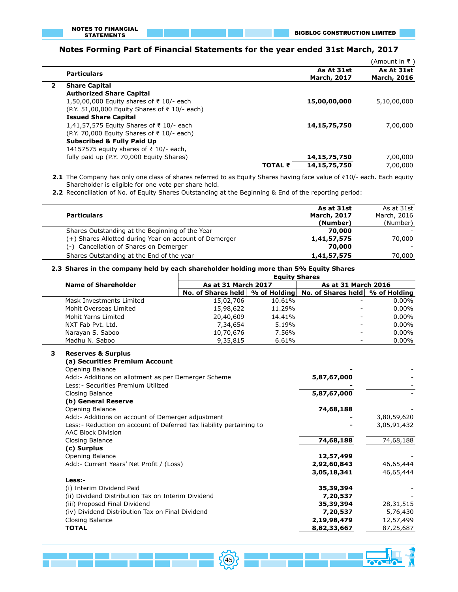# **Notes Forming Part of Financial Statements for the year ended 31st March, 2017**

|                |                                               |                |                                  | (Amount in ₹ )                   |
|----------------|-----------------------------------------------|----------------|----------------------------------|----------------------------------|
|                | <b>Particulars</b>                            |                | As At 31st<br><b>March, 2017</b> | As At 31st<br><b>March, 2016</b> |
| $\overline{2}$ | <b>Share Capital</b>                          |                |                                  |                                  |
|                | <b>Authorized Share Capital</b>               |                |                                  |                                  |
|                | 1,50,00,000 Equity shares of ₹ 10/- each      |                | 15,00,00,000                     | 5,10,00,000                      |
|                | (P.Y. 51,00,000 Equity Shares of ₹ 10/- each) |                |                                  |                                  |
|                | <b>Issued Share Capital</b>                   |                |                                  |                                  |
|                | 1,41,57,575 Equity Shares of ₹10/- each       |                | 14, 15, 75, 750                  | 7,00,000                         |
|                | (P.Y. 70,000 Equity Shares of ₹ 10/- each)    |                |                                  |                                  |
|                | <b>Subscribed &amp; Fully Paid Up</b>         |                |                                  |                                  |
|                | 14157575 equity shares of ₹ 10/- each,        |                |                                  |                                  |
|                | fully paid up (P.Y. 70,000 Equity Shares)     |                | 14,15,75,750                     | 7,00,000                         |
|                |                                               | <b>TOTAL ₹</b> | 14, 15, 75, 750                  | 7,00,000                         |

**2.1** The Company has only one class of shares referred to as Equity Shares having face value of ₹10/- each. Each equity Shareholder is eligible for one vote per share held.

**2.2** Reconciliation of No. of Equity Shares Outstanding at the Beginning & End of the reporting period:

|                                                        | As at 31st         | As at 31st  |
|--------------------------------------------------------|--------------------|-------------|
| <b>Particulars</b>                                     | <b>March, 2017</b> | March, 2016 |
|                                                        | (Number)           | (Number)    |
| Shares Outstanding at the Beginning of the Year        | 70,000             |             |
| (+) Shares Allotted during Year on account of Demerger | 1,41,57,575        | 70,000      |
| (-) Cancellation of Shares on Demerger                 | 70,000             |             |
| Shares Outstanding at the End of the year              | 1,41,57,575        | 70,000      |

#### **2.3 Shares in the company held by each shareholder holding more than 5% Equity Shares Equity Shares**

|                            | <b>EQUITY SNATES</b> |                     |                                                                       |                     |  |
|----------------------------|----------------------|---------------------|-----------------------------------------------------------------------|---------------------|--|
| <b>Name of Shareholder</b> |                      | As at 31 March 2017 |                                                                       | As at 31 March 2016 |  |
|                            |                      |                     | No. of Shares held   % of Holding   No. of Shares held   % of Holding |                     |  |
| Mask Investments Limited   | 15,02,706            | 10.61%              |                                                                       | $0.00\%$            |  |
| Mohit Overseas Limited     | 15,98,622            | 11.29%              |                                                                       | $0.00\%$            |  |
| Mohit Yarns Limited        | 20,40,609            | 14.41%              |                                                                       | $0.00\%$            |  |
| NXT Fab Pvt. Ltd.          | 7,34,654             | 5.19%               |                                                                       | $0.00\%$            |  |
| Narayan S. Saboo           | 10,70,676            | 7.56%               |                                                                       | $0.00\%$            |  |
| Madhu N. Saboo             | 9,35,815             | 6.61%               |                                                                       | $0.00\%$            |  |

#### **3 Reserves & Surplus**

L

 $\overline{a}$ 

**(a) Securities Premium Account**

| Opening Balance                                                                            |             |             |
|--------------------------------------------------------------------------------------------|-------------|-------------|
| Add: - Additions on allotment as per Demerger Scheme                                       | 5,87,67,000 |             |
| Less: - Securities Premium Utilized                                                        |             |             |
| Closing Balance                                                                            | 5,87,67,000 |             |
| (b) General Reserve                                                                        |             |             |
| Opening Balance                                                                            | 74,68,188   |             |
| Add: - Additions on account of Demerger adjustment                                         |             | 3,80,59,620 |
| Less: - Reduction on account of Deferred Tax liability pertaining to<br>AAC Block Division |             | 3,05,91,432 |
| Closing Balance                                                                            | 74,68,188   | 74,68,188   |
| (c) Surplus                                                                                |             |             |
| Opening Balance                                                                            | 12,57,499   |             |
| Add: - Current Years' Net Profit / (Loss)                                                  | 2,92,60,843 | 46,65,444   |
|                                                                                            | 3,05,18,341 | 46,65,444   |
| Less:-                                                                                     |             |             |
| (i) Interim Dividend Paid                                                                  | 35,39,394   |             |
| (ii) Dividend Distribution Tax on Interim Dividend                                         | 7,20,537    |             |
| (iii) Proposed Final Dividend                                                              | 35,39,394   | 28,31,515   |
| (iv) Dividend Distribution Tax on Final Dividend                                           | 7,20,537    | 5,76,430    |
| Closing Balance                                                                            | 2,19,98,479 | 12,57,499   |
| <b>TOTAL</b>                                                                               | 8,82,33,667 | 87,25,687   |

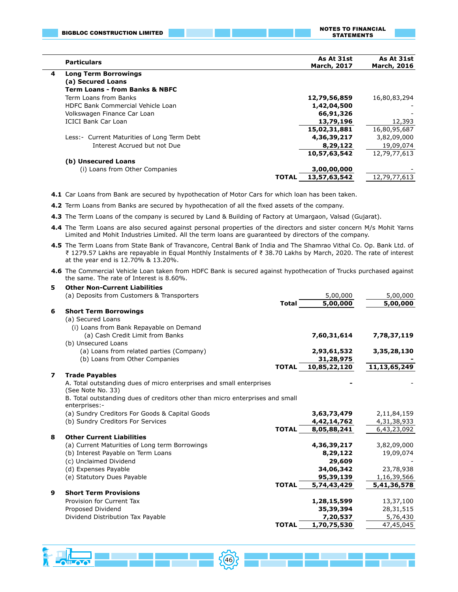|   | <b>BIGBLOC CONSTRUCTION LIMITED</b>          | <b>NOTES TO FINANCIAL</b><br><b>STATEMENTS</b> |                                  |                           |
|---|----------------------------------------------|------------------------------------------------|----------------------------------|---------------------------|
|   | <b>Particulars</b>                           |                                                | As At 31st<br><b>March, 2017</b> | As At 31st<br>March, 2016 |
| 4 | <b>Long Term Borrowings</b>                  |                                                |                                  |                           |
|   | (a) Secured Loans                            |                                                |                                  |                           |
|   | <b>Term Loans - from Banks &amp; NBFC</b>    |                                                |                                  |                           |
|   | Term Loans from Banks                        |                                                | 12,79,56,859                     | 16,80,83,294              |
|   | HDFC Bank Commercial Vehicle Loan            |                                                | 1,42,04,500                      |                           |
|   | Volkswagen Finance Car Loan                  |                                                | 66,91,326                        |                           |
|   | <b>ICICI Bank Car Loan</b>                   |                                                | 13,79,196                        | 12,393                    |
|   |                                              |                                                | 15,02,31,881                     | 16,80,95,687              |
|   | Less: - Current Maturities of Long Term Debt |                                                | 4,36,39,217                      | 3,82,09,000               |
|   | Interest Accrued but not Due                 |                                                | 8,29,122                         | 19,09,074                 |
|   |                                              |                                                | 10,57,63,542                     | 12,79,77,613              |
|   | (b) Unsecured Loans                          |                                                |                                  |                           |
|   | (i) Loans from Other Companies               |                                                | 3,00,00,000                      |                           |
|   |                                              | <b>TOTAL</b>                                   | 13,57,63,542                     | 12,79,77,613              |

**4.1** Car Loans from Bank are secured by hypothecation of Motor Cars for which loan has been taken.

**4.2** Term Loans from Banks are secured by hypothecation of all the fixed assets of the company.

- **4.3** The Term Loans of the company is secured by Land & Building of Factory at Umargaon, Valsad (Gujarat).
- **4.4** The Term Loans are also secured against personal properties of the directors and sister concern M/s Mohit Yarns Limited and Mohit Industries Limited. All the term loans are guaranteed by directors of the company.
- **4.5** The Term Loans from State Bank of Travancore, Central Bank of India and The Shamrao Vithal Co. Op. Bank Ltd. of ₹ 1279.57 Lakhs are repayable in Equal Monthly Instalments of ₹ 38.70 Lakhs by March, 2020. The rate of interest at the year end is 12.70% & 13.20%.
- **4.6** The Commercial Vehicle Loan taken from HDFC Bank is secured against hypothecation of Trucks purchased against the same. The rate of Interest is 8.60%.

| 5 | <b>Other Non-Current Liabilities</b>                                                           |              |              |                 |
|---|------------------------------------------------------------------------------------------------|--------------|--------------|-----------------|
|   | (a) Deposits from Customers & Transporters                                                     |              | 5,00,000     | 5,00,000        |
|   |                                                                                                | <b>Total</b> | 5,00,000     | 5,00,000        |
| 6 | <b>Short Term Borrowings</b>                                                                   |              |              |                 |
|   | (a) Secured Loans                                                                              |              |              |                 |
|   | (i) Loans from Bank Repayable on Demand                                                        |              |              |                 |
|   | (a) Cash Credit Limit from Banks                                                               |              | 7,60,31,614  | 7,78,37,119     |
|   | (b) Unsecured Loans                                                                            |              |              |                 |
|   | (a) Loans from related parties (Company)                                                       |              | 2,93,61,532  | 3,35,28,130     |
|   | (b) Loans from Other Companies                                                                 |              | 31,28,975    |                 |
|   |                                                                                                | <b>TOTAL</b> | 10,85,22,120 | 11, 13, 65, 249 |
| 7 | <b>Trade Payables</b>                                                                          |              |              |                 |
|   | A. Total outstanding dues of micro enterprises and small enterprises                           |              |              |                 |
|   | (See Note No. 33)                                                                              |              |              |                 |
|   | B. Total outstanding dues of creditors other than micro enterprises and small<br>enterprises:- |              |              |                 |
|   | (a) Sundry Creditors For Goods & Capital Goods                                                 |              | 3,63,73,479  | 2,11,84,159     |
|   | (b) Sundry Creditors For Services                                                              |              | 4,42,14,762  | 4,31,38,933     |
|   |                                                                                                | <b>TOTAL</b> | 8,05,88,241  | 6,43,23,092     |
| 8 | <b>Other Current Liabilities</b>                                                               |              |              |                 |
|   | (a) Current Maturities of Long term Borrowings                                                 |              | 4,36,39,217  | 3,82,09,000     |
|   | (b) Interest Payable on Term Loans                                                             |              | 8,29,122     | 19,09,074       |
|   | (c) Unclaimed Dividend                                                                         |              | 29,609       |                 |
|   | (d) Expenses Payable                                                                           |              | 34,06,342    | 23,78,938       |
|   | (e) Statutory Dues Payable                                                                     |              | 95,39,139    | 1,16,39,566     |
|   |                                                                                                | <b>TOTAL</b> | 5,74,43,429  | 5,41,36,578     |
| 9 | <b>Short Term Provisions</b>                                                                   |              |              |                 |
|   | Provision for Current Tax                                                                      |              | 1,28,15,599  | 13,37,100       |
|   | Proposed Dividend                                                                              |              | 35,39,394    | 28, 31, 515     |
|   | Dividend Distribution Tax Payable                                                              |              | 7,20,537     | 5,76,430        |
|   |                                                                                                | <b>TOTAL</b> | 1,70,75,530  | 47,45,045       |

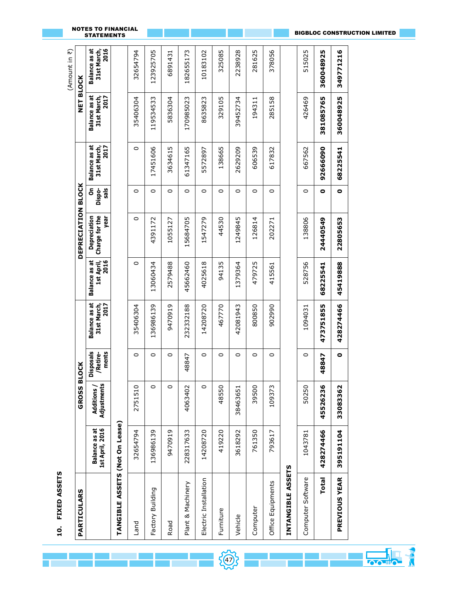| Ξ.<br>r |
|---------|
|         |
|         |
|         |
|         |
|         |
|         |
|         |
|         |
|         |
|         |

 $\overline{\phantom{a}}$ 

|                                |                                         |                          |                                       |                                      |                                            |                                        |                       |                                             |                                             | íΨ<br>Amount in                             |
|--------------------------------|-----------------------------------------|--------------------------|---------------------------------------|--------------------------------------|--------------------------------------------|----------------------------------------|-----------------------|---------------------------------------------|---------------------------------------------|---------------------------------------------|
| PARTICULARS                    |                                         | <b>GROSS B</b>           | <b>LOCK</b>                           |                                      |                                            | DEPRECIATION BLOCK                     |                       |                                             | NET BLOCK                                   |                                             |
|                                | 1st April, 2016<br><b>Balance as at</b> | Adjustments<br>Additions | ments<br><b>Disposals</b><br>/Retire- | Balance as at<br>2017<br>31st March, | <b>Balance as at</b><br>1st April,<br>2016 | Charge for the<br>year<br>Depreciation | sals<br>င်္<br>Dispo- | <b>Balance as at</b><br>2017<br>31st March, | <b>Balance as at</b><br>2017<br>31st March, | 2016<br><b>Balance as at</b><br>31st March, |
| TANGIBLE ASSETS (Not On Lease) |                                         |                          |                                       |                                      |                                            |                                        |                       |                                             |                                             |                                             |
| <b>Land</b>                    | 32654794                                | 2751510                  | 0                                     | 35406304                             | 0                                          | 0                                      | $\circ$               | $\circ$                                     | 35406304                                    | 32654794                                    |
| Factory Building               | 136986139                               | 0                        | $\circ$                               | 136986139                            | 13060434                                   | 4391172                                | $\circ$               | 17451606                                    | 119534533                                   | 123925705                                   |
| Road                           | 9470919                                 | 0                        | $\circ$                               | 9470919                              | 2579488                                    | 1055127                                | 0                     | 3634615                                     | 5836304                                     | 6891431                                     |
| Plant & Machinery              | 228317633                               | 4063402                  | 48847                                 | 232332188                            | 45662460                                   | 15684705                               | $\circ$               | 61347165                                    | 170985023                                   | 182655173                                   |
| Electric Installation          | 14208720                                | 0                        | 0                                     | 14208720                             | 4025618                                    | 1547279                                | 0                     | 5572897                                     | 8635823                                     | 10183102                                    |
| Furniture                      | 419220                                  | 48550                    | 0                                     | 467770                               | 94135                                      | 44530                                  | 0                     | 138665                                      | 329105                                      | 325085                                      |
| Vehicle                        | 3618292                                 | 38463651                 | $\circ$                               | 42081943                             | 1379364                                    | 1249845                                | $\circ$               | 2629209                                     | 39452734                                    | 2238928                                     |
| Computer                       | 761350                                  | 39500                    | $\circ$                               | 800850                               | 479725                                     | 126814                                 | $\circ$               | 606539                                      | 194311                                      | 281625                                      |
| Office Equipments              | 793617                                  | 109373                   | 0                                     | 902990                               | 415561                                     | 202271                                 | 0                     | 617832                                      | 285158                                      | 378056                                      |
| INTANGIBLE ASSETS              |                                         |                          |                                       |                                      |                                            |                                        |                       |                                             |                                             |                                             |
| Computer Software              | 1043781                                 | 50250                    | 0                                     | 1094031                              | 528756                                     | 138806                                 | 0                     | 667562                                      | 426469                                      | 515025                                      |
| <b>Total</b>                   | 428274466                               | 45526236                 | 48847                                 | 473751855                            | 68225541                                   | 24440549                               | ۰                     | 92666090                                    | 381085765                                   | 360048925                                   |
| <b>PREVIOUS YEAR</b>           | 395191104                               | 33083362                 | $\bullet$                             | 428274466                            | 45419888                                   | 22805653                               | $\bullet$             | 68225541                                    | 360048925                                   | 349771216                                   |

47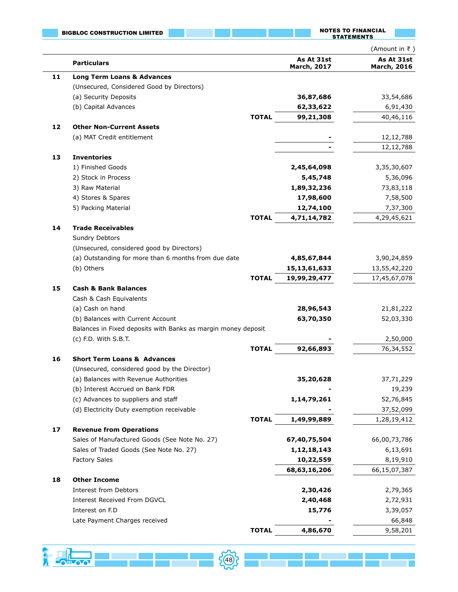|    | <b>BIGBLOC CONSTRUCTION LIMITED</b>                           |              |                                  | <b>NOTES TO FINANCIAL</b><br><b>STATEMENTS</b> |
|----|---------------------------------------------------------------|--------------|----------------------------------|------------------------------------------------|
|    |                                                               |              |                                  | (Amount in ₹)                                  |
|    | <b>Particulars</b>                                            |              | As At 31st<br><b>March, 2017</b> | As At 31st<br><b>March, 2016</b>               |
| 11 | <b>Long Term Loans &amp; Advances</b>                         |              |                                  |                                                |
|    | (Unsecured, Considered Good by Directors)                     |              |                                  |                                                |
|    | (a) Security Deposits                                         |              | 36,87,686                        | 33,54,686                                      |
|    | (b) Capital Advances                                          |              | 62,33,622                        | 6,91,430                                       |
|    |                                                               | <b>TOTAL</b> | 99,21,308                        | 40,46,116                                      |
| 12 | <b>Other Non-Current Assets</b>                               |              |                                  |                                                |
|    | (a) MAT Credit entitlement                                    |              |                                  | 12,12,788                                      |
|    |                                                               |              |                                  | 12,12,788                                      |
| 13 | <b>Inventories</b>                                            |              |                                  |                                                |
|    | 1) Finished Goods<br>2) Stock in Process                      |              | 2,45,64,098<br>5,45,748          | 3,35,30,607                                    |
|    | 3) Raw Material                                               |              | 1,89,32,236                      | 5,36,096<br>73,83,118                          |
|    | 4) Stores & Spares                                            |              | 17,98,600                        | 7,58,500                                       |
|    | 5) Packing Material                                           |              | 12,74,100                        | 7,37,300                                       |
|    |                                                               | <b>TOTAL</b> | 4,71,14,782                      | 4,29,45,621                                    |
| 14 | <b>Trade Receivables</b>                                      |              |                                  |                                                |
|    | <b>Sundry Debtors</b>                                         |              |                                  |                                                |
|    | (Unsecured, considered good by Directors)                     |              |                                  |                                                |
|    | (a) Outstanding for more than 6 months from due date          |              | 4,85,67,844                      | 3,90,24,859                                    |
|    | (b) Others                                                    |              | 15, 13, 61, 633                  | 13,55,42,220                                   |
|    |                                                               | <b>TOTAL</b> | 19,99,29,477                     | 17,45,67,078                                   |
| 15 | <b>Cash &amp; Bank Balances</b>                               |              |                                  |                                                |
|    | Cash & Cash Equivalents                                       |              |                                  |                                                |
|    | (a) Cash on hand                                              |              | 28,96,543                        | 21,81,222                                      |
|    | (b) Balances with Current Account                             |              | 63,70,350                        | 52,03,330                                      |
|    | Balances in Fixed deposits with Banks as margin money deposit |              |                                  |                                                |
|    | (c) F.D. With S.B.T.                                          |              |                                  | 2,50,000                                       |
|    |                                                               | <b>TOTAL</b> | 92,66,893                        | 76,34,552                                      |
| 16 | <b>Short Term Loans &amp; Advances</b>                        |              |                                  |                                                |
|    | (Unsecured, considered good by the Director)                  |              |                                  |                                                |
|    | (a) Balances with Revenue Authorities                         |              | 35,20,628                        | 37,71,229                                      |
|    | (b) Interest Accrued on Bank FDR                              |              |                                  | 19,239                                         |
|    | (c) Advances to suppliers and staff                           |              | 1,14,79,261                      | 52,76,845                                      |
|    | (d) Electricity Duty exemption receivable                     |              |                                  | 37,52,099                                      |
|    |                                                               | <b>TOTAL</b> | 1,49,99,889                      | 1,28,19,412                                    |
| 17 | <b>Revenue from Operations</b>                                |              |                                  |                                                |
|    | Sales of Manufactured Goods (See Note No. 27)                 |              | 67,40,75,504                     | 66,00,73,786                                   |
|    | Sales of Traded Goods (See Note No. 27)                       |              | 1, 12, 18, 143                   | 6,13,691                                       |
|    | <b>Factory Sales</b>                                          |              | 10,22,559                        | 8,19,910                                       |
|    |                                                               |              | 68, 63, 16, 206                  | 66,15,07,387                                   |
| 18 | <b>Other Income</b>                                           |              |                                  |                                                |
|    | <b>Interest from Debtors</b>                                  |              | 2,30,426                         | 2,79,365                                       |
|    | Interest Received From DGVCL                                  |              | 2,40,468                         | 2,72,931                                       |
|    | Interest on F.D                                               |              | 15,776                           | 3,39,057                                       |
|    | Late Payment Charges received                                 | <b>TOTAL</b> |                                  | 66,848<br>9,58,201                             |
|    |                                                               |              | 4,86,670                         |                                                |

 $\frac{1}{2}$  ,  $\frac{1}{2}$  ,  $\frac{1}{2}$  ,  $\frac{1}{2}$  ,  $\frac{1}{2}$  ,  $\frac{1}{2}$  ,  $\frac{1}{2}$  ,  $\frac{1}{2}$  ,  $\frac{1}{2}$  ,  $\frac{1}{2}$  ,  $\frac{1}{2}$  ,  $\frac{1}{2}$  ,  $\frac{1}{2}$  ,  $\frac{1}{2}$  ,  $\frac{1}{2}$  ,  $\frac{1}{2}$  ,  $\frac{1}{2}$  ,  $\frac{1}{2}$  ,  $\frac{1$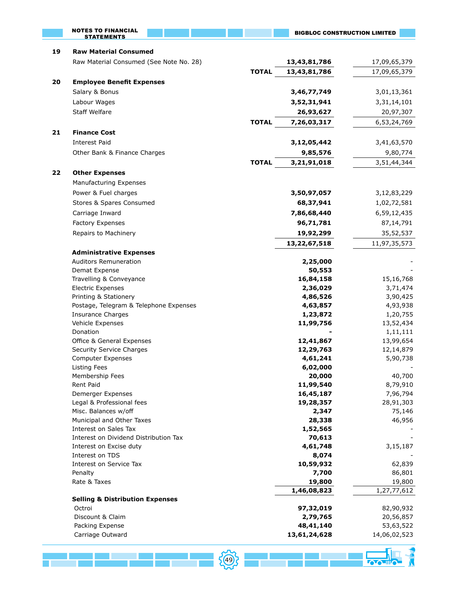|    | <b>NOTES TO FINANCIAL</b><br><b>STATEMENTS</b>       |              | <b>BIGBLOC CONSTRUCTION LIMITED</b> |                           |
|----|------------------------------------------------------|--------------|-------------------------------------|---------------------------|
| 19 | <b>Raw Material Consumed</b>                         |              |                                     |                           |
|    | Raw Material Consumed (See Note No. 28)              |              | 13,43,81,786                        | 17,09,65,379              |
|    |                                                      | <b>TOTAL</b> | 13,43,81,786                        | 17,09,65,379              |
| 20 | <b>Employee Benefit Expenses</b>                     |              |                                     |                           |
|    | Salary & Bonus                                       |              | 3,46,77,749                         | 3,01,13,361               |
|    | Labour Wages                                         |              | 3,52,31,941                         | 3,31,14,101               |
|    | <b>Staff Welfare</b>                                 |              | 26,93,627                           | 20,97,307                 |
|    |                                                      | <b>TOTAL</b> | 7,26,03,317                         | 6,53,24,769               |
| 21 | <b>Finance Cost</b>                                  |              |                                     |                           |
|    | <b>Interest Paid</b>                                 |              | 3,12,05,442                         | 3,41,63,570               |
|    | Other Bank & Finance Charges                         |              | 9,85,576                            | 9,80,774                  |
|    |                                                      | <b>TOTAL</b> | 3,21,91,018                         | 3,51,44,344               |
| 22 | <b>Other Expenses</b>                                |              |                                     |                           |
|    | Manufacturing Expenses                               |              |                                     |                           |
|    | Power & Fuel charges                                 |              | 3,50,97,057                         | 3,12,83,229               |
|    | Stores & Spares Consumed                             |              | 68,37,941                           | 1,02,72,581               |
|    | Carriage Inward                                      |              | 7,86,68,440                         | 6,59,12,435               |
|    | Factory Expenses                                     |              | 96,71,781                           | 87,14,791                 |
|    | Repairs to Machinery                                 |              | 19,92,299                           | 35,52,537                 |
|    |                                                      |              | 13,22,67,518                        |                           |
|    | <b>Administrative Expenses</b>                       |              |                                     | 11,97,35,573              |
|    | <b>Auditors Remuneration</b>                         |              | 2,25,000                            |                           |
|    | Demat Expense                                        |              | 50,553                              |                           |
|    | Travelling & Conveyance                              |              | 16,84,158                           | 15,16,768                 |
|    | <b>Electric Expenses</b>                             |              | 2,36,029                            | 3,71,474                  |
|    | Printing & Stationery                                |              | 4,86,526                            | 3,90,425                  |
|    | Postage, Telegram & Telephone Expenses               |              | 4,63,857                            | 4,93,938                  |
|    | <b>Insurance Charges</b>                             |              | 1,23,872                            | 1,20,755                  |
|    | Vehicle Expenses                                     |              | 11,99,756                           | 13,52,434                 |
|    | Donation                                             |              |                                     | 1,11,111                  |
|    | Office & General Expenses                            |              | 12,41,867                           | 13,99,654                 |
|    | Security Service Charges<br><b>Computer Expenses</b> |              | 12,29,763<br>4,61,241               | 12,14,879<br>5,90,738     |
|    | <b>Listing Fees</b>                                  |              | 6,02,000                            |                           |
|    | Membership Fees                                      |              | 20,000                              | 40,700                    |
|    | <b>Rent Paid</b>                                     |              | 11,99,540                           | 8,79,910                  |
|    | Demerger Expenses                                    |              | 16,45,187                           | 7,96,794                  |
|    | Legal & Professional fees                            |              | 19,28,357                           | 28,91,303                 |
|    | Misc. Balances w/off                                 |              | 2,347                               | 75,146                    |
|    | Municipal and Other Taxes                            |              | 28,338                              | 46,956                    |
|    | Interest on Sales Tax                                |              | 1,52,565                            |                           |
|    | Interest on Dividend Distribution Tax                |              | 70,613                              |                           |
|    | Interest on Excise duty<br>Interest on TDS           |              | 4,61,748<br>8,074                   | 3,15,187                  |
|    | Interest on Service Tax                              |              | 10,59,932                           | 62,839                    |
|    | Penalty                                              |              | 7,700                               | 86,801                    |
|    | Rate & Taxes                                         |              | 19,800                              | 19,800                    |
|    |                                                      |              | 1,46,08,823                         | 1,27,77,612               |
|    | <b>Selling &amp; Distribution Expenses</b>           |              |                                     |                           |
|    | Octroi                                               |              | 97,32,019                           | 82,90,932                 |
|    | Discount & Claim                                     |              | 2,79,765                            | 20,56,857                 |
|    | Packing Expense<br>Carriage Outward                  |              | 48,41,140<br>13,61,24,628           | 53,63,522<br>14,06,02,523 |
|    |                                                      |              |                                     |                           |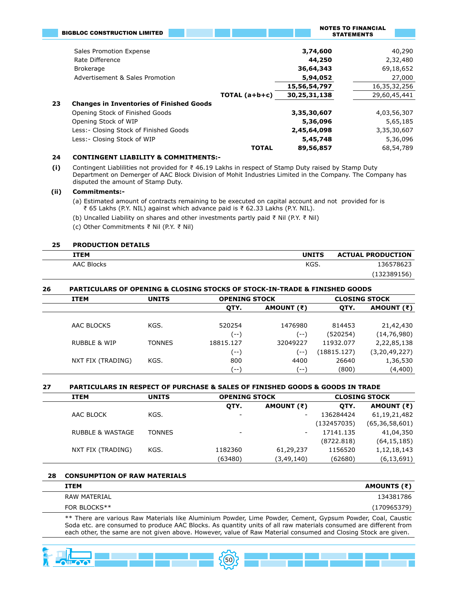|    | <b>BIGBLOC CONSTRUCTION LIMITED</b>             |                 |              | <b>NOTES TO FINANCIAL</b> |
|----|-------------------------------------------------|-----------------|--------------|---------------------------|
|    |                                                 |                 |              | <b>STATEMENTS</b>         |
|    |                                                 |                 |              |                           |
|    | Sales Promotion Expense                         |                 | 3,74,600     | 40,290                    |
|    | Rate Difference                                 |                 | 44,250       | 2,32,480                  |
|    | <b>Brokerage</b>                                |                 | 36,64,343    | 69,18,652                 |
|    | Advertisement & Sales Promotion                 |                 | 5,94,052     | 27,000                    |
|    |                                                 |                 | 15,56,54,797 | 16,35,32,256              |
|    |                                                 | TOTAL $(a+b+c)$ | 30,25,31,138 | 29,60,45,441              |
| 23 | <b>Changes in Inventories of Finished Goods</b> |                 |              |                           |
|    | Opening Stock of Finished Goods                 |                 | 3,35,30,607  | 4,03,56,307               |
|    | Opening Stock of WIP                            |                 | 5,36,096     | 5,65,185                  |
|    | Less: - Closing Stock of Finished Goods         |                 | 2,45,64,098  | 3,35,30,607               |
|    | Less: - Closing Stock of WIP                    |                 | 5,45,748     | 5,36,096                  |
|    |                                                 | <b>TOTAL</b>    | 89,56,857    | 68,54,789                 |

#### **24 CONTINGENT LIABILITY & COMMITMENTS:-**

**(i)** Contingent Liablilities not provided for ₹ 46.19 Lakhs in respect of Stamp Duty raised by Stamp Duty Department on Demerger of AAC Block Division of Mohit Industries Limited in the Company. The Company has disputed the amount of Stamp Duty.

#### **(ii) Commitments:-**

- (a) Estimated amount of contracts remaining to be executed on capital account and not provided for is ₹ 65 Lakhs (P.Y. NIL) against which advance paid is ₹ 62.33 Lakhs (P.Y. NIL).
- (b) Uncalled Liability on shares and other investments partly paid ₹ Nil (P.Y. ₹ Nil)
- (c) Other Commitments ₹ Nil (P.Y. ₹ Nil)

#### **25 PRODUCTION DETAILS**

| ITEM              | <b>UNITS</b> | <b>ACTUAL PRODUCTION</b> |
|-------------------|--------------|--------------------------|
| <b>AAC Blocks</b> | KGS.         | 136578623                |
|                   |              | (132389156)              |

#### **26 PARTICULARS OF OPENING & CLOSING STOCKS OF STOCK-IN-TRADE & FINISHED GOODS**

| <b>ITEM</b>             | <b>UNITS</b>  |           | <b>OPENING STOCK</b> |             | <b>CLOSING STOCK</b> |
|-------------------------|---------------|-----------|----------------------|-------------|----------------------|
|                         |               | QTY.      | AMOUNT (₹)           | OTY.        | AMOUNT (₹)           |
| AAC BLOCKS              | KGS.          | 520254    | 1476980              | 814453      | 21,42,430            |
|                         |               | (--)      | (--)                 | (520254)    | (14, 76, 980)        |
| <b>RUBBLE &amp; WIP</b> | <b>TONNES</b> | 18815.127 | 32049227             | 11932.077   | 2,22,85,138          |
|                         |               | (--)      | $\left( - - \right)$ | (18815.127) | (3, 20, 49, 227)     |
| NXT FIX (TRADING)       | KGS.          | 800       | 4400                 | 26640       | 1,36,530             |
|                         |               | ' --      | ' -- '               | (800)       | (4,400)              |

#### **27 PARTICULARS IN RESPECT OF PURCHASE & SALES OF FINISHED GOODS & GOODS IN TRADE**

| <b>ITEM</b>                 | <b>UNITS</b>  | <b>OPENING STOCK</b> |                          |             | <b>CLOSING STOCK</b> |
|-----------------------------|---------------|----------------------|--------------------------|-------------|----------------------|
|                             |               | OTY.                 | AMOUNT (₹)               | OTY.        | AMOUNT (₹)           |
| AAC BLOCK                   | KGS.          | -                    | $\overline{\phantom{0}}$ | 136284424   | 61, 19, 21, 482      |
|                             |               |                      |                          | (132457035) | (65, 36, 58, 601)    |
| <b>RUBBLE &amp; WASTAGE</b> | <b>TONNES</b> | -                    | ۰.                       | 17141.135   | 41,04,350            |
|                             |               |                      |                          | (8722.818)  | (64, 15, 185)        |
| NXT FIX (TRADING)           | KGS.          | 1182360              | 61,29,237                | 1156520     | 1,12,18,143          |
|                             |               | (63480)              | (3, 49, 140)             | (62680)     | (6, 13, 691)         |

# **28 CONSUMPTION OF RAW MATERIALS ITEM AMOUNTS (₹)** RAW MATERIAL 2008 134381786

#### FOR BLOCKS\*\* (170965379)

\*\* There are various Raw Materials like Aluminium Powder, Lime Powder, Cement, Gypsum Powder, Coal, Caustic Soda etc. are consumed to produce AAC Blocks. As quantity units of all raw materials consumed are different from each other, the same are not given above. However, value of Raw Material consumed and Closing Stock are given.

50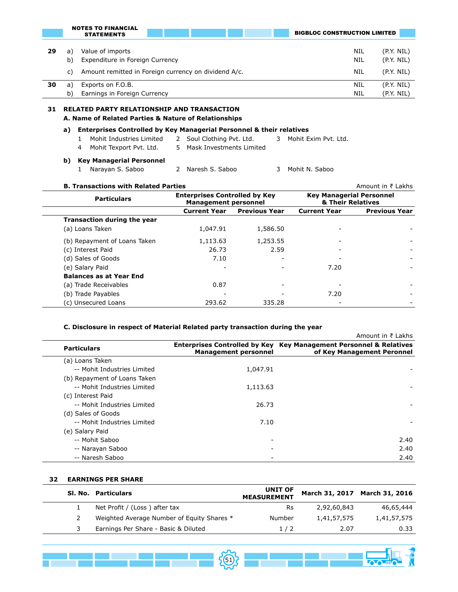|    |                                                         | NUILS TU FINANCIAL<br><b>STATEMENTS</b>                     | <b>BIGBLOC CONSTRUCTION LIMITED</b> |                          |
|----|---------------------------------------------------------|-------------------------------------------------------------|-------------------------------------|--------------------------|
| 29 | a)<br>b)                                                | Value of imports<br>Expenditure in Foreign Currency         | NIL<br>NIL                          | (P.Y. NIL)<br>(P.Y. NIL) |
|    | C)                                                      | Amount remitted in Foreign currency on dividend A/c.<br>NIL |                                     | (P.Y. NIL)               |
| 30 | a)                                                      | Exports on F.O.B.                                           | NIL                                 | (P.Y. NIL)               |
|    | Earnings in Foreign Currency<br>NIL<br>b)<br>(P.Y. NIL) |                                                             |                                     |                          |
| 31 |                                                         | <b>RELATED PARTY RELATIONSHIP AND TRANSACTION</b>           |                                     |                          |

#### **A. Name of Related Parties & Nature of Relationships**

#### **a) Enterprises Controlled by Key Managerial Personnel & their relatives**

- 1 Mohit Industries Limited 2 Soul Clothing Pvt. Ltd. 3 Mohit Exim Pvt. Ltd.
	- 4 Mohit Texport Pvt. Ltd. 5 Mask Investments Limited
		-

#### **b) Key Managerial Personnel**

NOTES TO FINANCIAL

1 Narayan S. Saboo 2 Naresh S. Saboo 3 Mohit N. Saboo

#### **B. Transactions with Related Parties** Amount in ₹ Lakhs **Particulars Enterprises Controlled by Key Management personnel Key Managerial Personnel & Their Relatives Current Year Previous Year Current Year Previous Year Transaction during the year** (a) Loans Taken 1,047.91 1,586.50 (b) Repayment of Loans Taken  $1,113.63$   $1,253.55$ (c) Interest Paid 26.73 2.59 - - (d) Sales of Goods and Table 3 and Table 3 and Table 3 and Table 3 and Table 3 and Table 3 and Table 3 and Table (e) Salary Paid - - 7.20 - **Balances as at Year End** (a) Trade Receivables 0.87 (b) Trade Payables - - - - - - - - - - - - - - - - - 7.20 (c) Unsecured Loans 293.62 335.28

#### **C. Disclosure in respect of Material Related party transaction during the year**

|                              |                             | Amount in ₹ Lakhs                                                                                           |
|------------------------------|-----------------------------|-------------------------------------------------------------------------------------------------------------|
| <b>Particulars</b>           | <b>Management personnel</b> | <b>Enterprises Controlled by Key Key Management Personnel &amp; Relatives</b><br>of Key Management Peronnel |
| (a) Loans Taken              |                             |                                                                                                             |
| -- Mohit Industries Limited  | 1,047.91                    |                                                                                                             |
| (b) Repayment of Loans Taken |                             |                                                                                                             |
| -- Mohit Industries Limited  | 1,113.63                    |                                                                                                             |
| (c) Interest Paid            |                             |                                                                                                             |
| -- Mohit Industries Limited  | 26.73                       |                                                                                                             |
| (d) Sales of Goods           |                             |                                                                                                             |
| -- Mohit Industries Limited  | 7.10                        |                                                                                                             |
| (e) Salary Paid              |                             |                                                                                                             |
| -- Mohit Saboo               |                             | 2.40                                                                                                        |
| -- Narayan Saboo             |                             | 2.40                                                                                                        |
| -- Naresh Saboo              |                             | 2.40                                                                                                        |

#### **32 EARNINGS PER SHARE**

| SI No. Particulars                         | <b>UNIT OF</b><br><b>MEASUREMENT</b> |             | March 31, 2017 March 31, 2016 |
|--------------------------------------------|--------------------------------------|-------------|-------------------------------|
| Net Profit / (Loss) after tax              | Rs.                                  | 2,92,60,843 | 46,65,444                     |
| Weighted Average Number of Equity Shares * | Number                               | 1,41,57,575 | 1,41,57,575                   |
| Earnings Per Share - Basic & Diluted       | 1/2                                  | 2.07        | 0.33                          |

{①}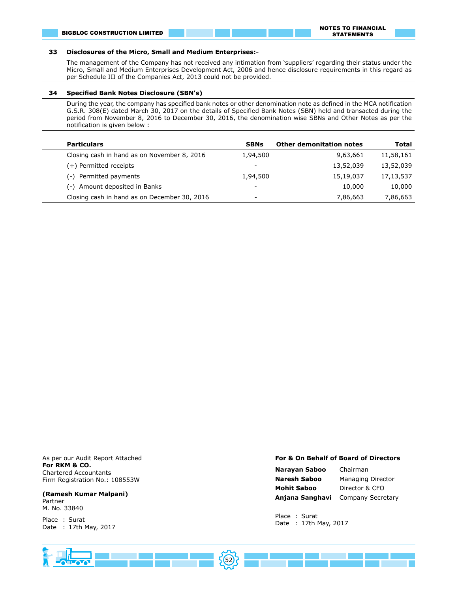#### **33 Disclosures of the Micro, Small and Medium Enterprises:-**

The management of the Company has not received any intimation from 'suppliers' regarding their status under the Micro, Small and Medium Enterprises Development Act, 2006 and hence disclosure requirements in this regard as per Schedule III of the Companies Act, 2013 could not be provided.

#### **34 Specified Bank Notes Disclosure (SBN's)**

During the year, the company has specified bank notes or other denomination note as defined in the MCA notification G.S.R. 308(E) dated March 30, 2017 on the details of Specified Bank Notes (SBN) held and transacted during the period from November 8, 2016 to December 30, 2016, the denomination wise SBNs and Other Notes as per the notification is given below :

| <b>Particulars</b>                           | <b>SBNs</b>              | <b>Other demonitation notes</b> | Total       |
|----------------------------------------------|--------------------------|---------------------------------|-------------|
| Closing cash in hand as on November 8, 2016  | 1,94,500                 | 9,63,661                        | 11,58,161   |
| (+) Permitted receipts                       | $\overline{\phantom{a}}$ | 13,52,039                       | 13,52,039   |
| (-) Permitted payments                       | 1,94,500                 | 15,19,037                       | 17, 13, 537 |
| (-) Amount deposited in Banks                | $\overline{\phantom{a}}$ | 10,000                          | 10,000      |
| Closing cash in hand as on December 30, 2016 | $\overline{\phantom{a}}$ | 7,86,663                        | 7,86,663    |
|                                              |                          |                                 |             |

As per our Audit Report Attached **For RKM & CO.** Chartered Accountants Firm Registration No.: 108553W

#### **(Ramesh Kumar Malpani)** Partner M. No. 33840

Place : Surat Date : 17th May, 2017

#### **For & On Behalf of Board of Directors**

| Narayan Saboo   | Chairman          |
|-----------------|-------------------|
| Naresh Saboo    | Managing Director |
| Mohit Saboo     | Director & CFO    |
| Anjana Sanghavi | Company Secretary |

Place : Surat Date : 17th May, 2017

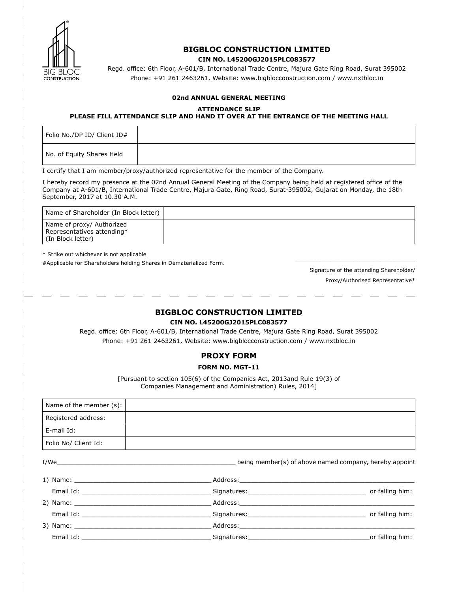

# **BIGBLOC CONSTRUCTION LIMITED CIN NO. L45200GJ2015PLC083577**

Regd. office: 6th Floor, A-601/B, International Trade Centre, Majura Gate Ring Road, Surat 395002 Phone: +91 261 2463261, Website: www.bigblocconstruction.com / www.nxtbloc.in

# **02nd ANNUAL GENERAL MEETING**

#### **ATTENDANCE SLIP**

## **PLEASE FILL ATTENDANCE SLIP AND HAND IT OVER AT THE ENTRANCE OF THE MEETING HALL**

Folio No./DP ID/ Client ID# No. of Equity Shares Held

I certify that I am member/proxy/authorized representative for the member of the Company.

I hereby record my presence at the 02nd Annual General Meeting of the Company being held at registered office of the Company at A-601/B, International Trade Centre, Majura Gate, Ring Road, Surat-395002, Gujarat on Monday, the 18th September, 2017 at 10.30 A.M.

| Name of Shareholder (In Block letter)                                          |  |
|--------------------------------------------------------------------------------|--|
| Name of proxy/ Authorized<br>Representatives attending*<br>l (In Block letter) |  |

\* Strike out whichever is not applicable

#Applicable for Shareholders holding Shares in Dematerialized Form.

Signature of the attending Shareholder/ Proxy/Authorised Representative\*

\_\_\_\_\_\_\_\_\_\_\_\_\_\_\_\_\_\_\_\_\_\_\_\_\_\_\_\_\_\_\_\_\_\_\_\_

# **BIGBLOC CONSTRUCTION LIMITED CIN NO. L45200GJ2015PLC083577**

Regd. office: 6th Floor, A-601/B, International Trade Centre, Majura Gate Ring Road, Surat 395002 Phone: +91 261 2463261, Website: www.bigblocconstruction.com / www.nxtbloc.in

| <b>PROXY FORM</b> |  |
|-------------------|--|
|                   |  |

# **FORM NO. MGT-11**

[Pursuant to section 105(6) of the Companies Act, 2013and Rule 19(3) of Companies Management and Administration) Rules, 2014]

| Name of the member (s): |                                                                                                                                                                                                                               |                                                        |
|-------------------------|-------------------------------------------------------------------------------------------------------------------------------------------------------------------------------------------------------------------------------|--------------------------------------------------------|
| Registered address:     |                                                                                                                                                                                                                               |                                                        |
| E-mail Id:              |                                                                                                                                                                                                                               |                                                        |
| Folio No/ Client Id:    |                                                                                                                                                                                                                               |                                                        |
| I/We                    |                                                                                                                                                                                                                               | being member(s) of above named company, hereby appoint |
|                         |                                                                                                                                                                                                                               |                                                        |
|                         |                                                                                                                                                                                                                               |                                                        |
|                         |                                                                                                                                                                                                                               |                                                        |
|                         | Email Id: Contract of the Contract of Signatures: Contract of the Contract of the Contract of the Contract of the Contract of the Contract of the Contract of the Contract of the Contract of the Contract of the Contract of |                                                        |
|                         |                                                                                                                                                                                                                               |                                                        |
|                         | Email Id: Contract of the Contract of Signatures: Contract of the Contract of the Contract of the Contract of the Contract of the Contract of the Contract of the Contract of the Contract of the Contract of the Contract of |                                                        |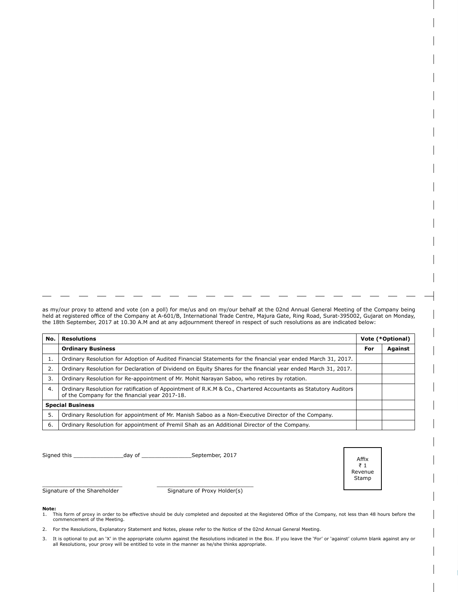as my/our proxy to attend and vote (on a poll) for me/us and on my/our behalf at the 02nd Annual General Meeting of the Company being held at registered office of the Company at A-601/B, International Trade Centre, Majura Gate, Ring Road, Surat-395002, Gujarat on Monday, the 18th September, 2017 at 10.30 A.M and at any adjournment thereof in respect of such resolutions as are indicated below:

| No. | Resolutions                                                                                                                                                       |     | Vote (*Optional) |  |
|-----|-------------------------------------------------------------------------------------------------------------------------------------------------------------------|-----|------------------|--|
|     | <b>Ordinary Business</b>                                                                                                                                          | For | Against          |  |
| 1.  | Ordinary Resolution for Adoption of Audited Financial Statements for the financial year ended March 31, 2017.                                                     |     |                  |  |
| 2.  | Ordinary Resolution for Declaration of Dividend on Equity Shares for the financial year ended March 31, 2017.                                                     |     |                  |  |
| 3.  | Ordinary Resolution for Re-appointment of Mr. Mohit Narayan Saboo, who retires by rotation.                                                                       |     |                  |  |
| 4.  | Ordinary Resolution for ratification of Appointment of R.K.M & Co., Chartered Accountants as Statutory Auditors<br>of the Company for the financial year 2017-18. |     |                  |  |
|     | <b>Special Business</b>                                                                                                                                           |     |                  |  |
| 5.  | Ordinary Resolution for appointment of Mr. Manish Saboo as a Non-Executive Director of the Company.                                                               |     |                  |  |
| 6.  | Ordinary Resolution for appointment of Premil Shah as an Additional Director of the Company.                                                                      |     |                  |  |

Signed this \_\_\_\_\_\_\_\_\_\_\_\_\_\_\_day of \_\_\_\_\_\_\_\_\_\_\_\_\_\_\_September, 2017

\_\_\_\_\_\_\_\_\_\_\_\_\_\_\_\_\_\_\_\_\_\_\_\_ Signature of the Shareholder

\_\_\_\_\_\_\_\_\_\_\_\_\_\_\_\_\_\_\_\_\_\_\_\_\_\_\_\_\_ Signature of Proxy Holder(s)

**Note:**<br>1. This form of proxy in order to be effective should be duly completed and deposited at the Registered Office of the Company, not less than 48 hours before the<br>commencement of the Meeting.

Affix ₹ 1 Revenue Stamp

- 2. For the Resolutions, Explanatory Statement and Notes, please refer to the Notice of the 02nd Annual General Meeting.
- 3. It is optional to put an 'X' in the appropriate column against the Resolutions indicated in the Box. If you leave the 'For' or 'against' column blank against any or all Resolutions, your proxy will be entitled to vote in the manner as he/she thinks appropriate.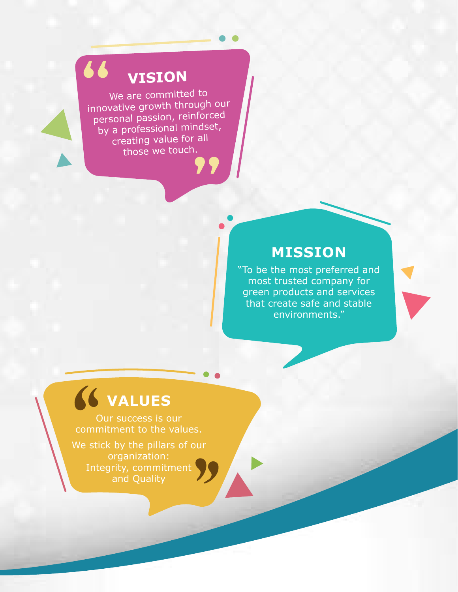# **VISION**

66

We are committed to innovative growth through our personal passion, reinforced by a professional mindset, creating value for all those we touch.

# **MISSION**

"To be the most preferred and most trusted company for green products and services that create safe and stable environments."

# **VALUES**

Our success is our commitment to the values.

We stick by the pillars of our organization: Integrity, commitment and Quality